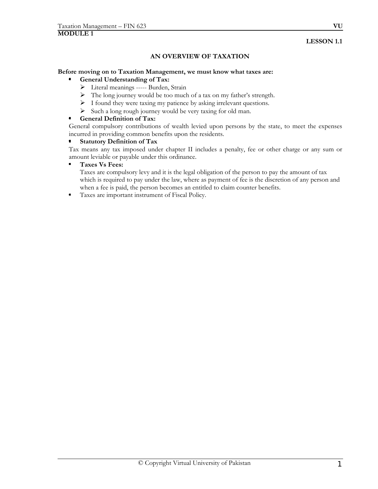#### **LESSON 1.1**

# **AN OVERVIEW OF TAXATION**

#### **Before moving on to Taxation Management, we must know what taxes are:**

#### **General Understanding of Tax:**

- ¾ Literal meanings ----- Burden, Strain
- ¾ The long journey would be too much of a tax on my father's strength.
- ¾ I found they were taxing my patience by asking irrelevant questions.
- $\triangleright$  Such a long rough journey would be very taxing for old man.

#### $\bullet$ **General Definition of Tax:**

General compulsory contributions of wealth levied upon persons by the state, to meet the expenses incurred in providing common benefits upon the residents.

#### $\blacksquare$ **Statutory Definition of Tax**

Tax means any tax imposed under chapter II includes a penalty, fee or other charge or any sum or amount leviable or payable under this ordinance.

#### $\blacksquare$ **Taxes Vs Fees:**

Taxes are compulsory levy and it is the legal obligation of the person to pay the amount of tax which is required to pay under the law, where as payment of fee is the discretion of any person and when a fee is paid, the person becomes an entitled to claim counter benefits.

Taxes are important instrument of Fiscal Policy.  $\blacksquare$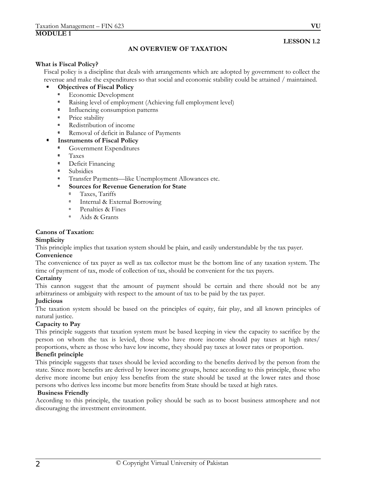# **LESSON 1.2**

# **AN OVERVIEW OF TAXATION**

#### **What is Fiscal Policy?**

Fiscal policy is a discipline that deals with arrangements which are adopted by government to collect the revenue and make the expenditures so that social and economic stability could be attained / maintained.

#### **Objectives of Fiscal Policy**

- $\alpha$ Economic Development
- $\blacksquare$ Raising level of employment (Achieving full employment level)
- $\blacksquare$ Influencing consumption patterns
- $\alpha$  . Price stability
- $\mathbf{r}$ Redistribution of income
- $\alpha$ Removal of deficit in Balance of Payments
- **Instruments of Fiscal Policy**
- $\blacksquare$ Government Expenditures
- $\blacksquare$ Taxes
- $\bar{\alpha}$ Deficit Financing
- Subsidies  $\alpha$
- $\blacksquare$ Transfer Payments—like Unemployment Allowances etc.
- **Sources for Revenue Generation for State** 
	- Taxes, Tariffs  $\blacksquare$
	- Internal & External Borrowing  $\alpha$
	- $\alpha$ Penalties & Fines
	- $\alpha$ Aids & Grants

#### **Canons of Taxation:**

#### **Simplicity**

This principle implies that taxation system should be plain, and easily understandable by the tax payer.

#### **Convenience**

The convenience of tax payer as well as tax collector must be the bottom line of any taxation system. The time of payment of tax, mode of collection of tax, should be convenient for the tax payers.

#### **Certainty**

This cannon suggest that the amount of payment should be certain and there should not be any arbitrariness or ambiguity with respect to the amount of tax to be paid by the tax payer.

#### **Judicious**

The taxation system should be based on the principles of equity, fair play, and all known principles of natural justice.

#### **Capacity to Pay**

This principle suggests that taxation system must be based keeping in view the capacity to sacrifice by the person on whom the tax is levied, those who have more income should pay taxes at high rates/ proportions, where as those who have low income, they should pay taxes at lower rates or proportion.

#### **Benefit principle**

This principle suggests that taxes should be levied according to the benefits derived by the person from the state. Since more benefits are derived by lower income groups, hence according to this principle, those who derive more income but enjoy less benefits from the state should be taxed at the lower rates and those persons who derives less income but more benefits from State should be taxed at high rates.

#### **Business Friendly**

According to this principle, the taxation policy should be such as to boost business atmosphere and not discouraging the investment environment.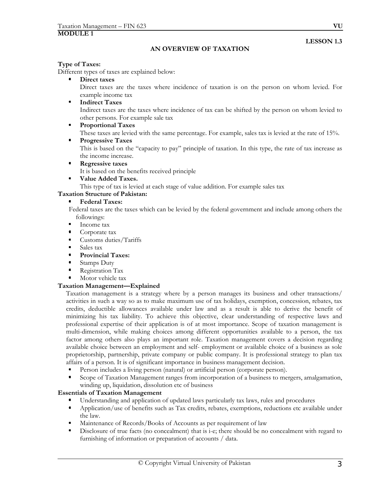**LESSON 1.3** 

#### **AN OVERVIEW OF TAXATION**

#### **Type of Taxes:**

Different types of taxes are explained below:

**Direct taxes** 

Direct taxes are the taxes where incidence of taxation is on the person on whom levied. For example income tax

**Indirect Taxes** 

Indirect taxes are the taxes where incidence of tax can be shifted by the person on whom levied to other persons. For example sale tax

 $\bullet$  . **Proportional Taxes** 

These taxes are levied with the same percentage. For example, sales tax is levied at the rate of 15%.

 $\blacksquare$ **Progressive Taxes** 

> This is based on the "capacity to pay" principle of taxation. In this type, the rate of tax increase as the income increase.

**Regressive taxes** 

It is based on the benefits received principle

 $\blacksquare$ **Value Added Taxes.** 

This type of tax is levied at each stage of value addition. For example sales tax

#### **Taxation Structure of Pakistan:**

# **Federal Taxes:**

Federal taxes are the taxes which can be levied by the federal government and include among others the followings:

- Income tax
- $\blacksquare$ Corporate tax
- $\bullet$ Customs duties/Tariffs
- $\mathbf{r}$ Sales tax
- **Provincial Taxes:**
- Stamps Duty
- Registration Tax
- Motor vehicle tax

#### **Taxation Management—Explained**

 Taxation management is a strategy where by a person manages its business and other transactions/ activities in such a way so as to make maximum use of tax holidays, exemption, concession, rebates, tax credits, deductible allowances available under law and as a result is able to derive the benefit of minimizing his tax liability. To achieve this objective, clear understanding of respective laws and professional expertise of their application is of at most importance. Scope of taxation management is multi-dimension, while making choices among different opportunities available to a person, the tax factor among others also plays an important role. Taxation management covers a decision regarding available choice between an employment and self- employment or available choice of a business as sole proprietorship, partnership, private company or public company. It is professional strategy to plan tax affairs of a person. It is of significant importance in business management decision.

- Person includes a living person (natural) or artificial person (corporate person).
- Scope of Taxation Management ranges from incorporation of a business to mergers, amalgamation, winding up, liquidation, dissolution etc of business

#### **Essentials of Taxation Management**

- Understanding and application of updated laws particularly tax laws, rules and procedures
- $\blacksquare$ Application/use of benefits such as Tax credits, rebates, exemptions, reductions etc available under the law.
- Maintenance of Records/Books of Accounts as per requirement of law
- Disclosure of true facts (no concealment) that is i-e; there should be no concealment with regard to furnishing of information or preparation of accounts / data.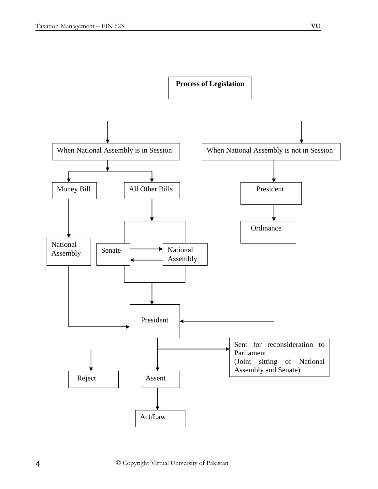

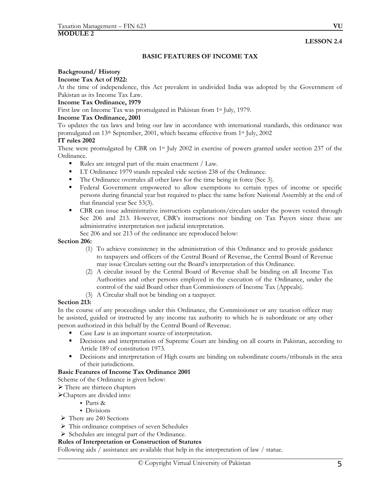#### **LESSON 2.4**

# **BASIC FEATURES OF INCOME TAX**

# **Background/ History**

#### **Income Tax Act of 1922:**

At the time of independence, this Act prevalent in undivided India was adopted by the Government of Pakistan as its Income Tax Law.

#### **Income Tax Ordinance, 1979**

First law on Income Tax was promulgated in Pakistan from 1st July, 1979.

#### **Income Tax Ordinance, 2001**

To updates the tax laws and bring our law in accordance with international standards, this ordinance was promulgated on 13<sup>th</sup> September, 2001, which became effective from 1<sup>st</sup> July, 2002

#### **IT rules 2002**

These were promulgated by CBR on 1<sup>st</sup> July 2002 in exercise of powers granted under section 237 of the Ordinance.

- Rules are integral part of the main enactment / Law.
- I.T Ordinance 1979 stands repealed vide section 238 of the Ordinance.
- The Ordinance overrules all other laws for the time being in force (Sec 3).
- Federal Government empowered to allow exemptions to certain types of income or specific persons during financial year but required to place the same before National Assembly at the end of that financial year Sec 53(3).
- **EXPLEM** CBR can issue administrative instructions explanations/circulars under the powers vested through Sec 206 and 213. However, CBR's instructions not binding on Tax Payers since these are administrative interpretation not judicial interpretation.

Sec 206 and sec 213 of the ordinance are reproduced below:

#### **Section 206:**

- (1) To achieve consistency in the administration of this Ordinance and to provide guidance to taxpayers and officers of the Central Board of Revenue, the Central Board of Revenue may issue Circulars setting out the Board's interpretation of this Ordinance.
- (2) A circular issued by the Central Board of Revenue shall be binding on all Income Tax Authorities and other persons employed in the execution of the Ordinance, under the control of the said Board other than Commissioners of Income Tax (Appeals).
- (3) A Circular shall not be binding on a taxpayer.

#### **Section 213:**

In the course of any proceedings under this Ordinance, the Commissioner or any taxation officer may be assisted, guided or instructed by any income tax authority to which he is subordinate or any other person authorized in this behalf by the Central Board of Revenue.

- Case Law is an important source of interpretation.
- **•** Decisions and interpretation of Supreme Court are binding on all courts in Pakistan, according to Article 189 of constitution 1973.
- Decisions and interpretation of High courts are binding on subordinate courts/tribunals in the area of their jurisdictions.

#### **Basic Features of Income Tax Ordinance 2001**

Scheme of the Ordinance is given below:

- $\triangleright$  There are thirteen chapters
- ¾Chapters are divided into:
	- Parts &
	- Divisions
- $\triangleright$  There are 240 Sections
- $\triangleright$  This ordinance comprises of seven Schedules
- ¾ Schedules are integral part of the Ordinance.

#### **Rules of Interpretation or Construction of Statutes**

Following aids / assistance are available that help in the interpretation of law / statue.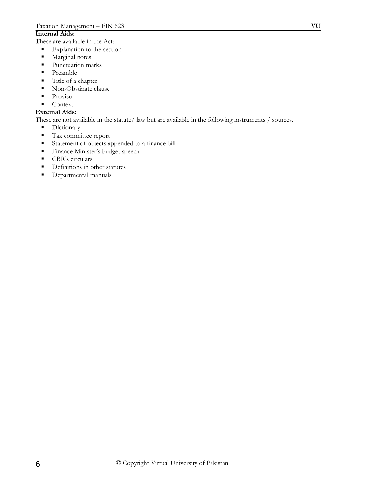#### **Internal Aids:**

These are available in the Act:

- **Explanation to the section**
- **Marginal notes**
- Punctuation marks
- Preamble
- Title of a chapter
- Non-Obstinate clause
- $\blacksquare$  Proviso
- Context

# **External Aids:**

These are not available in the statute/ law but are available in the following instruments / sources.

- Dictionary
- **Tax committee report**
- Statement of objects appended to a finance bill
- **Finance Minister's budget speech**
- CBR's circulars
- Definitions in other statutes
- **Departmental manuals**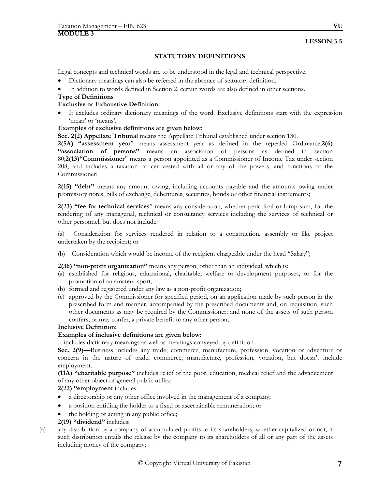# **STATUTORY DEFINITIONS**

Legal concepts and technical words are to be understood in the legal and technical perspective.

- Dictionary meanings can also be referred in the absence of statutory definition.
- In addition to words defined in Section 2, certain words are also defined in other sections.

### **Type of Definitions**

# **Exclusive or Exhaustive Definition:**

It excludes ordinary dictionary meanings of the word. Exclusive definitions start with the expression 'mean' or 'means'.

# **Examples of exclusive definitions are given below:**

**Sec. 2(2) Appellate Tribunal** means the Appellate Tribunal established under section 130.

**2(5A) "assessment year**" means assessment year as defined in the repealed Ordinance;**2(6) "association of persons"** means an association of persons as defined in section 80;**2(13)"Commissioner**" means a person appointed as a Commissioner of Income Tax under section 208, and includes a taxation officer vested with all or any of the powers, and functions of the Commissioner;

**2(15) "debt"** means any amount owing, including accounts payable and the amounts owing under promissory notes, bills of exchange, debentures, securities, bonds or other financial instruments;

**2(23) "fee for technical services**" means any consideration, whether periodical or lump sum, for the rendering of any managerial, technical or consultancy services including the services of technical or other personnel, but does not include:

(a) Consideration for services rendered in relation to a construction, assembly or like project undertaken by the recipient; or

(b) Consideration which would be income of the recipient chargeable under the head "Salary";

**2(36) "non-profit organization"** means any person, other than an individual, which is:

- (a) established for religious, educational, charitable, welfare or development purposes, or for the promotion of an amateur sport;
- (b) formed and registered under any law as a non-profit organization;
- (c) approved by the Commissioner for specified period, on an application made by such person in the prescribed form and manner, accompanied by the prescribed documents and, on requisition, such other documents as may be required by the Commissioner; and none of the assets of such person confers, or may confer, a private benefit to any other person;

#### **Inclusive Definition:**

# **Examples of inclusive definitions are given below:**

It includes dictionary meanings as well as meanings conveyed by definition.

**Sec. 2(9)—**Business includes any trade, commerce, manufacture, profession, vocation or adventure or concern in the nature of trade, commerce, manufacture, profession, vocation, but doesn't include employment.

**(11A) "charitable purpose"** includes relief of the poor, education, medical relief and the advancement of any other object of general public utility;

# **2(22) "employment** includes:

- a directorship or any other office involved in the management of a company;
- a position entitling the holder to a fixed or ascertainable remuneration; or
- the holding or acting in any public office;

# **2(19) "dividend"** includes:

(a) any distribution by a company of accumulated profits to its shareholders, whether capitalized or not, if such distribution entails the release by the company to its shareholders of all or any part of the assets including money of the company;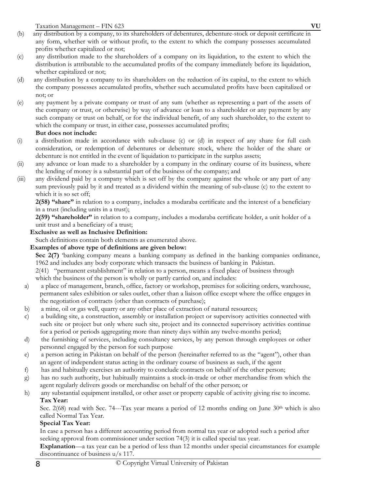- (b) any distribution by a company, to its shareholders of debentures, debenture-stock or deposit certificate in any form, whether with or without profit, to the extent to which the company possesses accumulated profits whether capitalized or not;
- (c) any distribution made to the shareholders of a company on its liquidation, to the extent to which the distribution is attributable to the accumulated profits of the company immediately before its liquidation, whether capitalized or not;
- (d) any distribution by a company to its shareholders on the reduction of its capital, to the extent to which the company possesses accumulated profits, whether such accumulated profits have been capitalized or not; or
- (e) any payment by a private company or trust of any sum (whether as representing a part of the assets of the company or trust, or otherwise) by way of advance or loan to a shareholder or any payment by any such company or trust on behalf, or for the individual benefit, of any such shareholder, to the extent to which the company or trust, in either case, possesses accumulated profits;

### **But does not include:**

- (i) a distribution made in accordance with sub-clause (c) or (d) in respect of any share for full cash consideration, or redemption of debentures or debenture stock, where the holder of the share or debenture is not entitled in the event of liquidation to participate in the surplus assets;
- (ii) any advance or loan made to a shareholder by a company in the ordinary course of its business, where the lending of money is a substantial part of the business of the company; and
- (iii) any dividend paid by a company which is set off by the company against the whole or any part of any sum previously paid by it and treated as a dividend within the meaning of sub-clause (c) to the extent to which it is so set off;

**2(58) "share"** in relation to a company, includes a modaraba certificate and the interest of a beneficiary in a trust (including units in a trust);

**2(59) "shareholder"** in relation to a company, includes a modaraba certificate holder, a unit holder of a unit trust and a beneficiary of a trust;

### **Exclusive as well as Inclusive Definition:**

Such definitions contain both elements as enumerated above.

# **Examples of above type of definitions are given below:**

**Sec 2(7)** 'banking company means a banking company as defined in the banking companies ordinance, 1962 and includes any body corporate which transacts the business of banking in Pakistan.

2(41) "permanent establishment" in relation to a person, means a fixed place of business through which the business of the person is wholly or partly carried on, and includes:

- a) a place of management, branch, office, factory or workshop, premises for soliciting orders, warehouse, permanent sales exhibition or sales outlet, other than a liaison office except where the office engages in the negotiation of contracts (other than contracts of purchase);
- b) a mine, oil or gas well, quarry or any other place of extraction of natural resources;
- c) a building site, a construction, assembly or installation project or supervisory activities connected with such site or project but only where such site, project and its connected supervisory activities continue for a period or periods aggregating more than ninety days within any twelve-months period;
- d) the furnishing of services, including consultancy services, by any person through employees or other personnel engaged by the person for such purpose
- e) a person acting in Pakistan on behalf of the person (hereinafter referred to as the "agent"), other than an agent of independent status acting in the ordinary course of business as such, if the agent
- f) has and habitually exercises an authority to conclude contracts on behalf of the other person;
- g) has no such authority, but habitually maintains a stock-in-trade or other merchandise from which the agent regularly delivers goods or merchandise on behalf of the other person; or
- h) any substantial equipment installed, or other asset or property capable of activity giving rise to income. **Tax Year:**

Sec. 2(68) read with Sec. 74---Tax year means a period of 12 months ending on June 30<sup>th</sup> which is also called Normal Tax Year.

# **Special Tax Year:**

 In case a person has a different accounting period from normal tax year or adopted such a period after seeking approval from commissioner under section 74(3) it is called special tax year.

**Explanation**—a tax year can be a period of less than 12 months under special circumstances for example discontinuance of business u/s 117.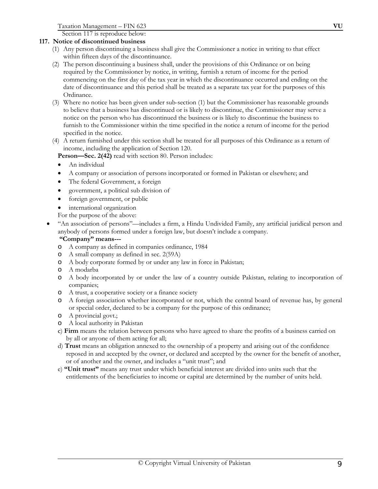Section 117 is reproduce below:

# **117. Notice of discontinued business**

- (1) Any person discontinuing a business shall give the Commissioner a notice in writing to that effect within fifteen days of the discontinuance.
- (2) The person discontinuing a business shall, under the provisions of this Ordinance or on being required by the Commissioner by notice, in writing, furnish a return of income for the period commencing on the first day of the tax year in which the discontinuance occurred and ending on the date of discontinuance and this period shall be treated as a separate tax year for the purposes of this Ordinance.
- (3) Where no notice has been given under sub-section (1) but the Commissioner has reasonable grounds to believe that a business has discontinued or is likely to discontinue, the Commissioner may serve a notice on the person who has discontinued the business or is likely to discontinue the business to furnish to the Commissioner within the time specified in the notice a return of income for the period specified in the notice.
- (4) A return furnished under this section shall be treated for all purposes of this Ordinance as a return of income, including the application of Section 120.

**Person—Sec. 2(42)** read with section 80. Person includes:

- An individual
- A company or association of persons incorporated or formed in Pakistan or elsewhere; and
- The federal Government, a foreign
- government, a political sub division of
- foreign government, or public
- international organization

For the purpose of the above:

• "An association of persons"—includes a firm, a Hindu Undivided Family, any artificial juridical person and anybody of persons formed under a foreign law, but doesn't include a company.

#### **"Company" means---**

- o A company as defined in companies ordinance, 1984
- o A small company as defined in sec. 2(59A)
- o A body corporate formed by or under any law in force in Pakistan;
- o A modarba
- o A body incorporated by or under the law of a country outside Pakistan, relating to incorporation of companies;
- o A trust, a cooperative society or a finance society
- o A foreign association whether incorporated or not, which the central board of revenue has, by general or special order, declared to be a company for the purpose of this ordinance;
- o A provincial govt.;
- o A local authority in Pakistan
- c)**Firm** means the relation between persons who have agreed to share the profits of a business carried on by all or anyone of them acting for all;
- d) **Trust** means an obligation annexed to the ownership of a property and arising out of the confidence reposed in and accepted by the owner, or declared and accepted by the owner for the benefit of another, or of another and the owner, and includes a "unit trust"; and
- e) **"Unit trust"** means any trust under which beneficial interest are divided into units such that the entitlements of the beneficiaries to income or capital are determined by the number of units held.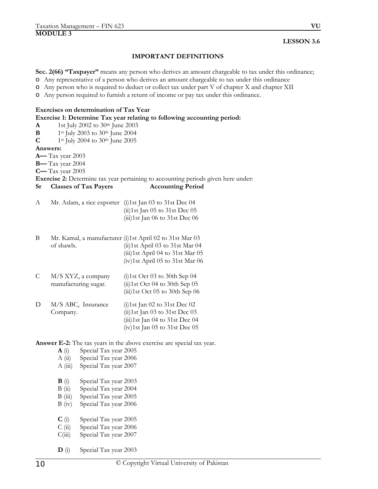#### **LESSON 3.6**

#### **IMPORTANT DEFINITIONS**

**Sec. 2(66) "Taxpayer"** means any person who derives an amount chargeable to tax under this ordinance;

o Any representative of a person who derives an amount chargeable to tax under this ordinance

o Any person who is required to deduct or collect tax under part V of chapter X and chapter XII

o Any person required to furnish a return of income or pay tax under this ordinance.

#### **Exercises on determination of Tax Year**

**Exercise 1: Determine Tax year relating to following accounting period:** 

- **A** 1st July 2002 to 30th June 2003
- **B** 1st July 2003 to 30th June 2004
- **C** 1st July 2004 to 30th June 2005

#### **Answers:**

**A—** Tax year 2003

**B—** Tax year 2004

**C—** Tax year 2005

**Exercise 2:** Determine tax year pertaining to accounting periods given here under:

#### **Sr Classes of Tax Payers Accounting Period**

- A Mr. Aslam, a rice exporter (i)1st Jan 03 to 31st Dec 04 (ii)1st Jan 05 to 31st Dec 05 (iii)1st Jan 06 to 31st Dec 06
- B Mr. Kamal, a manufacturer (i)1st April 02 to 31st Mar 03 of shawls. (ii)1st April 03 to 31st Mar 04 (iii)1st April 04 to 31st Mar 05 (iv)1st April 05 to 31st Mar 06
- C M/S XYZ, a company manufacturing sugar. (i)1st Oct 03 to 30th Sep 04 (ii)1st Oct 04 to 30th Sep 05 (iii)1st Oct 05 to 30th Sep 06
- D M/S ABC, Insurance Company. (i)1st Jan 02 to 31st Dec 02 (ii)1st Jan 03 to 31st Dec 03 (iii)1st Jan 04 to 31st Dec 04 (iv)1st Jan 05 to 31st Dec 05

**Answer E-2:** The tax years in the above exercise are special tax year.

- **A** (i) Special Tax year 2005
- A (ii) Special Tax year 2006
- A (iii) Special Tax year 2007
- **B** (i) Special Tax year 2003
- B (ii) Special Tax year 2004
- B (iii) Special Tax year 2005
- B (iv) Special Tax year 2006
- **C** (i) Special Tax year 2005
- C (ii) Special Tax year 2006
- C(iii) Special Tax year 2007
- **D** (i) Special Tax year 2003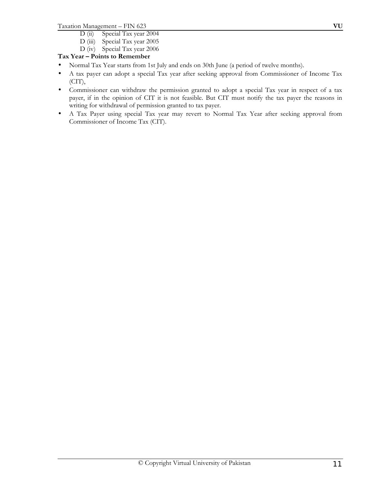- D (ii) Special Tax year 2004
- D (iii) Special Tax year 2005
- D (iv) Special Tax year 2006

# **Tax Year – Points to Remember**

- Normal Tax Year starts from 1st July and ends on 30th June (a period of twelve months).
- A tax payer can adopt a special Tax year after seeking approval from Commissioner of Income Tax (CIT),
- Commissioner can withdraw the permission granted to adopt a special Tax year in respect of a tax payer, if in the opinion of CIT it is not feasible. But CIT must notify the tax payer the reasons in writing for withdrawal of permission granted to tax payer.
- A Tax Payer using special Tax year may revert to Normal Tax Year after seeking approval from Commissioner of Income Tax (CIT).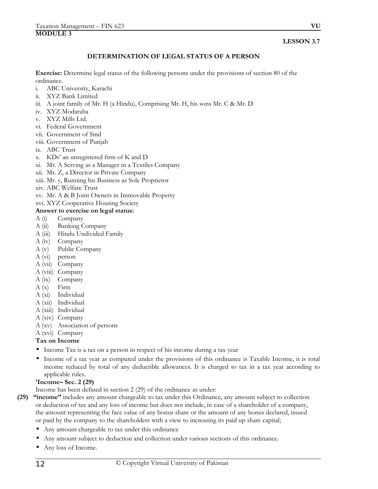#### **LESSON 3.7**

### **DETERMINATION OF LEGAL STATUS OF A PERSON**

**Exercise:** Determine legal status of the following persons under the provisions of section 80 of the ordinance.

- i. ABC University, Karachi
- ii. XYZ Bank Limited
- iii. A joint family of Mr. H (a Hindu), Comprising Mr. H, his sons Mr. C & Mr. D
- iv. XYZ Modaraba
- v. XYZ Mills Ltd.
- vi. Federal Government
- vii. Government of Sind
- viii. Government of Punjab
- ix. ABC Trust
- x. KDs' an unregistered firm of K and D
- xi. Mr. A Serving as a Manager in a Textiles Company
- xii. Mr. Z, a Director in Private Company
- xiii. Mr. y, Running his Business as Sole Proprietor
- xiv. ABC Welfare Trust
- xv. Mr. A & B Joint Owners in Immovable Property

# xvi. XYZ Cooperative Housing Society

#### **Answer to exercise on legal status:**

- A (i) Company
- A (ii) Banking Company
- A (iii) Hindu Undivided Family
- A (iv) Company
- A (v) Public Company
- A (vi) person
- A (vii) Company
- A (viii) Company
- A (ix) Company
- $A(x)$  Firm
- A (xi) Individual
- A (xii) Individual
- A (xiii) Individual
- A (xiv) Company
- A (xv) Association of persons
- A (xvi) Company

# **Tax on Income**

- Income Tax is a tax on a person in respect of his income during a tax year
- Income of a tax year as computed under the provisions of this ordinance is Taxable Income, it is total income reduced by total of any deductible allowances. It is charged to tax in a tax year according to applicable rules.

# **'Income– Sec. 2 (29)**

Income has been defined in section 2 (29) of the ordinance as under:

- **(29) "income"** includes any amount chargeable to tax under this Ordinance, any amount subject to collection or deduction of tax and any loss of income but does not include, in case of a shareholder of a company, the amount representing the face value of any bonus share or the amount of any bonus declared, issued or paid by the company to the shareholders with a view to increasing its paid up share capital;
	- Any amount chargeable to tax under this ordinance
	- Any amount subject to deduction and collection under various sections of this ordinance.
	- Any loss of Income.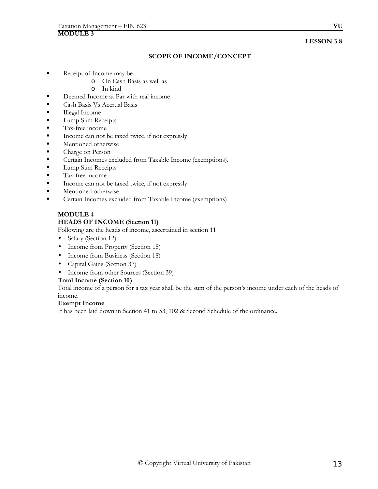## **LESSON 3.8**

# **SCOPE OF INCOME/CONCEPT**

- Receipt of Income may be
	- o On Cash Basis as well as
	- o In kind
- Deemed Income at Par with real income
- Cash Basis Vs Accrual Basis
- **Illegal Income**
- **Lump Sum Receipts**
- **Tax-free income**
- Income can not be taxed twice, if not expressly
- Mentioned otherwise
- Charge on Person
- **Certain Incomes excluded from Taxable Income (exemptions).**
- **Lump Sum Receipts**
- **Tax-free income**
- Income can not be taxed twice, if not expressly
- **Mentioned otherwise**
- Certain Incomes excluded from Taxable Income (exemptions)

# **MODULE 4 HEADS OF INCOME (Section 11)**

Following are the heads of income, ascertained in section 11

- Salary (Section 12)
- Income from Property (Section 15)
- Income from Business (Section 18)
- Capital Gains (Section 37)
- Income from other Sources (Section 39)

#### **Total Income (Section 10)**

Total income of a person for a tax year shall be the sum of the person's income under each of the heads of income.

#### **Exempt Income**

It has been laid down in Section 41 to 53, 102 & Second Schedule of the ordinance.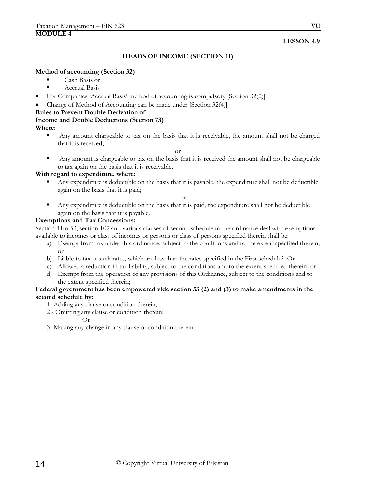#### **HEADS OF INCOME (SECTION 11)**

#### **Method of accounting (Section 32)**

- Cash Basis or
- **Accrual Basis**
- For Companies 'Accrual Basis' method of accounting is compulsory [Section 32(2)]
- Change of Method of Accounting can be made under [Section 32(4)]

# **Rules to Prevent Double Derivation of**

# **Income and Double Deductions (Section 73)**

# **Where:**

 Any amount chargeable to tax on the basis that it is receivable, the amount shall not be charged that it is received;

or

 Any amount is chargeable to tax on the basis that it is received the amount shall not be chargeable to tax again on the basis that it is receivable.

#### **With regard to expenditure, where:**

 Any expenditure is deductible on the basis that it is payable, the expenditure shall not be deductible again on the basis that it is paid;

or

 Any expenditure is deductible on the basis that it is paid, the expenditure shall not be deductible again on the basis that it is payable.

# **Exemptions and Tax Concessions:**

Section 41to 53, section 102 and various clauses of second schedule to the ordinance deal with exemptions available to incomes or class of incomes or persons or class of persons specified therein shall be:

- a) Exempt from tax under this ordinance, subject to the conditions and to the extent specified therein; or
- b) Liable to tax at such rates, which are less than the rates specified in the First schedule? Or
- c) Allowed a reduction in tax liability, subject to the conditions and to the extent specified therein; or
- d) Exempt from the operation of any provisions of this Ordinance, subject to the conditions and to the extent specified therein;

#### **Federal government has been empowered vide section 53 (2) and (3) to make amendments in the second schedule by:**

- 1- Adding any clause or condition therein;
- 2 Omitting any clause or condition therein;

Or

3- Making any change in any clause or condition therein.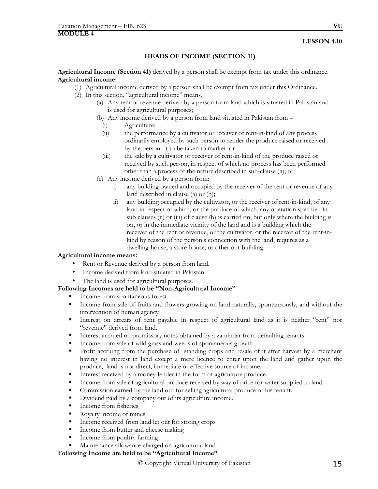# **HEADS OF INCOME (SECTION 11)**

**Agricultural Income (Section 41)** derived by a person shall be exempt from tax under this ordinance. **Agricultural income:**

- (1) Agricultural income derived by a person shall be exempt from tax under this Ordinance.
- (2) In this section, "agricultural income" means,
	- (a) Any rent or revenue derived by a person from land which is situated in Pakistan and is used for agricultural purposes;
	- (b) Any income derived by a person from land situated in Pakistan from
		- (i) Agriculture;
		- (ii) the performance by a cultivator or receiver of rent-in-kind of any process ordinarily employed by such person to render the produce raised or received by the person fit to be taken to market; or
		- (iii) the sale by a cultivator or receiver of rent-in-kind of the produce raised or received by such person, in respect of which no process has been performed other than a process of the nature described in sub-clause (ii); or
	- (c) Any income derived by a person from:
		- i) any building owned and occupied by the receiver of the rent or revenue of any land described in clause (a) or (b);
		- ii) any building occupied by the cultivator, or the receiver of rent-in-kind, of any land in respect of which, or the produce of which, any operation specified in sub clauses (ii) or (iii) of clause (b) is carried on, but only where the building is on, or in the immediate vicinity of the land and is a building which the receiver of the rent or revenue, or the cultivator, or the receiver of the rent-inkind by reason of the person's connection with the land, requires as a dwelling-house, a store-house, or other out-building.

#### **Agricultural income means:**

- Rent or Revenue derived by a person from land.
- Income derived from land situated in Pakistan.
- The land is used for agricultural purposes.

#### **Following Incomes are held to be "Non-Agricultural Income"**

- Income from spontaneous forest
- Income from sale of fruits and flowers growing on land naturally, spontaneously, and without the intervention of human agency
- Interest on arrears of rent payable in respect of agricultural land as it is neither "rent" nor "revenue" derived from land.
- Interest accrued on promissory notes obtained by a zamindar from defaulting tenants.
- Income from sale of wild grass and weeds of spontaneous growth
- Profit accruing from the purchase of standing crops and resale of it after harvest by a merchant having no interest in land except a mere licence to enter upon the land and gather upon the produce, land is not direct, immediate or effective source of income.
- Interest received by a money-lender in the form of agriculture produce.
- Income from sale of agricultural produce received by way of price for water supplied to land.
- Commission earned by the landlord for selling agricultural produce of his tenant.
- Dividend paid by a company out of its agriculture income.
- Income from fisheries
- Royalty income of mines
- Income received from land let out for storing crops
- Income from butter and cheese making
- Income from poultry farming
- Maintenance allowance charged on agricultural land.

#### **Following Income are held to be "Agricultural Income"**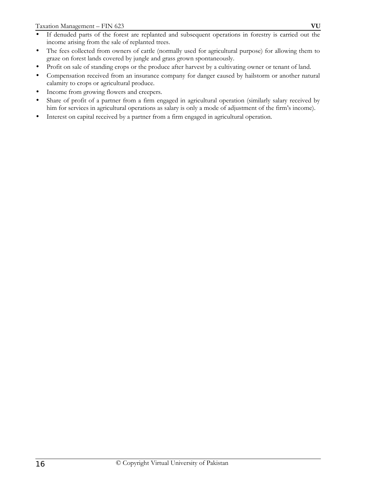- If denuded parts of the forest are replanted and subsequent operations in forestry is carried out the income arising from the sale of replanted trees.
- The fees collected from owners of cattle (normally used for agricultural purpose) for allowing them to graze on forest lands covered by jungle and grass grown spontaneously.
- Profit on sale of standing crops or the produce after harvest by a cultivating owner or tenant of land.
- Compensation received from an insurance company for danger caused by hailstorm or another natural calamity to crops or agricultural produce.
- Income from growing flowers and creepers.
- Share of profit of a partner from a firm engaged in agricultural operation (similarly salary received by him for services in agricultural operations as salary is only a mode of adjustment of the firm's income).
- Interest on capital received by a partner from a firm engaged in agricultural operation.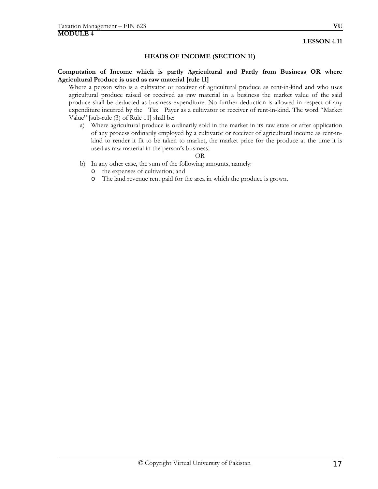#### **HEADS OF INCOME (SECTION 11)**

#### **Computation of Income which is partly Agricultural and Partly from Business OR where Agricultural Produce is used as raw material [rule 11]**

Where a person who is a cultivator or receiver of agricultural produce as rent-in-kind and who uses agricultural produce raised or received as raw material in a business the market value of the said produce shall be deducted as business expenditure. No further deduction is allowed in respect of any expenditure incurred by the Tax Payer as a cultivator or receiver of rent-in-kind. The word "Market Value" [sub-rule (3) of Rule 11] shall be:

a) Where agricultural produce is ordinarily sold in the market in its raw state or after application of any process ordinarily employed by a cultivator or receiver of agricultural income as rent-inkind to render it fit to be taken to market, the market price for the produce at the time it is used as raw material in the person's business;

#### OR

- b) In any other case, the sum of the following amounts, namely:
	- o the expenses of cultivation; and
	- o The land revenue rent paid for the area in which the produce is grown.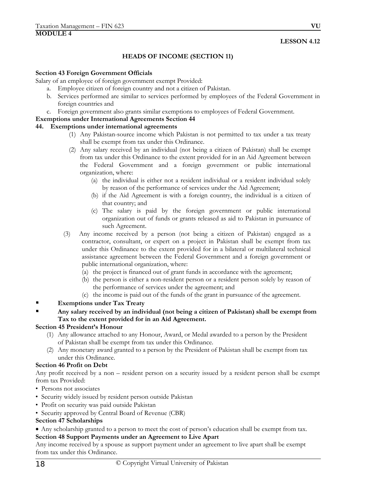# **HEADS OF INCOME (SECTION 11)**

#### **Section 43 Foreign Government Officials**

Salary of an employee of foreign government exempt Provided:

- a. Employee citizen of foreign country and not a citizen of Pakistan.
- b. Services performed are similar to services performed by employees of the Federal Government in foreign countries and
- c. Foreign government also grants similar exemptions to employees of Federal Government.

#### **Exemptions under International Agreements Section 44**

#### **44. Exemptions under international agreements**

- (1) Any Pakistan-source income which Pakistan is not permitted to tax under a tax treaty shall be exempt from tax under this Ordinance.
- (2) Any salary received by an individual (not being a citizen of Pakistan) shall be exempt from tax under this Ordinance to the extent provided for in an Aid Agreement between the Federal Government and a foreign government or public international organization, where:
	- (a) the individual is either not a resident individual or a resident individual solely by reason of the performance of services under the Aid Agreement;
	- (b) if the Aid Agreement is with a foreign country, the individual is a citizen of that country; and
	- (c) The salary is paid by the foreign government or public international organization out of funds or grants released as aid to Pakistan in pursuance of such Agreement.
- (3) Any income received by a person (not being a citizen of Pakistan) engaged as a contractor, consultant, or expert on a project in Pakistan shall be exempt from tax under this Ordinance to the extent provided for in a bilateral or multilateral technical assistance agreement between the Federal Government and a foreign government or public international organization, where:
	- (a) the project is financed out of grant funds in accordance with the agreement;
	- (b) the person is either a non-resident person or a resident person solely by reason of the performance of services under the agreement; and
	- (c) the income is paid out of the funds of the grant in pursuance of the agreement.

#### **Exemptions under Tax Treaty**

 **Any salary received by an individual (not being a citizen of Pakistan) shall be exempt from Tax to the extent provided for in an Aid Agreement.**

#### **Section 45 President's Honour**

- (1) Any allowance attached to any Honour, Award, or Medal awarded to a person by the President of Pakistan shall be exempt from tax under this Ordinance.
- (2) Any monetary award granted to a person by the President of Pakistan shall be exempt from tax under this Ordinance.

#### **Section 46 Profit on Debt**

Any profit received by a non – resident person on a security issued by a resident person shall be exempt from tax Provided:

- Persons not associates
- Security widely issued by resident person outside Pakistan
- Profit on security was paid outside Pakistan
- Security approved by Central Board of Revenue (CBR)

#### **Section 47 Scholarships**

• Any scholarship granted to a person to meet the cost of person's education shall be exempt from tax.

#### **Section 48 Support Payments under an Agreement to Live Apart**

Any income received by a spouse as support payment under an agreement to live apart shall be exempt from tax under this Ordinance.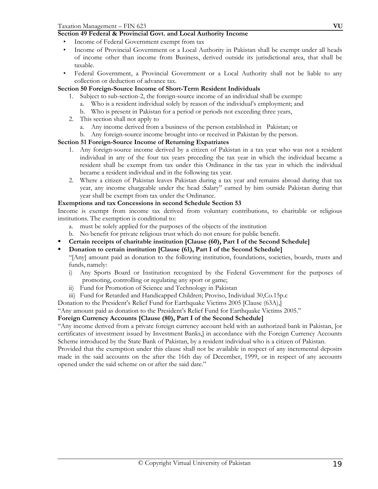# **Section 49 Federal & Provincial Govt. and Local Authority Income**

- Income of Federal Government exempt from tax
- Income of Provincial Government or a Local Authority in Pakistan shall be exempt under all heads of income other than income from Business, derived outside its jurisdictional area, that shall be taxable.
- Federal Government, a Provincial Government or a Local Authority shall not be liable to any collection or deduction of advance tax.

# **Section 50 Foreign-Source Income of Short-Term Resident Individuals**

- 1. Subject to sub-section-2, the foreign-source income of an individual shall be exempt:
	- a. Who is a resident individual solely by reason of the individual's employment; and
	- b. Who is present in Pakistan for a period or periods not exceeding three years,
- 2. This section shall not apply to
	- a. Any income derived from a business of the person established in Pakistan; or
	- b. Any foreign-source income brought into or received in Pakistan by the person.

# **Section 51 Foreign-Source Income of Returning Expatriates**

- 1. Any foreign-source income derived by a citizen of Pakistan in a tax year who was not a resident individual in any of the four tax years preceding the tax year in which the individual became a resident shall be exempt from tax under this Ordinance in the tax year in which the individual became a resident individual and in the following tax year.
- 2. Where a citizen of Pakistan leaves Pakistan during a tax year and remains abroad during that tax year, any income chargeable under the head :Salary" earned by him outside Pakistan during that year shall be exempt from tax under the Ordinance.

### **Exemptions and tax Concessions in second Schedule Section 53**

Income is exempt from income tax derived from voluntary contributions, to charitable or religious institutions. The exemption is conditional to:

- a. must be solely applied for the purposes of the objects of the institution
- b. No benefit for private religious trust which do not ensure for public benefit.
- **Certain receipts of charitable institution [Clause (60), Part I of the Second Schedule]**
- **Donation to certain institution [Clause (61), Part I of the Second Schedule]**

"[Any] amount paid as donation to the following institution, foundations, societies, boards, trusts and funds, namely:

- i) Any Sports Board or Institution recognized by the Federal Government for the purposes of promoting, controlling or regulating any sport or game;
- ii) Fund for Promotion of Science and Technology in Pakistan
- iii) Fund for Retarded and Handicapped Children; Proviso, Individual 30,Co.15p.c

Donation to the President's Relief Fund for Earthquake Victims 2005 [Clause (63A),]

"Any amount paid as donation to the President's Relief Fund for Earthquake Victims 2005."

# **Foreign Currency Accounts [Clause (80), Part I of the Second Schedule]**

"Any income derived from a private foreign currency account held with an authorized bank in Pakistan, [or certificates of investment issued by Investment Banks,] in accordance with the Foreign Currency Accounts Scheme introduced by the State Bank of Pakistan, by a resident individual who is a citizen of Pakistan.

Provided that the exemption under this clause shall not be available in respect of any incremental deposits made in the said accounts on the after the 16th day of December, 1999, or in respect of any accounts opened under the said scheme on or after the said date."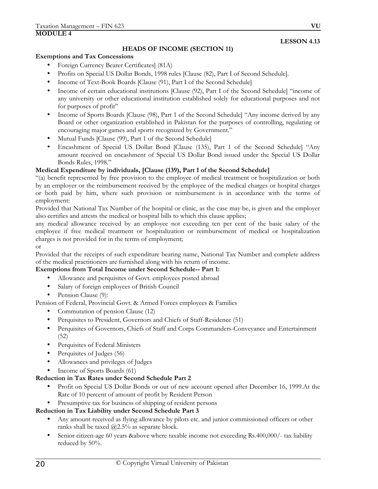# **HEADS OF INCOME (SECTION 11)**

#### **Exemptions and Tax Concessions**

- Foreign Currency Bearer Certificates] (81A)
- Profits on Special US Dollar Bonds, 1998 rules [Clause (82), Part I of Second Schedule].
- Income of Text-Book Boards [Clause (91), Part I of the Second Schedule]
- Income of certain educational institutions [Clause (92), Part I of the Second Schedule] "income of any university or other educational institution established solely for educational purposes and not for purposes of profit"
- Income of Sports Boards [Clause (98), Part 1 of the Second Schedule] "Any income derived by any Board or other organization established in Pakistan for the purposes of controlling, regulating or encouraging major games and sports recognized by Government."
- Mutual Funds [Clause (99), Part 1 of the Second Schedule]
- Encashment of Special US Dollar Bond [Clause (135), Part 1 of the Second Schedule] "Any amount received on encashment of Special US Dollar Bond issued under the Special US Dollar Bonds Rules, 1998."

# **Medical Expenditure by individuals, [Clause (139), Part 1 of the Second Schedule]**

"(a) benefit represented by free provision to the employee of medical treatment or hospitalization or both by an employer or the reimbursement received by the employee of the medical charges or hospital charges or both paid by him, where such provision or reimbursement is in accordance with the terms of employment:

Provided that National Tax Number of the hospital or clinic, as the case may be, is given and the employer also certifies and attests the medical or hospital bills to which this clause applies;

any medical allowance received by an employee not exceeding ten per cent of the basic salary of the employee if free medical treatment or hospitalization or reimbursement of medical or hospitalization charges is not provided for in the terms of employment;

or

Provided that the receipts of such expenditure bearing name, National Tax Number and complete address of the medical practitioners are furnished along with his return of income.

#### **Exemptions from Total Income under Second Schedule-- Part 1:**

- Allowance and perquisites of Govt. employees posted abroad
- Salary of foreign employees of British Council
- Pension Clause (9):

Pension of Federal, Provincial Govt. & Armed Forces employees & Families

- Commutation of pension Clause (12)
- Perquisites to President, Governors and Chiefs of Staff-Residence (51)
- Perquisites of Governors, Chiefs of Staff and Corps Commanders-Conveyance and Entertainment (52)
- Perquisites of Federal Ministers
- Perquisites of Judges (56)
- Allowances and privileges of Judges
- Income of Sports Boards (61)

#### **Reduction in Tax Rates under Second Schedule Part 2**

- Profit on Special US Dollar Bonds or out of new account opened after December 16, 1999.At the Rate of 10 percent of amount of profit by Resident Person
- Presumptive tax for business of shipping of resident persons

#### **Reduction in Tax Liability under Second Schedule Part 3**

- Any amount received as flying allowance by pilots etc. and junior commissioned officers or other ranks shall be taxed  $@2.5\%$  as separate block.
- Senior citizen-age 60 years & above where taxable income not exceeding Rs.400,000/- tax liability reduced by 50%.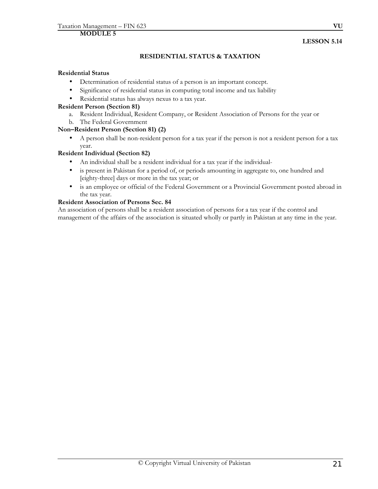# **RESIDENTIAL STATUS & TAXATION**

#### **Residential Status**

- Determination of residential status of a person is an important concept.
- Significance of residential status in computing total income and tax liability
- Residential status has always nexus to a tax year.

### **Resident Person (Section 81)**

- a. Resident Individual, Resident Company, or Resident Association of Persons for the year or
- b. The Federal Government

# **Non–Resident Person (Section 81) (2)**

• A person shall be non-resident person for a tax year if the person is not a resident person for a tax year.

### **Resident Individual (Section 82)**

- An individual shall be a resident individual for a tax year if the individual-
- is present in Pakistan for a period of, or periods amounting in aggregate to, one hundred and [eighty-three] days or more in the tax year; or
- is an employee or official of the Federal Government or a Provincial Government posted abroad in the tax year.

# **Resident Association of Persons Sec. 84**

An association of persons shall be a resident association of persons for a tax year if the control and management of the affairs of the association is situated wholly or partly in Pakistan at any time in the year.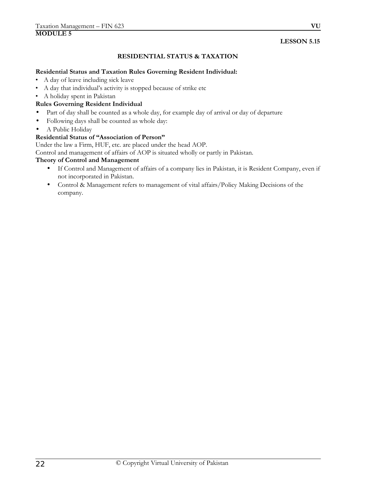# **RESIDENTIAL STATUS & TAXATION**

#### **Residential Status and Taxation Rules Governing Resident Individual:**

- A day of leave including sick leave
- A day that individual's activity is stopped because of strike etc
- A holiday spent in Pakistan

# **Rules Governing Resident Individual**

- Part of day shall be counted as a whole day, for example day of arrival or day of departure
- Following days shall be counted as whole day:
- A Public Holiday

### **Residential Status of "Association of Person"**

Under the law a Firm, HUF, etc. are placed under the head AOP.

Control and management of affairs of AOP is situated wholly or partly in Pakistan.

#### **Theory of Control and Management**

- If Control and Management of affairs of a company lies in Pakistan, it is Resident Company, even if not incorporated in Pakistan.
- Control & Management refers to management of vital affairs/Policy Making Decisions of the company.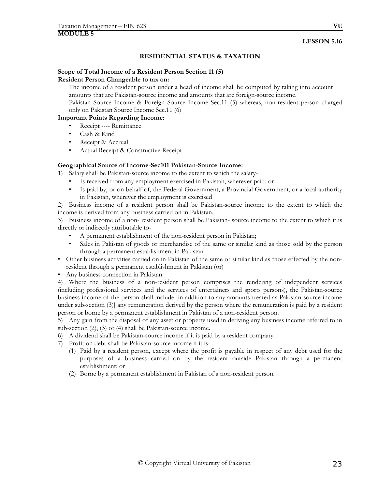#### **RESIDENTIAL STATUS & TAXATION**

#### **Scope of Total Income of a Resident Person Section 11 (5) Resident Person Changeable to tax on:**

The income of a resident person under a head of income shall be computed by taking into account amounts that are Pakistan-source income and amounts that are foreign-source income.

Pakistan Source Income & Foreign Source Income Sec.11 (5) whereas, non-resident person charged only on Pakistan Source Income Sec.11 (6)

#### **Important Points Regarding Income:**

- Receipt ---- Remittance
- Cash & Kind
- Receipt & Accrual
- Actual Receipt & Constructive Receipt

#### **Geographical Source of Income-Sec101 Pakistan-Source Income:**

1) Salary shall be Pakistan-source income to the extent to which the salary-

- Is received from any employment exercised in Pakistan, wherever paid; or
- Is paid by, or on behalf of, the Federal Government, a Provincial Government, or a local authority in Pakistan, wherever the employment is exercised

2) Business income of a resident person shall be Pakistan-source income to the extent to which the income is derived from any business carried on in Pakistan.

3) Business income of a non- resident person shall be Pakistan- source income to the extent to which it is directly or indirectly attributable to-

- A permanent establishment of the non-resident person in Pakistan;
- Sales in Pakistan of goods or merchandise of the same or similar kind as those sold by the person through a permanent establishment in Pakistan
- Other business activities carried on in Pakistan of the same or similar kind as those effected by the nonresident through a permanent establishment in Pakistan (or)
- Any business connection in Pakistan

4) Where the business of a non-resident person comprises the rendering of independent services (including professional services and the services of entertainers and sports persons), the Pakistan-source business income of the person shall include [in addition to any amounts treated as Pakistan-source income under sub-section (3)] any remuneration derived by the person where the remuneration is paid by a resident person or borne by a permanent establishment in Pakistan of a non-resident person.

5) Any gain from the disposal of any asset or property used in deriving any business income referred to in sub-section (2), (3) or (4) shall be Pakistan-source income.

- 6) A dividend shall be Pakistan-source income if it is paid by a resident company.
- 7) Profit on debt shall be Pakistan-source income if it is-
	- (1) Paid by a resident person, except where the profit is payable in respect of any debt used for the purposes of a business carried on by the resident outside Pakistan through a permanent establishment; or
	- (2) Borne by a permanent establishment in Pakistan of a non-resident person.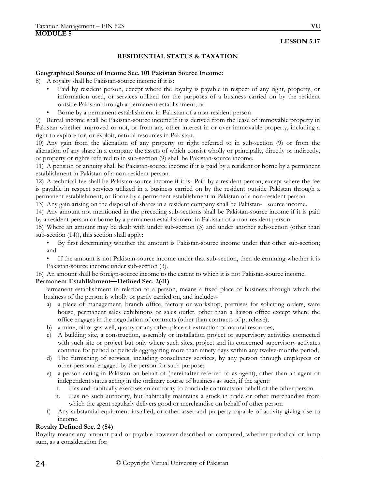# **RESIDENTIAL STATUS & TAXATION**

#### **Geographical Source of Income Sec. 101 Pakistan Source Income:**

8) A royalty shall be Pakistan-source income if it is:

- Paid by resident person, except where the royalty is payable in respect of any right, property, or information used, or services utilized for the purposes of a business carried on by the resident outside Pakistan through a permanent establishment; or
- Borne by a permanent establishment in Pakistan of a non-resident person

9) Rental income shall be Pakistan-source income if it is derived from the lease of immovable property in Pakistan whether improved or not, or from any other interest in or over immovable property, including a right to explore for, or exploit, natural resources in Pakistan.

10) Any gain from the alienation of any property or right referred to in sub-section (9) or from the alienation of any share in a company the assets of which consist wholly or principally, directly or indirectly, or property or rights referred to in sub-section (9) shall be Pakistan-source income.

11) A pension or annuity shall be Pakistan-source income if it is paid by a resident or borne by a permanent establishment in Pakistan of a non-resident person.

12) A technical fee shall be Pakistan-source income if it is- Paid by a resident person, except where the fee is payable in respect services utilized in a business carried on by the resident outside Pakistan through a permanent establishment; or Borne by a permanent establishment in Pakistan of a non-resident person

13) Any gain arising on the disposal of shares in a resident company shall be Pakistan- source income.

14) Any amount not mentioned in the preceding sub-sections shall be Pakistan-source income if it is paid by a resident person or borne by a permanent establishment in Pakistan of a non-resident person.

15) Where an amount may be dealt with under sub-section (3) and under another sub-section (other than sub-section (14)), this section shall apply:

• By first determining whether the amount is Pakistan-source income under that other sub-section; and

• If the amount is not Pakistan-source income under that sub-section, then determining whether it is Pakistan-source income under sub-section (3).

16) An amount shall be foreign-source income to the extent to which it is not Pakistan-source income.

#### **Permanent Establishment—Defined Sec. 2(41)**

 Permanent establishment in relation to a person, means a fixed place of business through which the business of the person is wholly or partly carried on, and includes-

- a) a place of management, branch office, factory or workshop, premises for soliciting orders, ware house, permanent sales exhibitions or sales outlet, other than a liaison office except where the office engages in the negotiation of contracts (other than contracts of purchase);
- b) a mine, oil or gas well, quarry or any other place of extraction of natural resources;
- c) A building site, a construction, assembly or installation project or supervisory activities connected with such site or project but only where such sites, project and its concerned supervisory activates continue for period or periods aggregating more than ninety days within any twelve-months period;
- d) The furnishing of services, including consultancy services, by any person through employees or other personal engaged by the person for such purpose;
- e) a person acting in Pakistan on behalf of (hereinafter referred to as agent), other than an agent of independent status acting in the ordinary course of business as such, if the agent:
	- i. Has and habitually exercises an authority to conclude contracts on behalf of the other person.
	- ii. Has no such authority, but habitually maintains a stock in trade or other merchandise from which the agent regularly delivers good or merchandise on behalf of other person
- f) Any substantial equipment installed, or other asset and property capable of activity giving rise to income.

#### **Royalty Defined Sec. 2 (54)**

Royalty means any amount paid or payable however described or computed, whether periodical or lump sum, as a consideration for: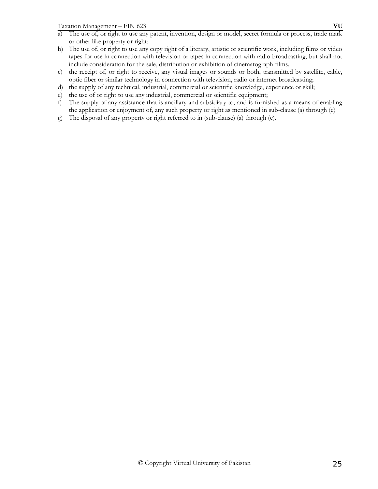- a) The use of, or right to use any patent, invention, design or model, secret formula or process, trade mark or other like property or right;
- b) The use of, or right to use any copy right of a literary, artistic or scientific work, including films or video tapes for use in connection with television or tapes in connection with radio broadcasting, but shall not include consideration for the sale, distribution or exhibition of cinematograph films.
- c) the receipt of, or right to receive, any visual images or sounds or both, transmitted by satellite, cable, optic fiber or similar technology in connection with television, radio or internet broadcasting;
- d) the supply of any technical, industrial, commercial or scientific knowledge, experience or skill;
- e) the use of or right to use any industrial, commercial or scientific equipment;
- f) The supply of any assistance that is ancillary and subsidiary to, and is furnished as a means of enabling the application or enjoyment of, any such property or right as mentioned in sub-clause (a) through (e)
- g) The disposal of any property or right referred to in (sub-clause) (a) through (e).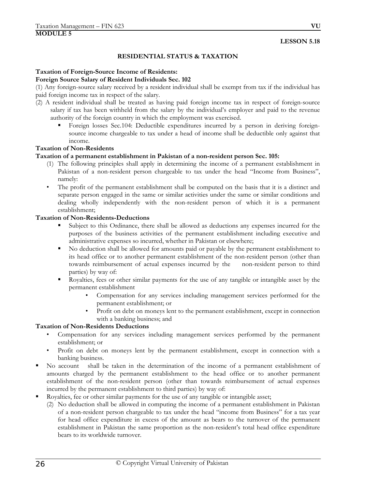#### **RESIDENTIAL STATUS & TAXATION**

#### **Taxation of Foreign-Source Income of Residents:**

#### **Foreign Source Salary of Resident Individuals Sec. 102**

(1) Any foreign-source salary received by a resident individual shall be exempt from tax if the individual has paid foreign income tax in respect of the salary.

- (2) A resident individual shall be treated as having paid foreign income tax in respect of foreign-source salary if tax has been withheld from the salary by the individual's employer and paid to the revenue authority of the foreign country in which the employment was exercised.
	- Foreign losses Sec.104: Deductible expenditures incurred by a person in deriving foreignsource income chargeable to tax under a head of income shall be deductible only against that income.

#### **Taxation of Non-Residents**

#### **Taxation of a permanent establishment in Pakistan of a non-resident person Sec. 105:**

- (1) The following principles shall apply in determining the income of a permanent establishment in Pakistan of a non-resident person chargeable to tax under the head "Income from Business", namely:
- The profit of the permanent establishment shall be computed on the basis that it is a distinct and separate person engaged in the same or similar activities under the same or similar conditions and dealing wholly independently with the non-resident person of which it is a permanent establishment;

# **Taxation of Non-Residents-Deductions**

- Subject to this Ordinance, there shall be allowed as deductions any expenses incurred for the purposes of the business activities of the permanent establishment including executive and administrative expenses so incurred, whether in Pakistan or elsewhere;
- No deduction shall be allowed for amounts paid or payable by the permanent establishment to its head office or to another permanent establishment of the non-resident person (other than towards reimbursement of actual expenses incurred by the non-resident person to third parties) by way of:
- Royalties, fees or other similar payments for the use of any tangible or intangible asset by the permanent establishment
	- Compensation for any services including management services performed for the permanent establishment; or
	- Profit on debt on moneys lent to the permanent establishment, except in connection with a banking business; and

#### **Taxation of Non-Residents Deductions**

- Compensation for any services including management services performed by the permanent establishment; or
- Profit on debt on moneys lent by the permanent establishment, except in connection with a banking business.
- No account shall be taken in the determination of the income of a permanent establishment of amounts charged by the permanent establishment to the head office or to another permanent establishment of the non-resident person (other than towards reimbursement of actual expenses incurred by the permanent establishment to third parties) by way of:
- Royalties, fee or other similar payments for the use of any tangible or intangible asset;
	- (2) No deduction shall be allowed in computing the income of a permanent establishment in Pakistan of a non-resident person chargeable to tax under the head "income from Business" for a tax year for head office expenditure in excess of the amount as bears to the turnover of the permanent establishment in Pakistan the same proportion as the non-resident's total head office expenditure bears to its worldwide turnover.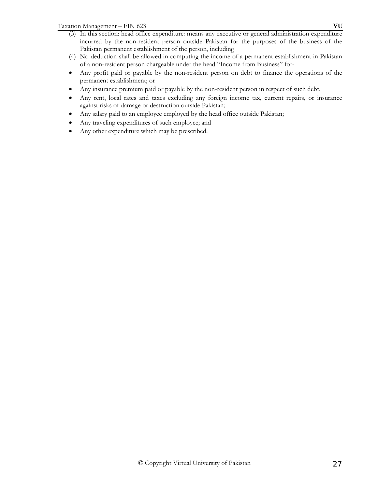- (3) In this section: head office expenditure: means any executive or general administration expenditure incurred by the non-resident person outside Pakistan for the purposes of the business of the Pakistan permanent establishment of the person, including
- (4) No deduction shall be allowed in computing the income of a permanent establishment in Pakistan of a non-resident person chargeable under the head "Income from Business" for-
- Any profit paid or payable by the non-resident person on debt to finance the operations of the permanent establishment; or
- Any insurance premium paid or payable by the non-resident person in respect of such debt.
- Any rent, local rates and taxes excluding any foreign income tax, current repairs, or insurance against risks of damage or destruction outside Pakistan;
- Any salary paid to an employee employed by the head office outside Pakistan;
- Any traveling expenditures of such employee; and
- Any other expenditure which may be prescribed.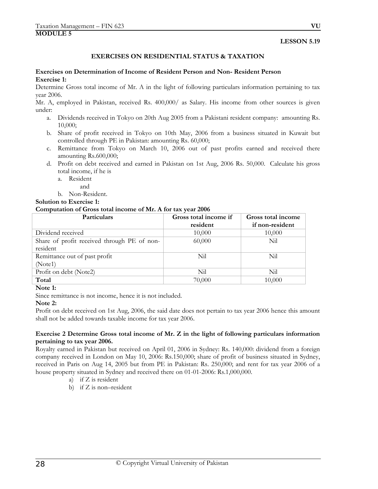#### **EXERCISES ON RESIDENTIAL STATUS & TAXATION**

#### **Exercises on Determination of Income of Resident Person and Non- Resident Person Exercise 1:**

Determine Gross total income of Mr. A in the light of following particulars information pertaining to tax year 2006.

Mr. A, employed in Pakistan, received Rs. 400,000/ as Salary. His income from other sources is given under:

- a. Dividends received in Tokyo on 20th Aug 2005 from a Pakistani resident company: amounting Rs. 10,000;
- b. Share of profit received in Tokyo on 10th May, 2006 from a business situated in Kuwait but controlled through PE in Pakistan: amounting Rs. 60,000;
- c. Remittance from Tokyo on March 10, 2006 out of past profits earned and received there amounting Rs.600,000;
- d. Profit on debt received and earned in Pakistan on 1st Aug, 2006 Rs. 50,000. Calculate his gross total income, if he is
	- a. Resident
		- and

b. Non-Resident.

**Solution to Exercise 1:** 

#### **Computation of Gross total income of Mr. A for tax year 2006**

| Particulars                                 | Gross total income if<br>resident | Gross total income<br>if non-resident |
|---------------------------------------------|-----------------------------------|---------------------------------------|
| Dividend received                           | 10,000                            | 10,000                                |
| Share of profit received through PE of non- | 60,000                            | Nil                                   |
| resident                                    |                                   |                                       |
| Remittance out of past profit               | Nil                               | Nil                                   |
| (Note1)                                     |                                   |                                       |
| Profit on debt (Note2)                      | Nil                               | Nil                                   |
| Total                                       | 70,000                            | 10,000                                |

#### **Note 1:**

Since remittance is not income, hence it is not included.

#### **Note 2:**

Profit on debt received on 1st Aug, 2006, the said date does not pertain to tax year 2006 hence this amount shall not be added towards taxable income for tax year 2006.

#### **Exercise 2 Determine Gross total income of Mr. Z in the light of following particulars information pertaining to tax year 2006.**

Royalty earned in Pakistan but received on April 01, 2006 in Sydney: Rs. 140,000: dividend from a foreign company received in London on May 10, 2006: Rs.150,000; share of profit of business situated in Sydney, received in Paris on Aug 14, 2005 but from PE in Pakistan: Rs. 250,000; and rent for tax year 2006 of a house property situated in Sydney and received there on 01-01-2006: Rs.1,000,000.

- a) if Z is resident
- b) if Z is non–resident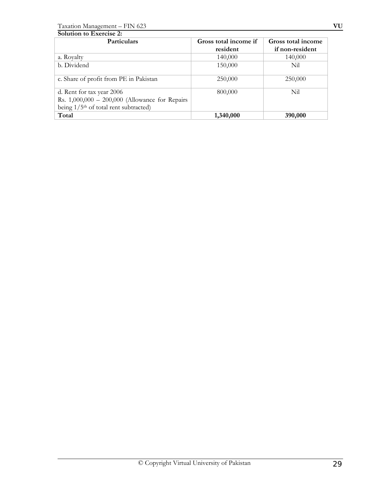Taxation Management – FIN 623 **VU**

| <b>Solution to Exercise 2:</b>                      |                       |                    |  |
|-----------------------------------------------------|-----------------------|--------------------|--|
| Particulars                                         | Gross total income if | Gross total income |  |
|                                                     | resident              | if non-resident    |  |
| a. Royalty                                          | 140,000               | 140,000            |  |
| b. Dividend                                         | 150,000               | Nil                |  |
| c. Share of profit from PE in Pakistan              | 250,000               | 250,000            |  |
| d. Rent for tax year 2006                           | 800,000               | Nil                |  |
| Rs. $1,000,000 - 200,000$ (Allowance for Repairs    |                       |                    |  |
| being $1/5$ <sup>th</sup> of total rent subtracted) |                       |                    |  |
| Total                                               | 1,340,000             | 390,000            |  |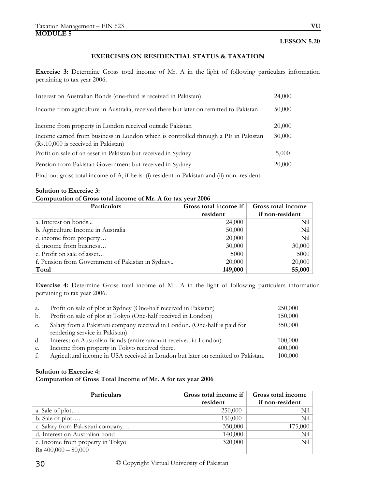### **EXERCISES ON RESIDENTIAL STATUS & TAXATION**

**Exercise 3:** Determine Gross total income of Mr. A in the light of following particulars information pertaining to tax year 2006.

| Interest on Australian Bonds (one-third is received in Pakistan)                                                          | 24,000 |
|---------------------------------------------------------------------------------------------------------------------------|--------|
| Income from agriculture in Australia, received there but later on remitted to Pakistan                                    | 50,000 |
| Income from property in London received outside Pakistan                                                                  | 20,000 |
| Income earned from business in London which is controlled through a PE in Pakistan<br>(Rs.10,000 is received in Pakistan) | 30,000 |
| Profit on sale of an asset in Pakistan but received in Sydney                                                             | 5,000  |
| Pension from Pakistan Government but received in Sydney                                                                   | 20,000 |

Find out gross total income of A, if he is: (i) resident in Pakistan and (ii) non-resident

#### **Solution to Exercise 3:**

### **Computation of Gross total income of Mr. A for tax year 2006**

| Particulars                                      | Gross total income if | Gross total income |
|--------------------------------------------------|-----------------------|--------------------|
|                                                  | resident              | if non-resident    |
| a. Interest on bonds                             | 24,000                | Nil                |
| b. Agriculture Income in Australia               | 50,000                | Nil                |
| c. income from property                          | 20,000                | Nil                |
| d. income from business                          | 30,000                | 30,000             |
| e. Profit on sale of asset                       | 5000                  | 5000               |
| f. Pension from Government of Pakistan in Sydney | 20,000                | 20,000             |
| Total                                            | 149,000               | 55,000             |

**Exercise 4:** Determine Gross total income of Mr. A in the light of following particulars information pertaining to tax year 2006.

| a. | Profit on sale of plot at Sydney (One-half received in Pakistan)                 | 250,000 |
|----|----------------------------------------------------------------------------------|---------|
| b. | Profit on sale of plot at Tokyo (One-half received in London)                    | 150,000 |
| C. | Salary from a Pakistani company received in London. (One-half is paid for        | 350,000 |
|    | rendering service in Pakistan)                                                   |         |
| d. | Interest on Australian Bonds (entire amount received in London)                  | 100,000 |
| e. | Income from property in Tokyo received there.                                    | 400,000 |
| t. | Agricultural income in USA received in London but later on remitted to Pakistan. | 100,000 |

#### **Solution to Exercise 4:**

#### **Computation of Gross Total Income of Mr. A for tax year 2006**

| Particulars                      | Gross total income if<br>resident | Gross total income<br>if non-resident |
|----------------------------------|-----------------------------------|---------------------------------------|
| a. Sale of plot                  | 250,000                           | Nil                                   |
| b. Sale of plot                  | 150,000                           | Nil                                   |
| c. Salary from Pakistani company | 350,000                           | 175,000                               |
| d. Interest on Australian bond   | 140,000                           | Nil                                   |
| e. Income from property in Tokyo | 320,000                           | Nil                                   |
| $Rs 400,000 - 80,000$            |                                   |                                       |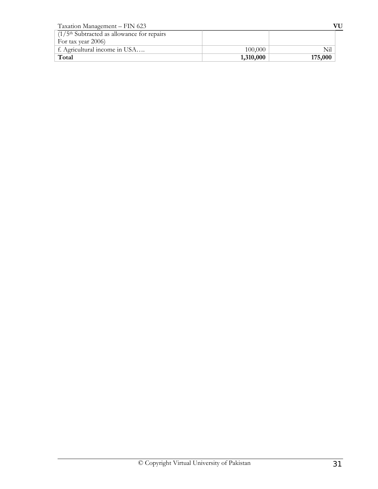| Taxation Management - FIN 623                 |           | VU      |
|-----------------------------------------------|-----------|---------|
| $(1/5th Subtracted as allowance for repairs)$ |           |         |
| For tax year 2006)                            |           |         |
| f. Agricultural income in USA                 | 100,000   | Nil     |
| Total                                         | 1,310,000 | 175,000 |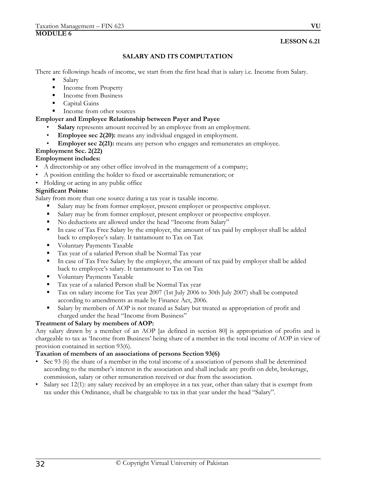# **LESSON 6.21**

# **SALARY AND ITS COMPUTATION**

There are followings heads of income, we start from the first head that is salary i.e. Income from Salary.

- Salary
- Income from Property
- Income from Business
- Capital Gains
- Income from other sources

### **Employer and Employee Relationship between Payer and Payee**

- Salary represents amount received by an employee from an employment.
- **Employee sec 2(20):** means any individual engaged in employment.
- **Employer sec 2(21):** means any person who engages and remunerates an employee.

# **Employment Sec. 2(22)**

# **Employment includes:**

- A directorship or any other office involved in the management of a company;
- A position entitling the holder to fixed or ascertainable remuneration; or
- Holding or acting in any public office

### **Significant Points:**

Salary from more than one source during a tax year is taxable income.

- Salary may be from former employer, present employer or prospective employer.
- Salary may be from former employer, present employer or prospective employer.
- No deductions are allowed under the head "Income from Salary"
- In case of Tax Free Salary by the employer, the amount of tax paid by employer shall be added back to employee's salary. It tantamount to Tax on Tax
- **Voluntary Payments Taxable**
- Tax year of a salaried Person shall be Normal Tax year
- In case of Tax Free Salary by the employer, the amount of tax paid by employer shall be added back to employee's salary. It tantamount to Tax on Tax
- **Voluntary Payments Taxable**
- Tax year of a salaried Person shall be Normal Tax year
- Tax on salary income for Tax year 2007 (1st July 2006 to 30th July 2007) shall be computed according to amendments as made by Finance Act, 2006.
- Salary by members of AOP is not treated as Salary but treated as appropriation of profit and charged under the head "Income from Business"

#### **Treatment of Salary by members of AOP:**

Any salary drawn by a member of an AOP [as defined in section 80] is appropriation of profits and is chargeable to tax as 'Income from Business' being share of a member in the total income of AOP in view of provision contained in section 93(6).

#### **Taxation of members of an associations of persons Section 93(6)**

- Sec 93 (6) the share of a member in the total income of a association of persons shall be determined according to the member's interest in the association and shall include any profit on debt, brokerage, commission, salary or other remuneration received or due from the association.
- Salary sec 12(1): any salary received by an employee in a tax year, other than salary that is exempt from tax under this Ordinance, shall be chargeable to tax in that year under the head "Salary".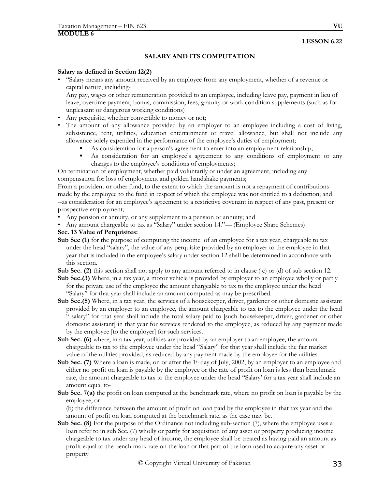**LESSON 6.22** 

# **SALARY AND ITS COMPUTATION**

#### **Salary as defined in Section 12(2)**

• "Salary means any amount received by an employee from any employment, whether of a revenue or capital nature, including-

Any pay, wages or other remuneration provided to an employee, including leave pay, payment in lieu of leave, overtime payment, bonus, commission, fees, gratuity or work condition supplements (such as for unpleasant or dangerous working conditions)

- Any perquisite, whether convertible to money or not;
- The amount of any allowance provided by an employer to an employee including a cost of living, subsistence, rent, utilities, education entertainment or travel allowance, but shall not include any allowance solely expended in the performance of the employee's duties of employment;
	- As consideration for a person's agreement to enter into an employment relationship;
	- As consideration for an employee's agreement to any conditions of employment or any changes to the employee's conditions of employments;

On termination of employment, whether paid voluntarily or under an agreement, including any compensation for loss of employment and golden handshake payments;

From a provident or other fund, to the extent to which the amount is not a repayment of contributions made by the employee to the fund in respect of which the employee was not entitled to a deduction; and --as consideration for an employee's agreement to a restrictive covenant in respect of any past, present or prospective employment;

- Any pension or annuity, or any supplement to a pension or annuity; and
- Any amount chargeable to tax as "Salary" under section 14."— (Employee Share Schemes)

# **Sec. 13 Value of Perquisites:**

- **Sub Sec (1)** for the purpose of computing the income of an employee for a tax year, chargeable to tax under the head "salary", the value of any perquisite provided by an employer to the employee in that year that is included in the employee's salary under section 12 shall be determined in accordance with this section.
- **Sub Sec. (2)** this section shall not apply to any amount referred to in clause ( c) or (d) of sub section 12.
- **Sub Sec.(3)** Where, in a tax year, a motor vehicle is provided by employer to an employee wholly or partly for the private use of the employee the amount chargeable to tax to the employee under the head "Salary" for that year shall include an amount computed as may be prescribed.
- **Sub Sec.(5)** Where, in a tax year, the services of a housekeeper, driver, gardener or other domestic assistant provided by an employer to an employee, the amount chargeable to tax to the employee under the head " salary" for that year shall include the total salary paid to [such housekeeper, driver, gardener or other domestic assistant] in that year for services rendered to the employee, as reduced by any payment made by the employee [to the employer] for such services.
- **Sub Sec. (6)** where, in a tax year, utilities are provided by an employer to an employee, the amount chargeable to tax to the employee under the head "Salary" for that year shall include the fair market value of the utilities provided, as reduced by any payment made by the employee for the utilities.
- **Sub Sec. (7)** Where a loan is made, on or after the 1<sup>st</sup> day of July, 2002, by an employer to an employee and either no profit on loan is payable by the employee or the rate of profit on loan is less than benchmark rate, the amount chargeable to tax to the employee under the head "Salary' for a tax year shall include an amount equal to-
- **Sub Sec. 7(a)** the profit on loan computed at the benchmark rate, where no profit on loan is payable by the employee, or

 (b) the difference between the amount of profit on loan paid by the employee in that tax year and the amount of profit on loan computed at the benchmark rate, as the case may be.

**Sub Sec. (8)** For the purpose of the Ordinance not including sub-section (7), where the employee uses a loan refer to in sub Sec. (7) wholly or partly for acquisition of any asset or property producing income chargeable to tax under any head of income, the employee shall be treated as having paid an amount as profit equal to the bench mark rate on the loan or that part of the loan used to acquire any asset or property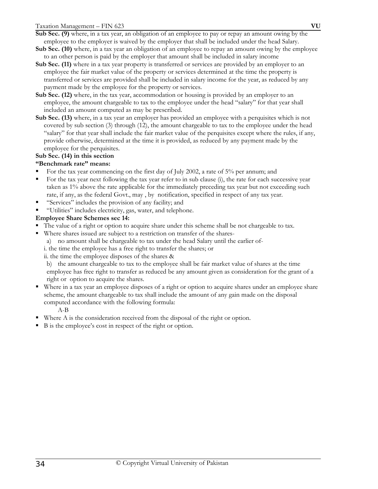**Sub Sec. (9)** where, in a tax year, an obligation of an employee to pay or repay an amount owing by the employee to the employer is waived by the employer that shall be included under the head Salary.

- **Sub Sec. (10)** where, in a tax year an obligation of an employee to repay an amount owing by the employee to an other person is paid by the employer that amount shall be included in salary income
- **Sub Sec. (11)** where in a tax year property is transferred or services are provided by an employer to an employee the fair market value of the property or services determined at the time the property is transferred or services are provided shall be included in salary income for the year, as reduced by any payment made by the employee for the property or services.
- **Sub Sec. (12)** where, in the tax year, accommodation or housing is provided by an employer to an employee, the amount chargeable to tax to the employee under the head "salary" for that year shall included an amount computed as may be prescribed.
- **Sub Sec. (13)** where, in a tax year an employer has provided an employee with a perquisites which is not covered by sub section (3) through (12), the amount chargeable to tax to the employee under the head "salary" for that year shall include the fair market value of the perquisites except where the rules, if any, provide otherwise, determined at the time it is provided, as reduced by any payment made by the employee for the perquisites.

# **Sub Sec. (14) in this section**

### **"Benchmark rate" means:**

- For the tax year commencing on the first day of July 2002, a rate of 5% per annum; and
- For the tax year next following the tax year refer to in sub clause (i), the rate for each successive year taken as 1% above the rate applicable for the immediately preceding tax year but not exceeding such rate, if any, as the federal Govt., may , by notification, specified in respect of any tax year.
- "Services" includes the provision of any facility; and
- "Utilities" includes electricity, gas, water, and telephone.

### **Employee Share Schemes sec 14:**

- The value of a right or option to acquire share under this scheme shall be not chargeable to tax.
- Where shares issued are subject to a restriction on transfer of the shares
	- a) no amount shall be chargeable to tax under the head Salary until the earlier of-
	- i. the time the employee has a free right to transfer the shares; or

ii. the time the employee disposes of the shares &

b) the amount chargeable to tax to the employee shall be fair market value of shares at the time employee has free right to transfer as reduced be any amount given as consideration for the grant of a right or option to acquire the shares.

 Where in a tax year an employee disposes of a right or option to acquire shares under an employee share scheme, the amount chargeable to tax shall include the amount of any gain made on the disposal computed accordance with the following formula:

A-B

- Where A is the consideration received from the disposal of the right or option.
- B is the employee's cost in respect of the right or option.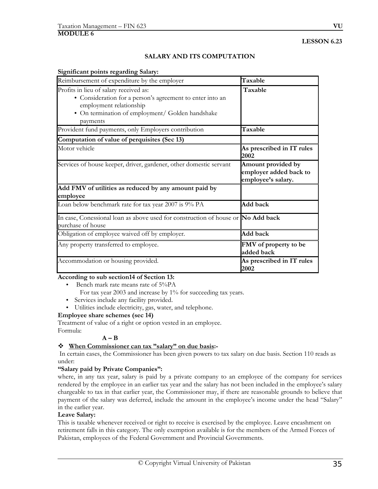# **SALARY AND ITS COMPUTATION**

#### **Significant points regarding Salary:**

| Reimbursement of expenditure by the employer                                                                                                                                                   | Taxable                                                            |
|------------------------------------------------------------------------------------------------------------------------------------------------------------------------------------------------|--------------------------------------------------------------------|
| Profits in lieu of salary received as:<br>• Consideration for a person's agreement to enter into an<br>employment relationship<br>• On termination of employment/ Golden handshake<br>payments | Taxable                                                            |
| Provident fund payments, only Employers contribution                                                                                                                                           | Taxable                                                            |
| Computation of value of perquisites (Sec 13)                                                                                                                                                   |                                                                    |
| Motor vehicle                                                                                                                                                                                  | As prescribed in IT rules<br>2002                                  |
| Services of house keeper, driver, gardener, other domestic servant                                                                                                                             | Amount provided by<br>employer added back to<br>employee's salary. |
| Add FMV of utilities as reduced by any amount paid by<br>employee                                                                                                                              |                                                                    |
| Loan below benchmark rate for tax year 2007 is 9% PA                                                                                                                                           | Add back                                                           |
| In case, Conessional loan as above used for construction of house or No Add back<br>purchase of house                                                                                          |                                                                    |
| Obligation of employee waived off by employer.                                                                                                                                                 | Add back                                                           |
| Any property transferred to employee.                                                                                                                                                          | FMV of property to be<br>added back                                |
| Accommodation or housing provided.                                                                                                                                                             | As prescribed in IT rules<br>2002                                  |

# **According to sub section14 of Section 13:**

- Bench mark rate means rate of 5%PA
	- For tax year 2003 and increase by 1% for succeeding tax years.
- Services include any facility provided.
- Utilities include electricity, gas, water, and telephone.

#### **Employee share schemes (sec 14)**

Treatment of value of a right or option vested in an employee. Formula:

# $A - B$

#### **When Commissioner can tax "salary" on due basis:-**

 In certain cases, the Commissioner has been given powers to tax salary on due basis. Section 110 reads as under:

#### **"Salary paid by Private Companies":**

where, in any tax year, salary is paid by a private company to an employee of the company for services rendered by the employee in an earlier tax year and the salary has not been included in the employee's salary chargeable to tax in that earlier year, the Commissioner may, if there are reasonable grounds to believe that payment of the salary was deferred, include the amount in the employee's income under the head "Salary" in the earlier year.

#### **Leave Salary:**

This is taxable whenever received or right to receive is exercised by the employee. Leave encashment on retirement falls in this category. The only exemption available is for the members of the Armed Forces of Pakistan, employees of the Federal Government and Provincial Governments.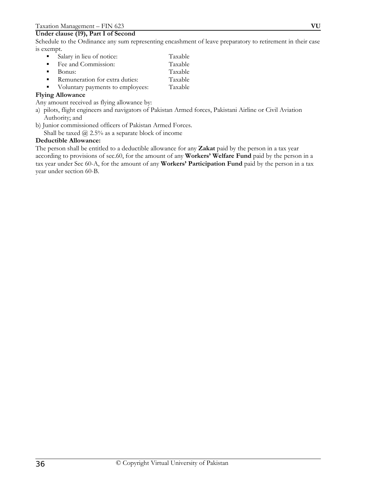# **Under clause (19), Part I of Second**

Schedule to the Ordinance any sum representing encashment of leave preparatory to retirement in their case is exempt.

- Salary in lieu of notice: Taxable ■ Fee and Commission: Taxable ■ Bonus: Taxable<br>■ Remuneration for extra duties: Taxable **Remuneration for extra duties:**
- Voluntary payments to employees: Taxable

#### **Flying Allowance**

Any amount received as flying allowance by:

- a) pilots, flight engineers and navigators of Pakistan Armed forces, Pakistani Airline or Civil Aviation Authority; and
- b) Junior commissioned officers of Pakistan Armed Forces.

Shall be taxed @ 2.5% as a separate block of income

### **Deductible Allowance:**

The person shall be entitled to a deductible allowance for any **Zakat** paid by the person in a tax year according to provisions of sec.60, for the amount of any **Workers' Welfare Fund** paid by the person in a tax year under Sec 60-A, for the amount of any **Workers' Participation Fund** paid by the person in a tax year under section 60-B.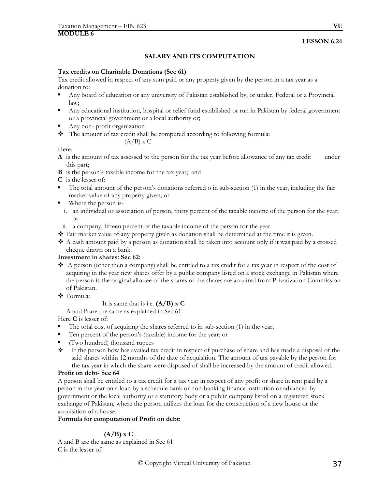# **SALARY AND ITS COMPUTATION**

## **Tax credits on Charitable Donations (Sec 61)**

Tax credit allowed in respect of any sum paid or any property given by the person in a tax year as a donation to:

- Any board of education or any university of Pakistan established by, or under, Federal or a Provincial law;
- Any educational institution, hospital or relief fund established or run in Pakistan by federal government or a provincial government or a local authority or;
- Any non- profit organization
- \* The amount of tax credit shall be computed according to following formula:

$$
(A/B) \times C
$$

Here:

**A** is the amount of tax assessed to the person for the tax year before allowance of any tax credit under this part;

- **B** is the person's taxable income for the tax year; and
- **C** is the lesser of:
- The total amount of the person's donations referred o in sub-section (1) in the year, including the fair market value of any property given; or
- Where the person is
	- i. an individual or association of person, thirty percent of the taxable income of the person for the year; or
- ii. a company, fifteen percent of the taxable income of the person for the year.
- Fair market value of any property given as donation shall be determined at the time it is given.
- A cash amount paid by a person as donation shall be taken into account only if it was paid by a crossed cheque drawn on a bank.

# **Investment in shares: Sec 62:**

- $\triangle$  A person (other then a company) shall be entitled to a tax credit for a tax year in respect of the cost of acquiring in the year new shares offer by a public company listed on a stock exchange in Pakistan where the person is the original allottee of the shares or the shares are acquired from Privatization Commission of Pakistan.
- Formula:

# It is same that is i.e. **(A/B) x C**

A and B are the same as explained in Sec 61.

Here **C** is lesser of:

- $\blacksquare$  The total cost of acquiring the shares referred to in sub-section (1) in the year;
- Ten percent of the person's (taxable) income for the year; or
- (Two hundred) thousand rupees
- If the person how has availed tax credit in respect of purchase of share and has made a disposal of the said shares within 12 months of the date of acquisition. The amount of tax payable by the person for the tax year in which the share were disposed of shall be increased by the amount of credit allowed.

# **Profit on debt- Sec 64**

A person shall be entitled to a tax credit for a tax year in respect of any profit or share in rent paid by a person in the year on a loan by a schedule bank or non-banking finance institution or advanced by government or the local authority or a statutory body or a public company listed on a registered stock exchange of Pakistan, where the person utilizes the loan for the construction of a new house or the acquisition of a house.

## **Formula for computation of Profit on debt:**

# **(A/B) x C**

A and B are the same as explained in Sec 61 C is the lesser of: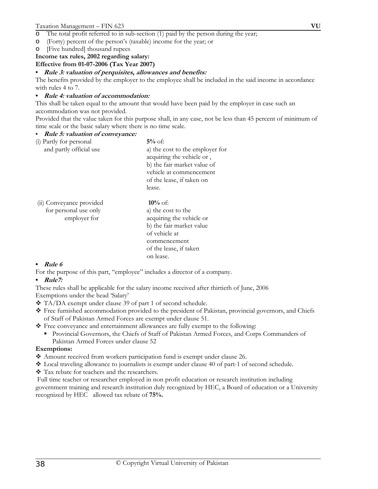- o The total profit referred to in sub-section (1) paid by the person during the year;
- o (Forty) percent of the person's (taxable) income for the year; or
- o [Five hundred] thousand rupees

# **Income tax rules, 2002 regarding salary:**

**Effective from 01-07-2006 (Tax Year 2007)** 

# • **Rule 3: valuation of perquisites, allowances and benefits:**

The benefits provided by the employer to the employee shall be included in the said income in accordance with rules 4 to 7.

# • **Rule 4: valuation of accommodation:**

This shall be taken equal to the amount that would have been paid by the employer in case such an accommodation was not provided.

Provided that the value taken for this purpose shall, in any case, not be less than 45 percent of minimum of time scale or the basic salary where there is no time scale.

## • **Rule 5: valuation of conveyance:**

| (i) Partly for personal | $5\%$ of:                       |
|-------------------------|---------------------------------|
| and partly official use | a) the cost to the employer for |
|                         | acquiring the vehicle or,       |
|                         | b) the fair market value of     |
|                         | vehicle at commencement         |
|                         | of the lease, if taken on       |
|                         | lease.                          |

| (ii) Conveyance provided | $10\%$ of:               |
|--------------------------|--------------------------|
| for personal use only    | a) the cost to the       |
| employer for             | acquiring the vehicle or |
|                          | b) the fair market value |
|                          | of vehicle at            |
|                          | commencement             |
|                          | of the lease, if taken   |
|                          | on lease.                |

# • **Rule 6**

For the purpose of this part, "employee" includes a director of a company.

## • **Rule7:**

These rules shall be applicable for the salary income received after thirtieth of June, 2006

Exemptions under the head 'Salary'

- TA/DA exempt under clause 39 of part 1 of second schedule.
- Free furnished accommodation provided to the president of Pakistan, provincial governors, and Chiefs of Staff of Pakistan Armed Forces are exempt under clause 51.
- Free conveyance and entertainment allowances are fully exempt to the following:
	- Provincial Governors, the Chiefs of Staff of Pakistan Armed Forces, and Corps Commanders of Pakistan Armed Forces under clause 52

# **Exemptions:**

- Amount received from workers participation fund is exempt under clause 26.
- Local traveling allowance to journalists is exempt under clause 40 of part-1 of second schedule.
- Tax rebate for teachers and the researchers.

 Full time teacher or researcher employed in non profit education or research institution including government training and research institution duly recognized by HEC, a Board of education or a University recognized by HEC allowed tax rebate of **75%.**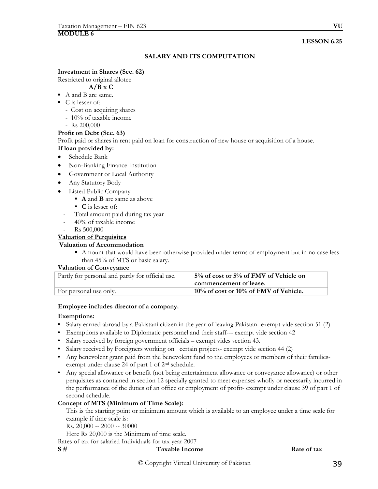# **SALARY AND ITS COMPUTATION**

#### **Investment in Shares (Sec. 62)**

Restricted to original allotee

#### **A/B x C**

- A and B are same.
- C is lesser of:
	- Cost on acquiring shares
	- 10% of taxable income
	- Rs 200,000

#### **Profit on Debt (Sec. 63)**

Profit paid or shares in rent paid on loan for construction of new house or acquisition of a house. **If loan provided by:** 

- Schedule Bank
- 
- Non-Banking Finance Institution • Government or Local Authority
- Any Statutory Body
- Listed Public Company
	- **A** and **B** are same as above
	- **C** is lesser of:
	- Total amount paid during tax year
	- 40% of taxable income
	- Rs 500,000

#### **Valuation of Perquisites**

#### **Valuation of Accommodation**

 Amount that would have been otherwise provided under terms of employment but in no case less than 45% of MTS or basic salary.

#### **Valuation of Conveyance**

| Partly for personal and partly for official use. | 5% of cost or 5% of FMV of Vehicle on    |
|--------------------------------------------------|------------------------------------------|
|                                                  | commencement of lease.                   |
| For personal use only.                           | $10\%$ of cost or 10% of FMV of Vehicle. |

#### **Employee includes director of a company.**

#### **Exemptions:**

- Salary earned abroad by a Pakistani citizen in the year of leaving Pakistan- exempt vide section 51 (2)
- Exemptions available to Diplomatic personnel and their staff--- exempt vide section 42
- Salary received by foreign government officials exempt vides section 43.
- Salary received by Foreigners working on certain projects- exempt vide section 44 (2)
- Any benevolent grant paid from the benevolent fund to the employees or members of their familiesexempt under clause 24 of part 1 of 2nd schedule.
- Any special allowance or benefit (not being entertainment allowance or conveyance allowance) or other perquisites as contained in section 12 specially granted to meet expenses wholly or necessarily incurred in the performance of the duties of an office or employment of profit- exempt under clause 39 of part 1 of second schedule.

## **Concept of MTS (Minimum of Time Scale):**

 This is the starting point or minimum amount which is available to an employee under a time scale for example if time scale is:

Rs. 20,000 -- 2000 -- 30000

Here Rs 20,000 is the Minimum of time scale.

Rates of tax for salaried Individuals for tax year 2007

| S# | <b>Taxable Income</b> | Rate of tax |
|----|-----------------------|-------------|
|    |                       |             |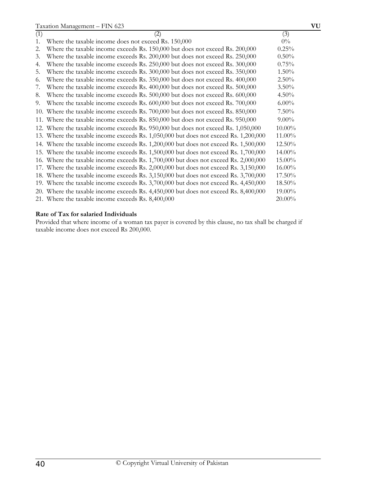| (1) | $\rm(2)$                                                                             | (3)       |
|-----|--------------------------------------------------------------------------------------|-----------|
| 1.  | Where the taxable income does not exceed Rs. 150,000                                 | $0\%$     |
| 2.  | Where the taxable income exceeds Rs. 150,000 but does not exceed Rs. 200,000         | 0.25%     |
| 3.  | Where the taxable income exceeds Rs. 200,000 but does not exceed Rs. 250,000         | 0.50%     |
| 4.  | Where the taxable income exceeds Rs. 250,000 but does not exceed Rs. 300,000         | 0.75%     |
| .5. | Where the taxable income exceeds Rs. 300,000 but does not exceed Rs. 350,000         | $1.50\%$  |
| 6.  | Where the taxable income exceeds Rs. 350,000 but does not exceed Rs. 400,000         | 2.50%     |
| 7.  | Where the taxable income exceeds Rs. 400,000 but does not exceed Rs. 500,000         | 3.50%     |
| 8.  | Where the taxable income exceeds Rs. 500,000 but does not exceed Rs. 600,000         | 4.50%     |
| 9.  | Where the taxable income exceeds Rs. 600,000 but does not exceed Rs. 700,000         | $6.00\%$  |
|     | 10. Where the taxable income exceeds Rs. 700,000 but does not exceed Rs. 850,000     | $7.50\%$  |
|     | 11. Where the taxable income exceeds Rs. 850,000 but does not exceed Rs. 950,000     | $9.00\%$  |
|     | 12. Where the taxable income exceeds Rs. 950,000 but does not exceed Rs. 1,050,000   | $10.00\%$ |
|     | 13. Where the taxable income exceeds Rs. 1,050,000 but does not exceed Rs. 1,200,000 | 11.00%    |
|     | 14. Where the taxable income exceeds Rs. 1,200,000 but does not exceed Rs. 1,500,000 | 12.50%    |
|     | 15. Where the taxable income exceeds Rs. 1,500,000 but does not exceed Rs. 1,700,000 | 14.00%    |
|     | 16. Where the taxable income exceeds Rs. 1,700,000 but does not exceed Rs. 2,000,000 | $15.00\%$ |
|     | 17. Where the taxable income exceeds Rs. 2,000,000 but does not exceed Rs. 3,150,000 | $16.00\%$ |
|     | 18. Where the taxable income exceeds Rs. 3,150,000 but does not exceed Rs. 3,700,000 | $17.50\%$ |
|     | 19. Where the taxable income exceeds Rs. 3,700,000 but does not exceed Rs. 4,450,000 | $18.50\%$ |
|     | 20. Where the taxable income exceeds Rs. 4,450,000 but does not exceed Rs. 8,400,000 | 19.00%    |
|     | 21. Where the taxable income exceeds Rs. 8,400,000                                   | $20.00\%$ |

# **Rate of Tax for salaried Individuals**

Provided that where income of a woman tax payer is covered by this clause, no tax shall be charged if taxable income does not exceed Rs 200,000.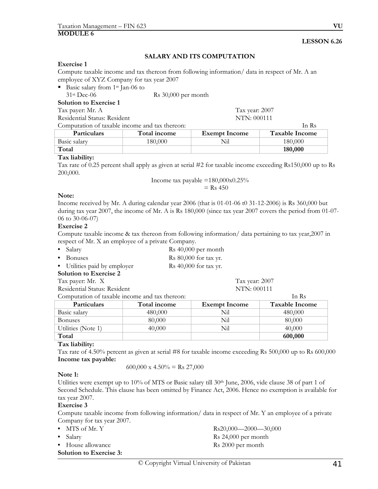# **SALARY AND ITS COMPUTATION**

#### **Exercise 1**

Compute taxable income and tax thereon from following information/ data in respect of Mr. A an employee of XYZ Company for tax year 2007

Basic salary from  $1<sup>st</sup>$  Jan-06 to

Rs 30,000 per month

| Solution to Exercise 1 |  |  |
|------------------------|--|--|
| --                     |  |  |

Tax payer: Mr. A Tax year: 2007

Residential Status: Resident NTN: 000111

Computation of taxable income and tax thereon: In Rs

| <b>Particulars</b> | Total income | <b>Exempt Income</b> | <b>Taxable Income</b> |
|--------------------|--------------|----------------------|-----------------------|
| Basic salary       | 180.000      | Nil                  | 180.000-              |
| Total              |              |                      | 180,000               |
|                    |              |                      |                       |

## **Tax liability:**

Tax rate of 0.25 percent shall apply as given at serial #2 for taxable income exceeding Rs150,000 up to Rs 200,000.

$$
Income tax payable = 180,000x0.25\%
$$
  
= Rs 450

#### **Note:**

Income received by Mr. A during calendar year 2006 (that is 01-01-06 t0 31-12-2006) is Rs 360,000 but during tax year 2007, the income of Mr. A is Rs 180,000 (since tax year 2007 covers the period from 01-07-06 to 30-06-07)

## **Exercise 2**

Compute taxable income & tax thereon from following information/ data pertaining to tax year,2007 in respect of Mr. X an employee of a private Company.

| • Salary          | Rs 40,000 per month     |
|-------------------|-------------------------|
| $\bullet$ Bonuses | Rs $80,000$ for tax yr. |

• Utilities paid by employer Rs 40,000 for tax yr.

**Solution to Exercise 2**  Tax payer: Mr. X Tax year: 2007

Residential Status: Resident NTN: 000111

Computation of taxable income and tax thereon: In Rs

| <b>Particulars</b> | Total income | <b>Exempt Income</b> | <b>Taxable Income</b> |
|--------------------|--------------|----------------------|-----------------------|
| Basic salary       | 480,000      | Nil                  | 480,000               |
| <b>Bonuses</b>     | 80,000       | Nil                  | 80,000                |
| Utilities (Note 1) | 40,000       | Nil                  | 40,000                |
| Total              |              |                      | 600,000               |

## **Tax liability:**

Tax rate of 4.50% percent as given at serial #8 for taxable income exceeding Rs 500,000 up to Rs 600,000 **Income tax payable:** 

600,000 x 4.50% = Rs 27,000

## **Note 1:**

Utilities were exempt up to 10% of MTS or Basic salary till 30<sup>th</sup> June, 2006, vide clause 38 of part 1 of Second Schedule. This clause has been omitted by Finance Act, 2006. Hence no exemption is available for tax year 2007.

## **Exercise 3**

Compute taxable income from following information/ data in respect of Mr. Y an employee of a private Company for tax year 2007.

| • MTS of Mr. Y                 | $Rs20,000$ —2000—30,000       |
|--------------------------------|-------------------------------|
| • Salary                       | $\text{Rs } 24,000$ per month |
| • House allowance              | Rs 2000 per month             |
| <b>Solution to Exercise 3:</b> |                               |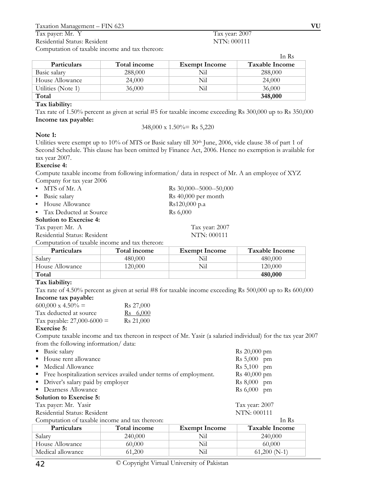Computation of taxable income and tax thereon:

|                    |              |                      | In Rs          |
|--------------------|--------------|----------------------|----------------|
| <b>Particulars</b> | Total income | <b>Exempt Income</b> | Taxable Income |
| Basic salary       | 288,000      | Nil                  | 288,000        |
| House Allowance    | 24,000       | Nil                  | 24,000         |
| Utilities (Note 1) | 36,000       | Nil                  | 36,000         |
| Total              |              |                      | 348,000        |

## **Tax liability:**

Tax rate of 1.50% percent as given at serial #5 for taxable income exceeding Rs 300,000 up to Rs 350,000 **Income tax payable:** 

348,000 x 1.50%= Rs 5,220

# **Note 1:**

Utilities were exempt up to 10% of MTS or Basic salary till 30th June, 2006, vide clause 38 of part 1 of Second Schedule. This clause has been omitted by Finance Act, 2006. Hence no exemption is available for tax year 2007.

# **Exercise 4:**

Compute taxable income from following information/ data in respect of Mr. A an employee of XYZ Company for tax year 2006

| $\bullet$ MTS of Mr. A         | Rs 30,000--5000--50,000 |
|--------------------------------|-------------------------|
| • Basic salary                 | Rs 40,000 per month     |
| • House Allowance              | Rs120,000 p.a           |
| • Tax Deducted at Source       | Rs 6,000                |
| <b>Solution to Exercise 4:</b> |                         |
| Tax payer: Mr. A               | Tax year: 2007          |

Residential Status: Resident NTN: 000111

Computation of taxable income and tax thereon:

| <b>Particulars</b> | Total income | <b>Exempt Income</b> | <b>Taxable Income</b> |
|--------------------|--------------|----------------------|-----------------------|
| Salary             | 480,000      | Nil                  | 480,000               |
| House Allowance    | 120,000      | Nil                  | 120,000               |
| Total              |              |                      | 480,000               |

# **Tax liability:**

Tax rate of 4.50% percent as given at serial #8 for taxable income exceeding Rs 500,000 up to Rs 600,000 **Income tax payable:**

| $600,000 \times 4.50\% =$    | R <sub>s</sub> 27,000 |
|------------------------------|-----------------------|
| Tax deducted at source       | $\text{Rs}$ 6,000     |
| Tax payable: $27,000-6000 =$ | R <sub>s</sub> 21,000 |
| <b>E</b>                     |                       |

## **Exercise 5:**

Compute taxable income and tax thereon in respect of Mr. Yasir (a salaried individual) for the tax year 2007 from the following information/ data:

- **Basic salary** Rs 20,000 pm
- House rent allowance Rs 5,000 pm
- Medical Allowance Rs 5,100 pm

| • Free hospitalization services availed under terms of employment. | Rs 40,000 pm   |
|--------------------------------------------------------------------|----------------|
| • Driver's salary paid by employer                                 | $Rs 8,000$ pm  |
| • Dearness Allowance                                               | $Rs 6,000$ pm  |
| <b>Solution to Exercise 5:</b>                                     |                |
| Tax payer: Mr. Yasir                                               | Tax year: 2007 |
| Residential Status: Resident                                       | NTN: 000111    |
|                                                                    |                |

| Computation of taxable income and tax thereon: |                     |                      | In Rs          |
|------------------------------------------------|---------------------|----------------------|----------------|
| <b>Particulars</b>                             | <b>Total income</b> | <b>Exempt Income</b> | Taxable Income |
| Salary                                         | 240,000             | Nil                  | 240,000        |
| House Allowance                                | 60,000              | Nil                  | 60,000         |
| Medical allowance                              | 61,200              | Nil                  | $61,200(N-1)$  |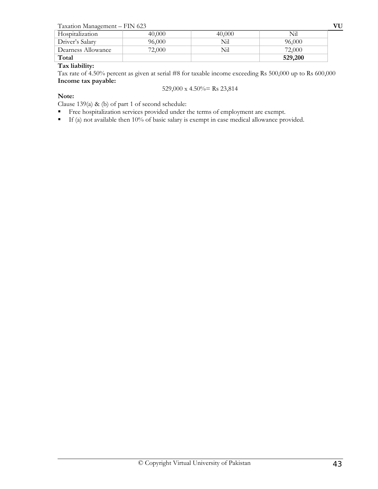| Taxation Management - FIN 623 |  |
|-------------------------------|--|
|-------------------------------|--|

| Taxation Management - FIN 623 |        |        |         | VU |
|-------------------------------|--------|--------|---------|----|
| Hospitalization               | 40,000 | 40,000 | Nil     |    |
| Driver's Salary               | 96,000 | Nil    | 96,000  |    |
| Dearness Allowance            | 72,000 | Nil    | 72,000  |    |
| Total                         |        |        | 529,200 |    |

# **Tax liability:**

Tax rate of 4.50% percent as given at serial #8 for taxable income exceeding Rs 500,000 up to Rs 600,000 **Income tax payable:** 

529,000 x 4.50%= Rs 23,814

# **Note:**

Clause 139(a) & (b) of part 1 of second schedule:

- Free hospitalization services provided under the terms of employment are exempt.
- If (a) not available then 10% of basic salary is exempt in case medical allowance provided.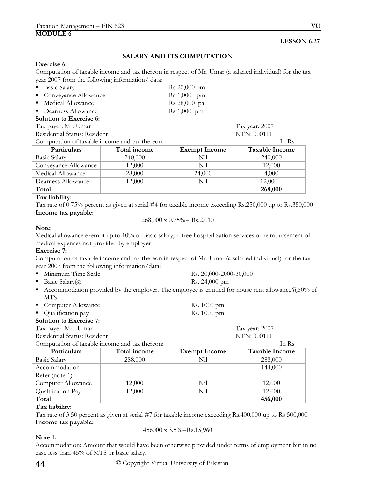# **SALARY AND ITS COMPUTATION**

#### **Exercise 6:**

Computation of taxable income and tax thereon in respect of Mr. Umar (a salaried individual) for the tax year 2007 from the following information/ data:

| <b>Basic Salary</b>                            |              | Rs 20,000 pm          |                       |
|------------------------------------------------|--------------|-----------------------|-----------------------|
| Conveyance Allowance                           |              | <b>Rs</b> 1,000<br>pm |                       |
| Medical Allowance<br>٠                         |              | Rs 28,000 pa          |                       |
| • Dearness Allowance                           |              | Rs 1,000 pm           |                       |
| Solution to Exercise 6:                        |              |                       |                       |
| Tax payer: Mr. Umar                            |              |                       | Tax year: 2007        |
| Residential Status: Resident                   |              |                       | NTN: 000111           |
| Computation of taxable income and tax thereon: |              |                       | In Rs                 |
| Particulars                                    | Total income | <b>Exempt Income</b>  | <b>Taxable Income</b> |
| <b>Basic Salary</b>                            | 240,000      | Nil                   | 240,000               |
| Conveyance Allowance                           | 12,000       | Nil                   | 12,000                |
| Medical Allowance                              | 28,000       | 24,000                | 4,000                 |
| Dearness Allowance                             | 12,000       | Nil                   | 12,000                |
| Total                                          |              |                       | 268,000               |

# **Tax liability:**

Tax rate of 0.75% percent as given at serial #4 for taxable income exceeding Rs.250,000 up to Rs.350,000 **Income tax payable:**

$$
268,000 \times 0.75\% = \text{Rs.}2,010
$$

## **Note:**

Medical allowance exempt up to 10% of Basic salary, if free hospitalization services or reimbursement of medical expenses not provided by employer

#### **Exercise 7:**

Computation of taxable income and tax thereon in respect of Mr. Umar (a salaried individual) for the tax year 2007 from the following information/data:

| ■ Minimum Time Scale | Rs. 20,000-2000-30,000 |
|----------------------|------------------------|
| ■ Basic Salary $@$   | Rs. 24,000 pm          |

- 
- Accommodation provided by the employer. The employee is entitled for house rent allowance $@50\%$  of MTS

| • Computer Allowance | Rs. 1000 pm |
|----------------------|-------------|
| • Qualification pay  | Rs. 1000 pm |

#### **Solution to Exercise 7:**

Tax payer: Mr. Umar Tax year: 2007 Residential Status: Resident NTN: 000111

Computation of taxable income and tax thereon: In Rs Particulars **Total income** Exempt Income Taxable Income Basic Salary 288,000 Nil 288,000 Accommodation Refer (note-1)  $-$ --- 144,000 Computer Allowance 12,000 Nil 12,000 Qualification Pay 12,000 Nil 12,000 **Total 456,000** 

## **Tax liability:**

Tax rate of 3.50 percent as given at serial #7 for taxable income exceeding Rs.400,000 up to Rs 500,000 **Income tax payable:**

$$
456000 \times 3.5\% =
$$
Rs.15,960

# **Note 1:**

Accommodation: Amount that would have been otherwise provided under terms of employment but in no case less than 45% of MTS or basic salary.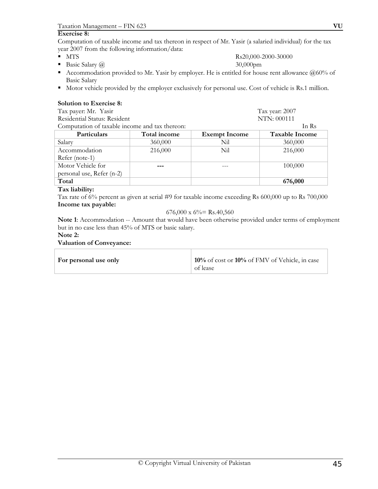#### **Exercise 8:**

Computation of taxable income and tax thereon in respect of Mr. Yasir (a salaried individual) for the tax year 2007 from the following information/data:

- 
- Basic Salary  $\omega$  30,000pm
- Accommodation provided to Mr. Yasir by employer. He is entitled for house rent allowance  $@60\%$  of Basic Salary
- Motor vehicle provided by the employer exclusively for personal use. Cost of vehicle is Rs.1 million.

#### **Solution to Exercise 8:**

| Tax payer: Mr. Yasir                           | Tax year: 2007 |                      |                       |
|------------------------------------------------|----------------|----------------------|-----------------------|
| Residential Status: Resident                   |                | NTN: 000111          |                       |
| Computation of taxable income and tax thereon: |                |                      | In Rs                 |
| Particulars                                    | Total income   | <b>Exempt Income</b> | <b>Taxable Income</b> |
| Salary                                         | 360,000        | Nil                  | 360,000               |
| Accommodation                                  | 216,000        | Nil                  | 216,000               |
| Refer (note-1)                                 |                |                      |                       |
| Motor Vehicle for                              |                |                      | 100,000               |
| personal use, Refer (n-2)                      |                |                      |                       |
| Total                                          |                |                      | 676,000               |

## **Tax liability:**

Tax rate of 6% percent as given at serial #9 for taxable income exceeding Rs 600,000 up to Rs 700,000 **Income tax payable:**

#### 676,000 x  $6\%$  = Rs.40,560

**Note 1**: Accommodation -- Amount that would have been otherwise provided under terms of employment but in no case less than 45% of MTS or basic salary.

# **Note 2:**

#### **Valuation of Conveyance:**

| For personal use only | 10% of cost or 10% of FMV of Vehicle, in case |
|-----------------------|-----------------------------------------------|
|                       | of lease                                      |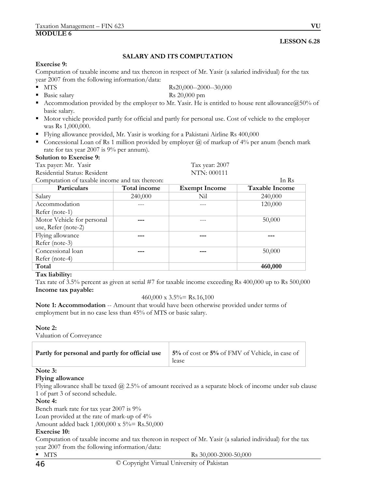# **SALARY AND ITS COMPUTATION**

#### **Exercise 9:**

Computation of taxable income and tax thereon in respect of Mr. Yasir (a salaried individual) for the tax year 2007 from the following information/data:

 $\blacksquare$  MTS  $\blacksquare$  Rs20,000--2000--30,000

# Basic salary Rs 20,000 pm

- Accommodation provided by the employer to Mr. Yasir. He is entitled to house rent allowance  $(250\%$  of basic salary.
- Motor vehicle provided partly for official and partly for personal use. Cost of vehicle to the employer was Rs 1,000,000.
- Flying allowance provided, Mr. Yasir is working for a Pakistani Airline Rs 400,000
- Concessional Loan of Rs 1 million provided by employer  $\omega$  of markup of 4% per anum (bench mark rate for tax year 2007 is 9% per annum).

## **Solution to Exercise 9:**

Tax payer: Mr. Yasir Tax year: 2007 Residential Status: Resident NTN: 000111

Computation of taxable income and tax thereon: In Rs

| Particulars                | Total income | <b>Exempt Income</b> | <b>Taxable Income</b> |
|----------------------------|--------------|----------------------|-----------------------|
| Salary                     | 240,000      | Nil                  | 240,000               |
| Accommodation              |              |                      | 120,000               |
| Refer (note-1)             |              |                      |                       |
| Motor Vehicle for personal |              |                      | 50,000                |
| use, Refer (note-2)        |              |                      |                       |
| Flying allowance           |              |                      |                       |
| Refer (note-3)             |              |                      |                       |
| Concessional loan          |              |                      | 50,000                |
| Refer (note-4)             |              |                      |                       |
| Total                      |              |                      | 460,000               |

#### **Tax liability:**

Tax rate of 3.5% percent as given at serial #7 for taxable income exceeding Rs 400,000 up to Rs 500,000 **Income tax payable:** 

#### $460,000 \times 3.5\% =$ Rs.16,100

**Note 1: Accommodation** -- Amount that would have been otherwise provided under terms of employment but in no case less than 45% of MTS or basic salary.

#### **Note 2:**

Valuation of Conveyance

| Partly for personal and partly for official use | $\vert$ 5% of cost or 5% of FMV of Vehicle, in case of $\vert$<br>lease |
|-------------------------------------------------|-------------------------------------------------------------------------|
|-------------------------------------------------|-------------------------------------------------------------------------|

# **Note 3:**

#### **Flying allowance**

Flying allowance shall be taxed @ 2.5% of amount received as a separate block of income under sub clause 1 of part 3 of second schedule.

#### **Note 4:**

Bench mark rate for tax year 2007 is 9%

Loan provided at the rate of mark-up of 4%

Amount added back 1,000,000 x 5%= Rs.50,000

## **Exercise 10:**

Computation of taxable income and tax thereon in respect of Mr. Yasir (a salaried individual) for the tax year 2007 from the following information/data:

 $\blacksquare$  MTS  $\blacksquare$  MTS

46 © Copyright Virtual University of Pakistan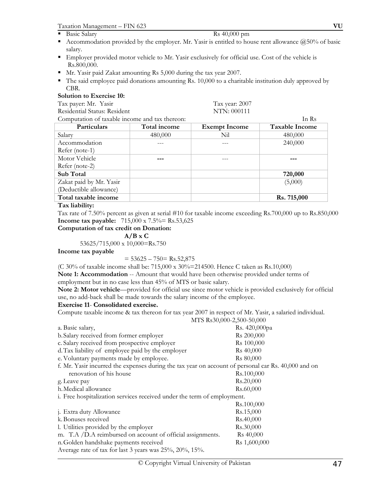**Basic Salary** Rs 40,000 pm

- Accommodation provided by the employer. Mr. Yasir is entitled to house rent allowance  $(250\%$  of basic salary.
- Employer provided motor vehicle to Mr. Yasir exclusively for official use. Cost of the vehicle is Rs.800,000.
- Mr. Yasir paid Zakat amounting Rs 5,000 during the tax year 2007.
- $\blacksquare$  The said employee paid donations amounting Rs. 10,000 to a charitable institution duly approved by CBR.

# **Solution to Exercise 10:**

Tax payer: Mr. Yasir Tax year: 2007

Residential Status: Resident NTN: 000111

| Computation of taxable income and tax thereon: | In Rs               |                      |                       |
|------------------------------------------------|---------------------|----------------------|-----------------------|
| Particulars                                    | <b>Total income</b> | <b>Exempt Income</b> | <b>Taxable Income</b> |
| Salary                                         | 480,000             | Nil                  | 480,000               |
| Accommodation                                  |                     |                      | 240,000               |
| $Refer (note-1)$                               |                     |                      |                       |
| Motor Vehicle                                  |                     |                      |                       |
| Refer (note-2)                                 |                     |                      |                       |
| Sub Total                                      |                     |                      | 720,000               |
| Zakat paid by Mr. Yasir                        |                     |                      | (5,000)               |
| (Deductible allowance)                         |                     |                      |                       |
| Total taxable income                           |                     |                      | Rs. 715,000           |
|                                                |                     |                      |                       |

# **Tax liability:**

Tax rate of 7.50% percent as given at serial #10 for taxable income exceeding Rs.700,000 up to Rs.850,000 **Income tax payable:** 715,000 x 7.5% = Rs.53,625

# **Computation of tax credit on Donation:**

#### $A/B \times C$

53625/715,000 x 10,000=Rs.750

## **Income tax payable**

 $= 53625 - 750 = \text{Rs}.52,875$ 

(C 30% of taxable income shall be: 715,000 x 30%=214500. Hence C taken as Rs.10,000)

**Note 1: Accommodation** -- Amount that would have been otherwise provided under terms of employment but in no case less than 45% of MTS or basic salary.

**Note 2: Motor vehicle**—provided for official use since motor vehicle is provided exclusively for official use, no add-back shall be made towards the salary income of the employee.

# **Exercise 11**- **Consolidated exercise.**

Compute taxable income & tax thereon for tax year 2007 in respect of Mr. Yasir, a salaried individual.

| MTS Rs30,000-2,500-50,000                                                                           |                        |
|-----------------------------------------------------------------------------------------------------|------------------------|
| a. Basic salary,                                                                                    | Rs. 420,000pa          |
| b. Salary received from former employer                                                             | Rs 200,000             |
| c. Salary received from prospective employer                                                        | R <sub>s</sub> 100,000 |
| d. Tax liability of employee paid by the employer                                                   | Rs 40,000              |
| e. Voluntary payments made by employee.                                                             | R <sub>s</sub> 80,000  |
| f. Mr. Yasir incurred the expenses during the tax year on account of personal car Rs. 40,000 and on |                        |
| renovation of his house                                                                             | Rs.100,000             |
| g. Leave pay                                                                                        | Rs.20,000              |
| h. Medical allowance                                                                                | Rs.60,000              |
| i. Free hospitalization services received under the term of employment.                             |                        |
|                                                                                                     | Rs.100,000             |
| j. Extra duty Allowance                                                                             | Rs.15,000              |
| k. Bonuses received                                                                                 | Rs.40,000              |
| 1. Utilities provided by the employer                                                               | Rs.30,000              |
| m. T.A /D.A reimbursed on account of official assignments.                                          | R <sub>s</sub> 40,000  |
| n. Golden handshake payments received                                                               | Rs 1,600,000           |
| Average rate of tax for last 3 years was $25\%, 20\%, 15\%$ .                                       |                        |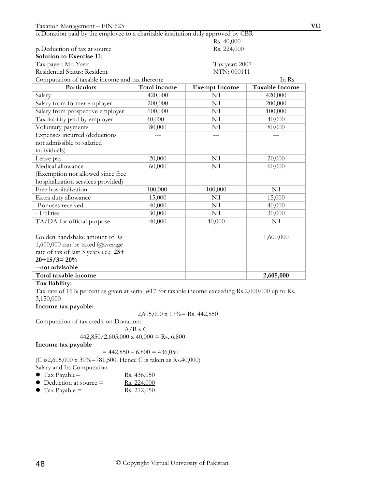o.Donation paid by the employee to a charitable institution duly approved by CBR

| p.Deduction of tax at source |
|------------------------------|
|------------------------------|

| <b>Solution to Exercise 11:</b> |  |  |
|---------------------------------|--|--|
|---------------------------------|--|--|

|  | . | Tax payer: Mr. Yasır |  |  |  |
|--|---|----------------------|--|--|--|
|--|---|----------------------|--|--|--|

Residential Status: Resident NTN: 000111

Tax year: 2007

Rs. 40,000 Rs. 224,000

| Computation of taxable income and tax thereon:<br>In Rs |                     |                      |                       |  |
|---------------------------------------------------------|---------------------|----------------------|-----------------------|--|
| Particulars                                             | <b>Total income</b> | <b>Exempt Income</b> | <b>Taxable Income</b> |  |
| Salary                                                  | 420,000             | Nil                  | 420,000               |  |
| Salary from former employer                             | 200,000             | Nil                  | 200,000               |  |
| Salary from prospective employer                        | 100,000             | Nil                  | 100,000               |  |
| Tax liability paid by employer                          | 40,000              | Nil                  | 40,000                |  |
| Voluntary payments                                      | 80,000              | Nil                  | 80,000                |  |
| Expenses incurred (deductions                           |                     | $---$                |                       |  |
| not admissible to salaried                              |                     |                      |                       |  |
| individuals)                                            |                     |                      |                       |  |
| Leave pay                                               | 20,000              | Nil                  | 20,000                |  |
| Medical allowance                                       | 60,000              | Nil                  | 60,000                |  |
| (Exemption not allowed since free                       |                     |                      |                       |  |
| hospitalization services provided)                      |                     |                      |                       |  |
| Free hospitalization                                    | 100,000             | 100,000              | Nil                   |  |
| Extra duty allowance                                    | 15,000              | Nil                  | 15,000                |  |
| -Bonuses received                                       | 40,000              | Nil                  | 40,000                |  |
| - Utilities                                             | 30,000              | Nil                  | 30,000                |  |
| TA/DA for official purpose                              | 40,000              | 40,000               | Nil                   |  |
|                                                         |                     |                      |                       |  |
| Golden handshake amount of Rs                           |                     |                      | 1,600,000             |  |
| 1,600,000 can be taxed @average                         |                     |                      |                       |  |
| rate of tax of last 3 years i.e.; 25+                   |                     |                      |                       |  |
| $20+15/3=20%$                                           |                     |                      |                       |  |
| --not advisable                                         |                     |                      |                       |  |
| Total taxable income                                    |                     |                      | 2,605,000             |  |

## **Tax liability:**

Tax rate of 16% percent as given at serial #17 for taxable income exceeding Rs.2,000,000 up to Rs. 3,150,000

#### **Income tax payable:**

2,605,000 x 17%= Rs. 442,850

Computation of tax credit on Donation:

 $A/B \times C$ 

# $442,850/2,605,000 \times 40,000 =$ Rs. 6,800

**Income tax payable**

 $= 442,850 - 6,800 = 436,050$ 

(C is2,605,000 x 30%=781,500. Hence C is taken as Rs.40,000)

Salary and Its Computation

- Tax Payable=  $\text{Rs. } 436,050$
- $\bullet$  Deduction at source = Rs. 224,000
- Tax Payable = Rs. 212,050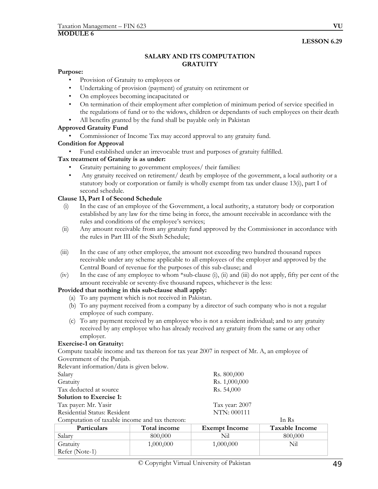# **SALARY AND ITS COMPUTATION GRATUITY**

### **Purpose:**

- Provision of Gratuity to employees or
- Undertaking of provision (payment) of gratuity on retirement or
- On employees becoming incapacitated or
- On termination of their employment after completion of minimum period of service specified in the regulations of fund or to the widows, children or dependants of such employees on their death
- All benefits granted by the fund shall be payable only in Pakistan

# **Approved Gratuity Fund**

- Commissioner of Income Tax may accord approval to any gratuity fund.
- **Condition for Approval** 
	- Fund established under an irrevocable trust and purposes of gratuity fulfilled.

# **Tax treatment of Gratuity is as under:**

- Gratuity pertaining to government employees/ their families:
- Any gratuity received on retirement/ death by employee of the government, a local authority or a statutory body or corporation or family is wholly exempt from tax under clause 13(i), part I of second schedule.

# **Clause 13, Part I of Second Schedule**

- (i) In the case of an employee of the Government, a local authority, a statutory body or corporation established by any law for the time being in force, the amount receivable in accordance with the rules and conditions of the employee's services;
- (ii) Any amount receivable from any gratuity fund approved by the Commissioner in accordance with the rules in Part III of the Sixth Schedule;
- (iii) In the case of any other employee, the amount not exceeding two hundred thousand rupees receivable under any scheme applicable to all employees of the employer and approved by the Central Board of revenue for the purposes of this sub-clause; and
- (iv) In the case of any employee to whom \*sub-clause (i), (ii) and (iii) do not apply, fifty per cent of the amount receivable or seventy-five thousand rupees, whichever is the less:

## **Provided that nothing in this sub-clause shall apply:**

- (a) To any payment which is not received in Pakistan.
- (b) To any payment received from a company by a director of such company who is not a regular employee of such company.
- (c) To any payment received by an employee who is not a resident individual; and to any gratuity received by any employee who has already received any gratuity from the same or any other employer.

## **Exercise-1 on Gratuity:**

Compute taxable income and tax thereon for tax year 2007 in respect of Mr. A, an employee of Government of the Punjab.

Relevant information/data is given below.

| Salary                                         |              | Rs. 800,000          |                       |
|------------------------------------------------|--------------|----------------------|-----------------------|
| Gratuity                                       |              | Rs. 1,000,000        |                       |
| Tax deducted at source                         |              | Rs. 54,000           |                       |
| <b>Solution to Exercise 1:</b>                 |              |                      |                       |
| Tax payer: Mr. Yasir                           |              | Tax year: 2007       |                       |
| Residential Status: Resident                   |              | NTN: 000111          |                       |
| Computation of taxable income and tax thereon: |              |                      | In Rs                 |
| Particulars                                    | Total income | <b>Exempt Income</b> | <b>Taxable Income</b> |
| $\sim$ 1                                       | 0000000      | $\sim$ $\sim$ $\sim$ | 000000                |

| <b>Particulars</b> | Total income | <b>Exempt Income</b> | Taxable Income |
|--------------------|--------------|----------------------|----------------|
| Salary             | 800.000      | Nil                  | 800,000        |
| Gratuity           | 1,000,000    | 1,000,000            | Nil            |
| Refer (Note-1)     |              |                      |                |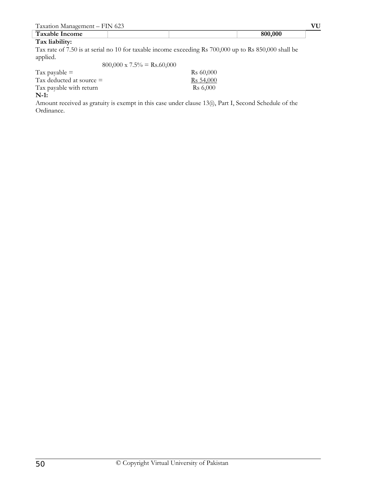| $\sqrt{1}$<br>$\alpha$ vote<br>-<br>-- | 623<br>N |     |  |
|----------------------------------------|----------|-----|--|
| $\mathbf{H}$<br>$-2Vc$<br>come<br>___  |          | nnn |  |
| $\sim$<br>.                            |          |     |  |

#### **Tax liability:**

Tax rate of 7.50 is at serial no 10 for taxable income exceeding Rs 700,000 up to Rs 850,000 shall be applied.  $800,000 = 7.5\% = P_5(0,000)$ 

| $800,000 \times 7.5\% =$ Rs.60,000 |                       |
|------------------------------------|-----------------------|
| Tax payable $=$                    | R <sub>s</sub> 60,000 |
| Tax deducted at source $=$         | R <sub>s</sub> 54,000 |
| Tax payable with return            | R <sub>s</sub> 6,000  |
| $N-1$ :                            |                       |

Amount received as gratuity is exempt in this case under clause 13(i), Part I, Second Schedule of the Ordinance.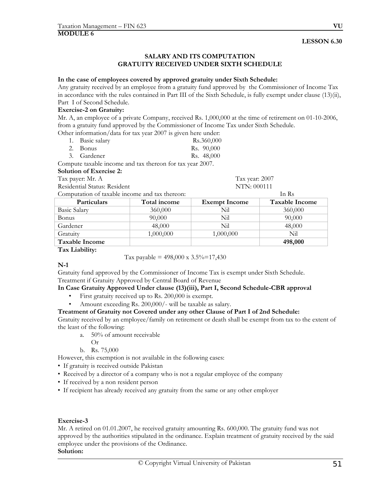#### **SALARY AND ITS COMPUTATION GRATUITY RECEIVED UNDER SIXTH SCHEDULE**

#### **In the case of employees covered by approved gratuity under Sixth Schedule:**

Any gratuity received by an employee from a gratuity fund approved by the Commissioner of Income Tax in accordance with the rules contained in Part III of the Sixth Schedule, is fully exempt under clause (13)(ii), Part I of Second Schedule.

### **Exercise-2 on Gratuity:**

Mr. A, an employee of a private Company, received Rs. 1,000,000 at the time of retirement on 01-10-2006, from a gratuity fund approved by the Commissioner of Income Tax under Sixth Schedule.

Other information/data for tax year 2007 is given here under:

| 1. Basic salary | Rs.360,000 |
|-----------------|------------|
| 2. Bonus        | Rs. 90,000 |
| 3. Gardener     | Rs. 48,000 |

Compute taxable income and tax thereon for tax year 2007.

| <b>Solution of Exercise 2:</b> |  |  |  |
|--------------------------------|--|--|--|
|                                |  |  |  |

Tax payer: Mr. A Tax year: 2007 Residential Status: Resident NTN: 000111

| Computation of taxable income and tax thereon: |              | In Rs                |                       |  |
|------------------------------------------------|--------------|----------------------|-----------------------|--|
| Particulars                                    | Total income | <b>Exempt Income</b> | <b>Taxable Income</b> |  |
| <b>Basic Salary</b>                            | 360,000      | Nil                  | 360,000               |  |
| <b>Bonus</b>                                   | 90,000       | Nil                  | 90,000                |  |
| Gardener                                       | 48,000       | Nil                  | 48,000                |  |
| Gratuity                                       | 1,000,000    | 1,000,000            | Nil                   |  |
| <b>Taxable Income</b>                          |              |                      | 498,000               |  |

**Tax Liability:** 

Tax payable =  $498,000 \times 3.5\% = 17,430$ 

**N-1** 

Gratuity fund approved by the Commissioner of Income Tax is exempt under Sixth Schedule. Treatment if Gratuity Approved by Central Board of Revenue

## **In Case Gratuity Approved Under clause (13)(iii), Part I, Second Schedule-CBR approval**

- First gratuity received up to Rs. 200,000 is exempt.
- Amount exceeding Rs. 200,000/- will be taxable as salary.

## **Treatment of Gratuity not Covered under any other Clause of Part I of 2nd Schedule:**

Gratuity received by an employee/family on retirement or death shall be exempt from tax to the extent of the least of the following:

- a. 50% of amount receivable
	- Or
- b. Rs. 75,000

However, this exemption is not available in the following cases:

- If gratuity is received outside Pakistan
- Received by a director of a company who is not a regular employee of the company
- If received by a non resident person
- If recipient has already received any gratuity from the same or any other employer

## **Exercise-3**

Mr. A retired on 01.01.2007, he received gratuity amounting Rs. 600,000. The gratuity fund was not approved by the authorities stipulated in the ordinance. Explain treatment of gratuity received by the said employee under the provisions of the Ordinance.

### **Solution:**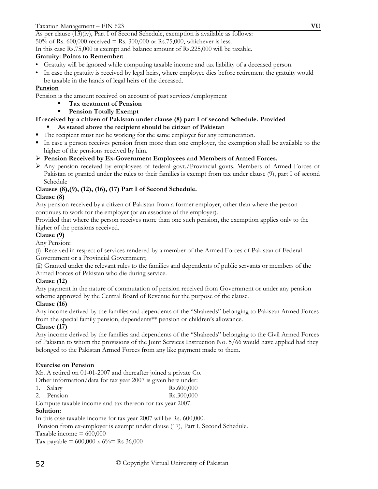As per clause (13)(iv), Part I of Second Schedule, exemption is available as follows: 50% of Rs. 600,000 received = Rs. 300,000 or Rs.75,000, whichever is less.

In this case Rs.75,000 is exempt and balance amount of Rs.225,000 will be taxable.

# **Gratuity: Points to Remember:**

- Gratuity will be ignored while computing taxable income and tax liability of a deceased person.
- In case the gratuity is received by legal heirs, where employee dies before retirement the gratuity would be taxable in the hands of legal heirs of the deceased.

# **Pension**

Pension is the amount received on account of past services/employment

- **Tax treatment of Pension**
- **Pension Totally Exempt**

# **If received by a citizen of Pakistan under clause (8) part I of second Schedule. Provided**

- **As stated above the recipient should be citizen of Pakistan**
- The recipient must not be working for the same employer for any remuneration.
- In case a person receives pension from more than one employer, the exemption shall be available to the higher of the pensions received by him.
- ¾ **Pension Received by Ex-Government Employees and Members of Armed Forces.**
- ¾ Any pension received by employees of federal govt./Provincial govts. Members of Armed Forces of Pakistan or granted under the rules to their families is exempt from tax under clause (9), part I of second Schedule

# **Clauses (8),(9), (12), (16), (17) Part I of Second Schedule.**

# **Clause (8)**

Any pension received by a citizen of Pakistan from a former employer, other than where the person continues to work for the employer (or an associate of the employer).

Provided that where the person receives more than one such pension, the exemption applies only to the higher of the pensions received.

# **Clause (9)**

Any Pension:

(i) Received in respect of services rendered by a member of the Armed Forces of Pakistan of Federal Government or a Provincial Government;

(ii) Granted under the relevant rules to the families and dependents of public servants or members of the Armed Forces of Pakistan who die during service.

# **Clause (12)**

Any payment in the nature of commutation of pension received from Government or under any pension scheme approved by the Central Board of Revenue for the purpose of the clause.

# **Clause (16)**

Any income derived by the families and dependents of the "Shaheeds" belonging to Pakistan Armed Forces from the special family pension, dependents\*\* pension or children's allowance.

# **Clause (17)**

Any income derived by the families and dependents of the "Shaheeds" belonging to the Civil Armed Forces of Pakistan to whom the provisions of the Joint Services Instruction No. 5/66 would have applied had they belonged to the Pakistan Armed Forces from any like payment made to them.

# **Exercise on Pension**

Mr. A retired on 01-01-2007 and thereafter joined a private Co.

- Other information/data for tax year 2007 is given here under:
- 1. Salary Rs.600,000
- 2. Pension Rs.300,000

Compute taxable income and tax thereon for tax year 2007.

# **Solution:**

In this case taxable income for tax year 2007 will be Rs. 600,000.

Pension from ex-employer is exempt under clause (17), Part I, Second Schedule.

Taxable income  $= 600,000$ 

Tax payable =  $600,000 \times 6\%$  = Rs 36,000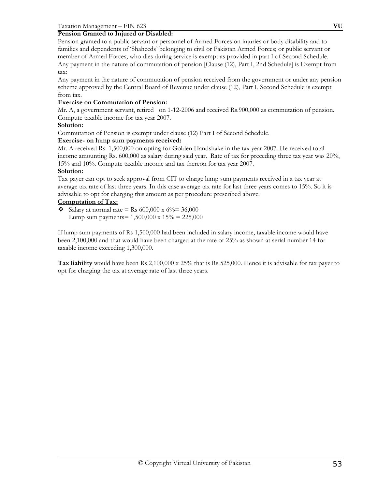# **Pension Granted to Injured or Disabled:**

Pension granted to a public servant or personnel of Armed Forces on injuries or body disability and to families and dependents of 'Shaheeds' belonging to civil or Pakistan Armed Forces; or public servant or member of Armed Forces, who dies during service is exempt as provided in part I of Second Schedule. Any payment in the nature of commutation of pension [Clause (12), Part I, 2nd Schedule] is Exempt from tax:

Any payment in the nature of commutation of pension received from the government or under any pension scheme approved by the Central Board of Revenue under clause (12), Part I, Second Schedule is exempt from tax.

# **Exercise on Commutation of Pension:**

Mr. A, a government servant, retired on 1-12-2006 and received Rs.900,000 as commutation of pension. Compute taxable income for tax year 2007.

## **Solution:**

Commutation of Pension is exempt under clause (12) Part I of Second Schedule.

# **Exercise- on lump sum payments received:**

Mr. A received Rs. 1,500,000 on opting for Golden Handshake in the tax year 2007. He received total income amounting Rs. 600,000 as salary during said year. Rate of tax for preceding three tax year was 20%, 15% and 10%. Compute taxable income and tax thereon for tax year 2007.

# **Solution:**

Tax payer can opt to seek approval from CIT to charge lump sum payments received in a tax year at average tax rate of last three years. In this case average tax rate for last three years comes to 15%. So it is advisable to opt for charging this amount as per procedure prescribed above.

# **Computation of Tax:**

• Salary at normal rate = Rs  $600,000 \times 6\% = 36,000$ Lump sum payments =  $1,500,000 \times 15\% = 225,000$ 

If lump sum payments of Rs 1,500,000 had been included in salary income, taxable income would have been 2,100,000 and that would have been charged at the rate of 25% as shown at serial number 14 for taxable income exceeding 1,300,000.

**Tax liability** would have been Rs 2,100,000 x 25% that is Rs 525,000. Hence it is advisable for tax payer to opt for charging the tax at average rate of last three years.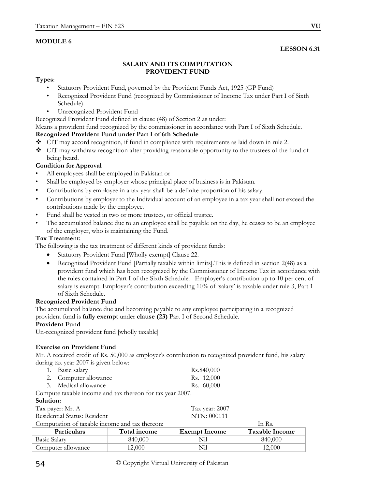# **MODULE 6**

# **LESSON 6.31**

## **SALARY AND ITS COMPUTATION PROVIDENT FUND**

### **Types**:

- Statutory Provident Fund, governed by the Provident Funds Act, 1925 (GP Fund)
- Recognized Provident Fund (recognized by Commissioner of Income Tax under Part I of Sixth Schedule).
- Unrecognized Provident Fund

Recognized Provident Fund defined in clause (48) of Section 2 as under:

Means a provident fund recognized by the commissioner in accordance with Part I of Sixth Schedule.

# **Recognized Provident Fund under Part I of 6th Schedule**

- CIT may accord recognition, if fund in compliance with requirements as laid down in rule 2.
- CIT may withdraw recognition after providing reasonable opportunity to the trustees of the fund of being heard.

# **Condition for Approval**

- All employees shall be employed in Pakistan or
- Shall be employed by employer whose principal place of business is in Pakistan.
- Contributions by employee in a tax year shall be a definite proportion of his salary.
- Contributions by employer to the Individual account of an employee in a tax year shall not exceed the contributions made by the employee.
- Fund shall be vested in two or more trustees, or official trustee.
- The accumulated balance due to an employee shall be payable on the day, he ceases to be an employee of the employer, who is maintaining the Fund.

# **Tax Treatment:**

The following is the tax treatment of different kinds of provident funds:

- Statutory Provident Fund [Wholly exempt] Clause 22.
- Recognized Provident Fund [Partially taxable within limits]. This is defined in section 2(48) as a provident fund which has been recognized by the Commissioner of Income Tax in accordance with the rules contained in Part I of the Sixth Schedule. Employer's contribution up to 10 per cent of salary is exempt. Employer's contribution exceeding 10% of 'salary' is taxable under rule 3, Part 1 of Sixth Schedule.

## **Recognized Provident Fund**

The accumulated balance due and becoming payable to any employee participating in a recognized provident fund is **fully exempt** under **clause (23)** Part I of Second Schedule.

## **Provident Fund**

Un-recognized provident fund [wholly taxable]

# **Exercise on Provident Fund**

Mr. A received credit of Rs. 50,000 as employer's contribution to recognized provident fund, his salary during tax year 2007 is given below:

| 1. Basic salary       | Rs.840,000 |
|-----------------------|------------|
| 2. Computer allowance | Rs. 12,000 |
| 3. Medical allowance  | Rs. 60,000 |

Compute taxable income and tax thereon for tax year 2007.

## **Solution:**

| <b>Particulars</b>                             | Total income | Exempt Income  | Taxable Incor |
|------------------------------------------------|--------------|----------------|---------------|
| Computation of taxable income and tax thereon: |              |                | In Rs.        |
| Residential Status: Resident                   |              | NTN: 000111    |               |
| Tax payer: Mr. A                               |              | Tax year: 2007 |               |
|                                                |              |                |               |

| <b>Particulars</b> | Total income | <b>Exempt Income</b> | <b>Taxable Income</b> |
|--------------------|--------------|----------------------|-----------------------|
| Basic Salary       | 840,000      | $\mathcal{N}_{11}$   | 840,000               |
| Computer allowance | 12.000       | Nil                  | 12.000                |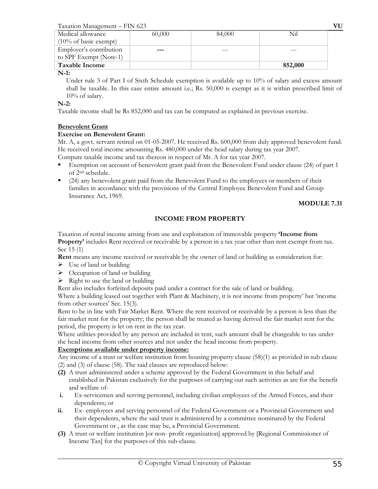Taxation Management – FIN 623 **VU**

| Medical allowance                 | 60,000 | 84,000 | Nil     |
|-----------------------------------|--------|--------|---------|
| $(10\% \text{ of basic example})$ |        |        |         |
| Employer's contribution           | ---    |        |         |
| to SPF Exempt (Note-1)            |        |        |         |
| <b>Taxable Income</b>             |        |        | 852,000 |
| <b>BT</b>                         |        |        |         |

**N-1:** 

 Under rule 3 of Part I of Sixth Schedule exemption is available up to 10% of salary and excess amount shall be taxable. In this case entire amount i.e.; Rs. 50,000 is exempt as it is within prescribed limit of 10% of salary.

# **N-2:**

Taxable income shall be Rs 852,000 and tax can be computed as explained in previous exercise.

# **Benevolent Grant**

# **Exercise on Benevolent Grant:**

Mr. A, a govt. servant retired on 01-05-2007. He received Rs. 600,000 from duly approved benevolent fund. He received total income amounting Rs. 480,000 under the head salary during tax year 2007.

Compute taxable income and tax thereon in respect of Mr. A for tax year 2007.

- Exemption on account of benevolent grant paid from the Benevolent Fund under clause (24) of part 1 of 2nd schedule.
- (24) any benevolent grant paid from the Benevolent Fund to the employees or members of their families in accordance with the provisions of the Central Employee Benevolent Fund and Group Insurance Act, 1969.

# **MODULE 7.31**

# **INCOME FROM PROPERTY**

Taxation of rental income arising from use and exploitation of immovable property **'Income from Property'** includes Rent received or receivable by a person in a tax year other than rent exempt from tax. Sec 15 (1)

**Rent** means any income received or receivable by the owner of land or building as consideration for:

- $\triangleright$  Use of land or building
- $\triangleright$  Occupation of land or building
- $\triangleright$  Right to use the land or building

Rent also includes forfeited deposits paid under a contract for the sale of land or building.

Where a building leased out together with Plant & Machinery, it is not income from property' but 'income from other sources' Sec. 15(3).

Rent to be in line with Fair Market Rent. Where the rent received or receivable by a person is less than the fair market rent for the property; the person shall be treated as having derived the fair market rent for the period, the property is let on rent in the tax year.

Where utilities provided by any person are included in rent, such amount shall be chargeable to tax under the head income from other sources and not under the head income from property.

# **Exemptions available under property income:**

Any income of a trust or welfare institution from housing property clause (58)(1) as provided in sub clause (2) and (3) of clause (58). The said clauses are reproduced below:

- **(2)** A trust administered under a scheme approved by the Federal Government in this behalf and established in Pakistan exclusively for the purposes of carrying out such activities as are for the benefit and welfare of-
- **i.** Ex-servicemen and serving personnel, including civilian employees of the Armed Forces, and their dependents; or
- **ii.** Ex- employees and serving personnel of the Federal Government or a Provincial Government and their dependents, where the said trust is administered by a committee nominated by the Federal Government or , as the case may be, a Provincial Government.
- **(3)** A trust or welfare institution [or non- profit organization] approved by [Regional Commissioner of Income Tax] for the purposes of this sub-clause.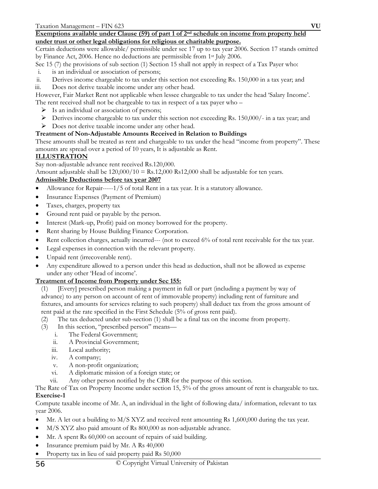## **Exemptions available under Clause (59) of part 1 of 2nd schedule on income from property held under trust or other legal obligations for religious or charitable purpose.**

Certain deductions were allowable/ permissible under sec 17 up to tax year 2006. Section 17 stands omitted by Finance Act, 2006. Hence no deductions are permissible from 1st July 2006.

Sec 15 (7) the provisions of sub section (1) Section 15 shall not apply in respect of a Tax Payer who:

- i. is an individual or association of persons;
- ii. Derives income chargeable to tax under this section not exceeding Rs. 150,000 in a tax year; and
- iii. Does not derive taxable income under any other head.

However, Fair Market Rent not applicable when lessee chargeable to tax under the head 'Salary Income'. The rent received shall not be chargeable to tax in respect of a tax payer who –

- $\triangleright$  Is an individual or association of persons;
- ¾ Derives income chargeable to tax under this section not exceeding Rs. 150,000/- in a tax year; and
- ¾ Does not derive taxable income under any other head.

# **Treatment of Non-Adjustable Amounts Received in Relation to Buildings**

These amounts shall be treated as rent and chargeable to tax under the head "income from property". These amounts are spread over a period of 10 years, It is adjustable as Rent.

# **ILLUSTRATION**

Say non-adjustable advance rent received Rs.120,000.

Amount adjustable shall be  $120,000/10 = \text{Rs}.12,000 \text{ Rs}12,000 \text{ shall be adjustable for ten years.}$ 

# **Admissible Deductions before tax year 2007**

- Allowance for Repair-----1/5 of total Rent in a tax year. It is a statutory allowance.
- Insurance Expenses (Payment of Premium)
- Taxes, charges, property tax
- Ground rent paid or payable by the person.
- Interest (Mark-up, Profit) paid on money borrowed for the property.
- Rent sharing by House Building Finance Corporation.
- Rent collection charges, actually incurred--- (not to exceed 6% of total rent receivable for the tax year.
- Legal expenses in connection with the relevant property.
- Unpaid rent (irrecoverable rent).
- Any expenditure allowed to a person under this head as deduction, shall not be allowed as expense under any other 'Head of income'.

# **Treatment of Income from Property under Sec 155:**

- (1) [Every] prescribed person making a payment in full or part (including a payment by way of advance) to any person on account of rent of immovable property) including rent of furniture and fixtures, and amounts for services relating to such property) shall deduct tax from the gross amount of rent paid at the rate specified in the First Schedule (5% of gross rent paid).
- (2) The tax deducted under sub-section (1) shall be a final tax on the income from property.
- (3) In this section, "prescribed person" means
	- i. The Federal Government;
	- ii. A Provincial Government;
	- iii. Local authority;
	- iv. A company;
	- v. A non-profit organization;
	- vi. A diplomatic mission of a foreign state; or
	- vii. Any other person notified by the CBR for the purpose of this section.

The Rate of Tax on Property Income under section 15, 5% of the gross amount of rent is chargeable to tax. **Exercise-1** 

Compute taxable income of Mr. A, an individual in the light of following data/ information, relevant to tax year 2006.

- Mr. A let out a building to M/S XYZ and received rent amounting Rs 1,600,000 during the tax year.
- M/S XYZ also paid amount of Rs 800,000 as non-adjustable advance.
- Mr. A spent Rs 60,000 on account of repairs of said building.
- Insurance premium paid by Mr. A Rs 40,000
- Property tax in lieu of said property paid Rs 50,000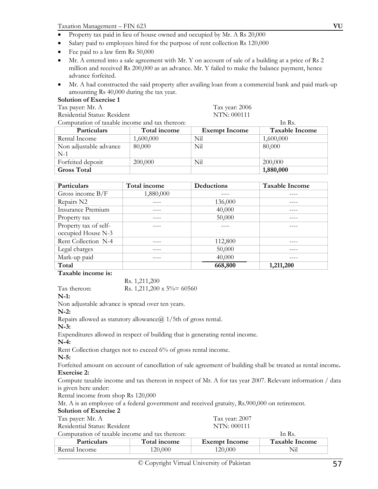- Property tax paid in lieu of house owned and occupied by Mr. A Rs 20,000
- Salary paid to employees hired for the purpose of rent collection Rs 120,000
- Fee paid to a law firm Rs 50,000
- Mr. A entered into a sale agreement with Mr. Y on account of sale of a building at a price of Rs 2 million and received Rs 200,000 as an advance. Mr. Y failed to make the balance payment, hence advance forfeited.
- Mr. A had constructed the said property after availing loan from a commercial bank and paid mark-up amounting Rs 40,000 during the tax year.

### **Solution of Exercise 1**

Tax payer: Mr. A Tax year: 2006

Residential Status: Resident NTN: 000111

Computation of taxable income and tax thereon: In Rs.

| COMPUTATION OF TAXADIC MICOMIC AND TAX HICKON. |              |                      | <b>THER</b>           |
|------------------------------------------------|--------------|----------------------|-----------------------|
| <b>Particulars</b>                             | Total income | <b>Exempt Income</b> | <b>Taxable Income</b> |
| Rental Income                                  | 1,600,000    | Nil                  | 1,600,000             |
| Non adjustable advance                         | 80,000       | Nil                  | 80,000                |
| $N-1$                                          |              |                      |                       |
| Forfeited deposit                              | 200,000      | Nil                  | 200,000               |
| <b>Gross Total</b>                             |              |                      | 1,880,000             |

| Particulars              | Total income | Deductions | <b>Taxable Income</b> |
|--------------------------|--------------|------------|-----------------------|
| Gross income $B/F$       | 1,880,000    |            |                       |
| Repairs N2               |              | 136,000    |                       |
| <b>Insurance Premium</b> |              | 40,000     |                       |
| Property tax             |              | 50,000     |                       |
| Property tax of self-    |              |            |                       |
| occupied House N-3       |              |            |                       |
| Rent Collection N-4      |              | 112,800    |                       |
| Legal charges            |              | 50,000     |                       |
| Mark-up paid             |              | 40,000     |                       |
| Total                    |              | 668,800    | 1,211,200             |

**Taxable income is:** 

Rs. 1,211,200

Tax thereon: Rs. 1,211,200 x 5% = 60560

**N-1:** 

Non adjustable advance is spread over ten years.

**N-2:** 

Repairs allowed as statutory allowance  $\omega$  1/5th of gross rental.

**N-3:** 

Expenditures allowed in respect of building that is generating rental income.

**N-4:** 

Rent Collection charges not to exceed 6% of gross rental income.

**N-5:** 

Forfeited amount on account of cancellation of sale agreement of building shall be treated as rental income**. Exercise 2:** 

Compute taxable income and tax thereon in respect of Mr. A for tax year 2007. Relevant information / data is given here under:

Rental income from shop Rs 120,000

Mr. A is an employee of a federal government and received gratuity, Rs.900,000 on retirement.

| <b>Solution of Exercise 2</b>                  |              |                      |                       |
|------------------------------------------------|--------------|----------------------|-----------------------|
| Tax payer: Mr. A                               |              | Tax year: 2007       |                       |
| Residential Status: Resident                   |              | NTN: 000111          |                       |
| Computation of taxable income and tax thereon: |              |                      | In Rs.                |
| <b>Particulars</b>                             | Total income | <b>Exempt Income</b> | <b>Taxable Income</b> |
| Rental Income                                  | 120,000      | 120,000              | Nil                   |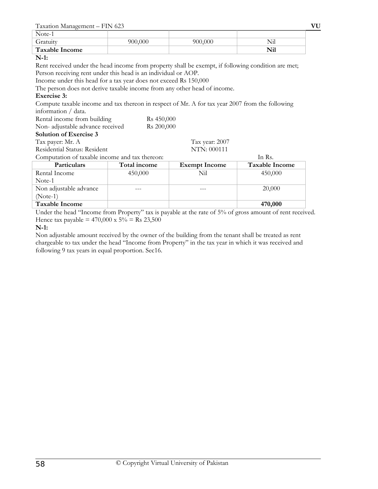| Note-1                |         |         |     |
|-----------------------|---------|---------|-----|
| Gratuity              | 900,000 | 900,000 |     |
| <b>Taxable Income</b> |         |         | Nil |

#### **N-1:**

Rent received under the head income from property shall be exempt, if following condition are met; Person receiving rent under this head is an individual or AOP.

Income under this head for a tax year does not exceed Rs 150,000

The person does not derive taxable income from any other head of income.

# **Exercise 3:**

Compute taxable income and tax thereon in respect of Mr. A for tax year 2007 from the following information / data.

| ппоннацон дата.                 |                        |                |
|---------------------------------|------------------------|----------------|
| Rental income from building     | R <sub>s</sub> 450,000 |                |
| Non-adjustable advance received | R <sub>s</sub> 200,000 |                |
| <b>Solution of Exercise 3</b>   |                        |                |
| Tax payer: Mr. A                |                        | Tax year: 2007 |

Residential Status: Resident NTN: 000111

Computation of taxable income and tax thereon: In Rs.

| Computation of taxable meonic and tax thereon. |              |                      | 1111322               |
|------------------------------------------------|--------------|----------------------|-----------------------|
| Particulars                                    | Total income | <b>Exempt Income</b> | <b>Taxable Income</b> |
| Rental Income                                  | 450,000      | Nil                  | 450,000               |
| Note-1                                         |              |                      |                       |
| Non adjustable advance                         |              |                      | 20,000                |
| $(Note-1)$                                     |              |                      |                       |
| <b>Taxable Income</b>                          |              |                      | 470,000               |

Under the head "Income from Property" tax is payable at the rate of 5% of gross amount of rent received. Hence tax payable =  $470,000 \times 5\% = \text{Rs } 23,500$ 

## **N-1:**

Non adjustable amount received by the owner of the building from the tenant shall be treated as rent chargeable to tax under the head "Income from Property" in the tax year in which it was received and following 9 tax years in equal proportion. Sec16.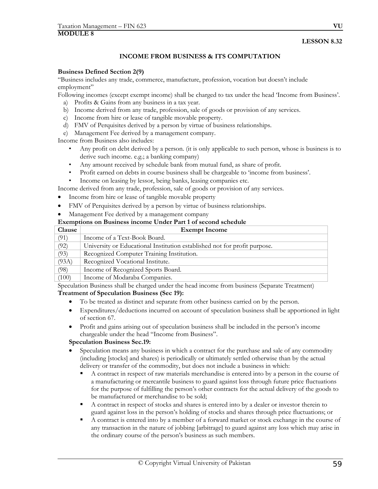# **INCOME FROM BUSINESS & ITS COMPUTATION**

#### **Business Defined Section 2(9)**

"Business includes any trade, commerce, manufacture, profession, vocation but doesn't include employment"

Following incomes (except exempt income) shall be charged to tax under the head 'Income from Business'.

- a) Profits & Gains from any business in a tax year.
- b) Income derived from any trade, profession, sale of goods or provision of any services.
- c) Income from hire or lease of tangible movable property.
- d) FMV of Perquisites derived by a person by virtue of business relationships.

e) Management Fee derived by a management company.

Income from Business also includes:

- Any profit on debt derived by a person. (it is only applicable to such person, whose is business is to derive such income. e.g.; a banking company)
- Any amount received by schedule bank from mutual fund, as share of profit.
- Profit earned on debts in course business shall be chargeable to 'income from business'.
- Income on leasing by lessor, being banks, leasing companies etc.

Income derived from any trade, profession, sale of goods or provision of any services.

- Income from hire or lease of tangible movable property
- FMV of Perquisites derived by a person by virtue of business relationships.
- Management Fee derived by a management company

| Clause | <b>Exempt Income</b>                                                      |
|--------|---------------------------------------------------------------------------|
| (91)   | Income of a Text-Book Board.                                              |
| (92)   | University or Educational Institution established not for profit purpose. |
| (93)   | Recognized Computer Training Institution.                                 |
| (93A)  | Recognized Vocational Institute.                                          |
| (98)   | Income of Recognized Sports Board.                                        |
| (100)  | Income of Modaraba Companies.                                             |

Speculation Business shall be charged under the head income from business (Separate Treatment)

## **Treatment of Speculation Business (Sec 19):**

- To be treated as distinct and separate from other business carried on by the person.
- Expenditures/deductions incurred on account of speculation business shall be apportioned in light of section 67.
- Profit and gains arising out of speculation business shall be included in the person's income chargeable under the head "Income from Business".

#### **Speculation Business Sec.19:**

- Speculation means any business in which a contract for the purchase and sale of any commodity (including [stocks] and shares) is periodically or ultimately settled otherwise than by the actual delivery or transfer of the commodity, but does not include a business in which:
	- A contract in respect of raw materials merchandise is entered into by a person in the course of a manufacturing or mercantile business to guard against loss through future price fluctuations for the purpose of fulfilling the person's other contracts for the actual delivery of the goods to be manufactured or merchandise to be sold;
	- A contract in respect of stocks and shares is entered into by a dealer or investor therein to guard against loss in the person's holding of stocks and shares through price fluctuations; or
	- A contract is entered into by a member of a forward market or stock exchange in the course of any transaction in the nature of jobbing [arbitrage] to guard against any loss which may arise in the ordinary course of the person's business as such members.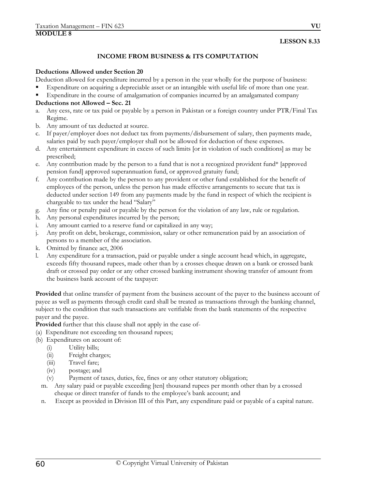# **INCOME FROM BUSINESS & ITS COMPUTATION**

#### **Deductions Allowed under Section 20**

- Deduction allowed for expenditure incurred by a person in the year wholly for the purpose of business:
- Expenditure on acquiring a depreciable asset or an intangible with useful life of more than one year.
- Expenditure in the course of amalgamation of companies incurred by an amalgamated company

# **Deductions not Allowed – Sec. 21**

- a. Any cess, rate or tax paid or payable by a person in Pakistan or a foreign country under PTR/Final Tax Regime.
- b. Any amount of tax deducted at source.
- c. If payer/employer does not deduct tax from payments/disbursement of salary, then payments made, salaries paid by such payer/employer shall not be allowed for deduction of these expenses.
- d. Any entertainment expenditure in excess of such limits [or in violation of such conditions] as may be prescribed;
- e. Any contribution made by the person to a fund that is not a recognized provident fund\* [approved pension fund] approved superannuation fund, or approved gratuity fund;
- f. Any contribution made by the person to any provident or other fund established for the benefit of employees of the person, unless the person has made effective arrangements to secure that tax is deducted under section 149 from any payments made by the fund in respect of which the recipient is chargeable to tax under the head "Salary"
- g. Any fine or penalty paid or payable by the person for the violation of any law, rule or regulation.
- h. Any personal expenditures incurred by the person;
- i. Any amount carried to a reserve fund or capitalized in any way;
- j. Any profit on debt, brokerage, commission, salary or other remuneration paid by an association of persons to a member of the association.
- k. Omitted by finance act, 2006
- l. Any expenditure for a transaction, paid or payable under a single account head which, in aggregate, exceeds fifty thousand rupees, made other than by a crosses cheque drawn on a bank or crossed bank draft or crossed pay order or any other crossed banking instrument showing transfer of amount from the business bank account of the taxpayer:

**Provided** that online transfer of payment from the business account of the payer to the business account of payee as well as payments through credit card shall be treated as transactions through the banking channel, subject to the condition that such transactions are verifiable from the bank statements of the respective payer and the payee.

**Provided** further that this clause shall not apply in the case of-

- (a) Expenditure not exceeding ten thousand rupees;
- (b) Expenditures on account of:
	- (i) Utility bills;
	- (ii) Freight charges;
	- (iii) Travel fare;
	- (iv) postage; and
	- (v) Payment of taxes, duties, fee, fines or any other statutory obligation;
	- m. Any salary paid or payable exceeding [ten] thousand rupees per month other than by a crossed cheque or direct transfer of funds to the employee's bank account; and
	- n. Except as provided in Division III of this Part, any expenditure paid or payable of a capital nature.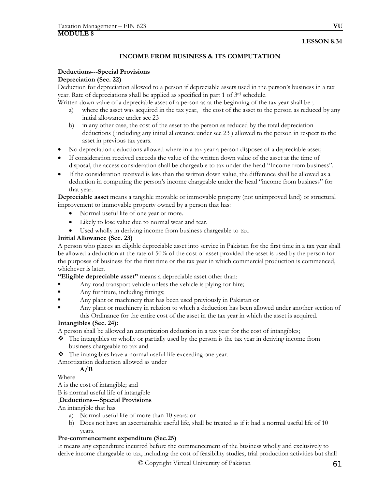# **INCOME FROM BUSINESS & ITS COMPUTATION**

# **Deductions---Special Provisions**

# **Depreciation (Sec. 22)**

Deduction for depreciation allowed to a person if depreciable assets used in the person's business in a tax year. Rate of depreciations shall be applied as specified in part 1 of 3rd schedule.

Written down value of a depreciable asset of a person as at the beginning of the tax year shall be ;

- a) where the asset was acquired in the tax year, the cost of the asset to the person as reduced by any initial allowance under sec 23
- b) in any other case, the cost of the asset to the person as reduced by the total depreciation deductions ( including any initial allowance under sec 23 ) allowed to the person in respect to the asset in previous tax years.
- No depreciation deductions allowed where in a tax year a person disposes of a depreciable asset;
- If consideration received exceeds the value of the written down value of the asset at the time of disposal, the access consideration shall be chargeable to tax under the head "Income from business".
- If the consideration received is less than the written down value, the difference shall be allowed as a deduction in computing the person's income chargeable under the head "income from business" for that year.

**Depreciable asset** means a tangible movable or immovable property (not unimproved land) or structural improvement to immovable property owned by a person that has:

- Normal useful life of one year or more.
- Likely to lose value due to normal wear and tear.
- Used wholly in deriving income from business chargeable to tax.

# **Initial Allowance (Sec. 23)**

A person who places an eligible depreciable asset into service in Pakistan for the first time in a tax year shall be allowed a deduction at the rate of 50% of the cost of asset provided the asset is used by the person for the purposes of business for the first time or the tax year in which commercial production is commenced, whichever is later.

**"Eligible depreciable asset"** means a depreciable asset other than:

- Any road transport vehicle unless the vehicle is plying for hire;
- Any furniture, including fittings;
- Any plant or machinery that has been used previously in Pakistan or
- Any plant or machinery in relation to which a deduction has been allowed under another section of this Ordinance for the entire cost of the asset in the tax year in which the asset is acquired.

## **Intangibles (Sec. 24):**

A person shall be allowed an amortization deduction in a tax year for the cost of intangibles;

- $\bullet$  The intangibles or wholly or partially used by the person is the tax year in deriving income from business chargeable to tax and
- $\triangleleft$  The intangibles have a normal useful life exceeding one year.

Amortization deduction allowed as under

# **A/B**

Where

A is the cost of intangible; and

B is normal useful life of intangible

# **Deductions---Special Provisions**

An intangible that has

- a) Normal useful life of more than 10 years; or
- b) Does not have an ascertainable useful life, shall be treated as if it had a normal useful life of 10 years.

# **Pre-commencement expenditure (Sec.25)**

It means any expenditure incurred before the commencement of the business wholly and exclusively to derive income chargeable to tax, including the cost of feasibility studies, trial production activities but shall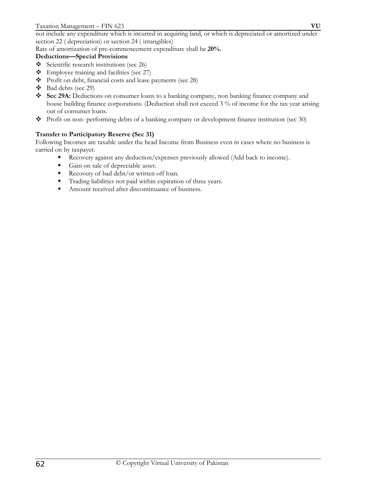not include any expenditure which is incurred in acquiring land, or which is depreciated or amortized under section 22 ( depreciation) or section 24 ( intangibles)

Rate of amortization of pre-commencement expenditure shall be **20%.** 

# **Deductions—Special Provisions**

- Scientific research institutions (sec 26)
- \* Employee training and facilities (sec 27)
- \* Profit on debt, financial costs and lease payments (sec 28)
- Bad debts (sec 29)
- **Sec 29A:** Deductions on consumer loans to a banking company, non banking finance company and house building finance corporations. (Deduction shall not exceed 3 % of income for the tax year arising out of consumer loans.
- Profit on non- performing debts of a banking company or development finance institution (sec 30)

# **Transfer to Participatory Reserve (Sec 31)**

Following Incomes are taxable under the head Income from Business even in cases where no business is carried on by taxpayer.

- Recovery against any deduction/expenses previously allowed (Add back to income).
- Gain on sale of depreciable asset.
- Recovery of bad debt/or written off loan.
- Trading liabilities not paid within expiration of three years.
- Amount received after discontinuance of business.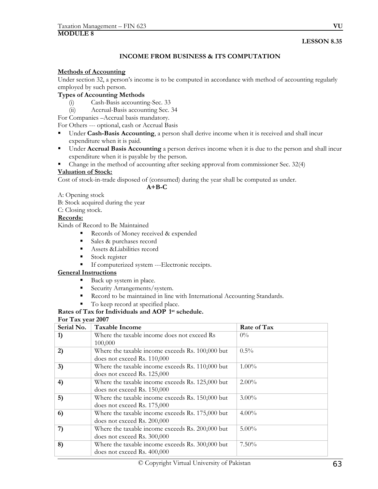# **INCOME FROM BUSINESS & ITS COMPUTATION**

## **Methods of Accounting**

Under section 32, a person's income is to be computed in accordance with method of accounting regularly employed by such person.

# **Types of Accounting Methods**

- (i) Cash-Basis accounting-Sec. 33
- (ii) Accrual-Basis accounting Sec. 34

For Companies –Accrual basis mandatory.

For Others --- optional, cash or Accrual Basis

- Under **Cash-Basis Accounting**, a person shall derive income when it is received and shall incur expenditure when it is paid.
- Under **Accrual Basis Accounting** a person derives income when it is due to the person and shall incur expenditure when it is payable by the person.
- Change in the method of accounting after seeking approval from commissioner Sec. 32(4)

## **Valuation of Stock:**

Cost of stock-in-trade disposed of (consumed) during the year shall be computed as under.

#### **A+B-C**

A: Opening stock

- B: Stock acquired during the year
- C: Closing stock.

## **Records:**

Kinds of Record to Be Maintained

- Records of Money received & expended
- Sales & purchases record
- Assets  $\&$ Liabilities record
- Stock register
- If computerized system ---Electronic receipts.

## **General Instructions**

- Back up system in place.
- Security Arrangements/system.
- Record to be maintained in line with International Accounting Standards.
- To keep record at specified place.

# **Rates of Tax for Individuals and AOP 1st schedule.**

#### **For Tax year 2007**

| Serial No. | <b>Taxable Income</b>                            | Rate of Tax |
|------------|--------------------------------------------------|-------------|
| 1)         | Where the taxable income does not exceed Rs      | $0\%$       |
|            | 100,000                                          |             |
| 2)         | Where the taxable income exceeds Rs. 100,000 but | $0.5\%$     |
|            | does not exceed Rs. 110,000                      |             |
| 3)         | Where the taxable income exceeds Rs. 110,000 but | $1.00\%$    |
|            | does not exceed Rs. 125,000                      |             |
| 4)         | Where the taxable income exceeds Rs. 125,000 but | $2.00\%$    |
|            | does not exceed Rs. 150,000                      |             |
| 5)         | Where the taxable income exceeds Rs. 150,000 but | $3.00\%$    |
|            | does not exceed Rs. 175,000                      |             |
| 6)         | Where the taxable income exceeds Rs. 175,000 but | $4.00\%$    |
|            | does not exceed Rs. 200,000                      |             |
| 7)         | Where the taxable income exceeds Rs. 200,000 but | $5.00\%$    |
|            | does not exceed Rs. 300,000                      |             |
| 8)         | Where the taxable income exceeds Rs. 300,000 but | $7.50\%$    |
|            | does not exceed Rs. 400,000                      |             |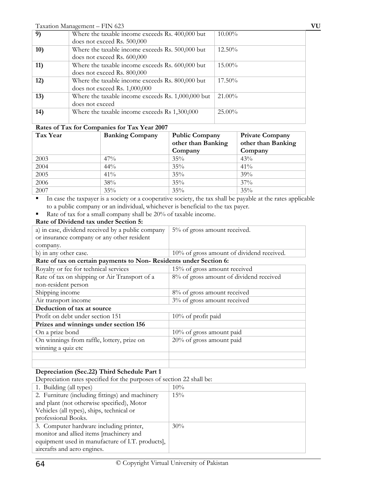|            | Taxation Management - FIN 623                      |           | VU |
|------------|----------------------------------------------------|-----------|----|
| 9)         | Where the taxable income exceeds Rs. 400,000 but   | $10.00\%$ |    |
|            | does not exceed Rs. 500,000                        |           |    |
| 10)        | Where the taxable income exceeds Rs. 500,000 but   | $12.50\%$ |    |
|            | does not exceed Rs. 600,000                        |           |    |
| <b>11)</b> | Where the taxable income exceeds Rs. 600,000 but   | 15.00%    |    |
|            | does not exceed Rs. 800,000                        |           |    |
| 12)        | Where the taxable income exceeds Rs. 800,000 but   | 17.50%    |    |
|            | does not exceed Rs. $1,000,000$                    |           |    |
| 13)        | Where the taxable income exceeds Rs. 1,000,000 but | $21.00\%$ |    |
|            | does not exceed                                    |           |    |
| 14)        | Where the taxable income exceeds Rs 1,300,000      | $25.00\%$ |    |
|            |                                                    |           |    |

# **Rates of Tax for Companies for Tax Year 2007**

| Tax Year | <b>Banking Company</b> | <b>Public Company</b><br>other than Banking<br>Company | <b>Private Company</b><br>other than Banking<br>Company |
|----------|------------------------|--------------------------------------------------------|---------------------------------------------------------|
| 2003     | $47\%$                 | 35%                                                    | 43%                                                     |
| 2004     | 44%                    | 35%                                                    | $41\%$                                                  |
| 2005     | 41%                    | 35%                                                    | 39%                                                     |
| 2006     | 38%                    | 35%                                                    | $37\%$                                                  |
| 2007     | 35%                    | 35%                                                    | 35%                                                     |

 In case the taxpayer is a society or a cooperative society, the tax shall be payable at the rates applicable to a public company or an individual, whichever is beneficial to the tax payer.

Rate of tax for a small company shall be 20% of taxable income.

# **Rate of Dividend tax under Section 5:**

| a) in case, dividend received by a public company                 | 5% of gross amount received.              |  |
|-------------------------------------------------------------------|-------------------------------------------|--|
| or insurance company or any other resident                        |                                           |  |
| company.                                                          |                                           |  |
| b) in any other case.                                             | 10% of gross amount of dividend received. |  |
| Rate of tax on certain payments to Non-Residents under Section 6: |                                           |  |
| Royalty or fee for technical services                             | 15% of gross amount received              |  |
| Rate of tax on shipping or Air Transport of a                     | 8% of gross amount of dividend received   |  |
| non-resident person                                               |                                           |  |
| Shipping income                                                   | 8% of gross amount received               |  |
| Air transport income                                              | 3% of gross amount received               |  |
| Deduction of tax at source                                        |                                           |  |
| Profit on debt under section 151                                  | $10\%$ of profit paid                     |  |
| Prizes and winnings under section 156                             |                                           |  |
| On a prize bond                                                   | $10\%$ of gross amount paid               |  |
| On winnings from raffle, lottery, prize on                        | 20% of gross amount paid                  |  |
| winning a quiz etc                                                |                                           |  |
|                                                                   |                                           |  |
|                                                                   |                                           |  |

# **Depreciation (Sec.22) Third Schedule Part 1**

Depreciation rates specified for the purposes of section 22 shall be:

| 1. Building (all types)                          | 10% |
|--------------------------------------------------|-----|
| 2. Furniture (including fittings) and machinery  | 15% |
| and plant (not otherwise specified), Motor       |     |
| Vehicles (all types), ships, technical or        |     |
| professional Books.                              |     |
| 3. Computer hardware including printer,          | 30% |
| monitor and allied items [machinery and          |     |
| equipment used in manufacture of I.T. products], |     |
| aircrafts and aero engines.                      |     |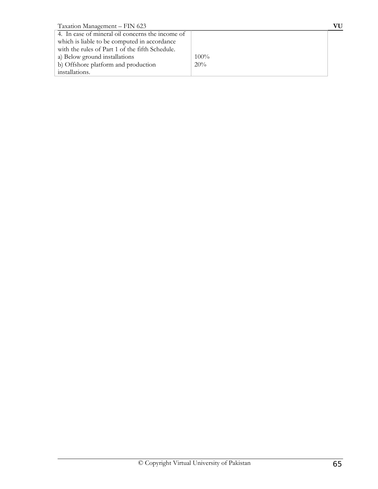| Taxation Management - FIN 623                    |         | VU |
|--------------------------------------------------|---------|----|
| 4. In case of mineral oil concerns the income of |         |    |
| which is liable to be computed in accordance     |         |    |
| with the rules of Part 1 of the fifth Schedule.  |         |    |
| a) Below ground installations                    | $100\%$ |    |
| b) Offshore platform and production              | 20%     |    |
| installations.                                   |         |    |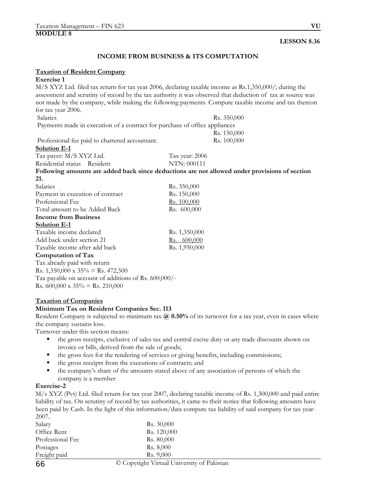# **INCOME FROM BUSINESS & ITS COMPUTATION**

#### **Taxation of Resident Company**

# **Exercise 1**

M/S XYZ Ltd. filed tax return for tax year 2006, declaring taxable income as Rs.1,350,000/; during the assessment and scrutiny of record by the tax authority it was observed that deduction of tax at source was not made by the company, while making the following payments. Compute taxable income and tax thereon for tax year 2006. Salaries Rs. 350,000 Payments made in execution of a contract for purchase of office appliances Rs. 150,000

Professional fee paid to chartered accountant. Rs. 100,000

## **Solution E-1**

Tax payer: M/S XYZ Ltd. Tax year: 2006 Residential status Resident NTN: 000111 **Following amounts are added back since deductions are not allowed under provisions of section 21.**

| Salaries                         | Rs. 350,000   |
|----------------------------------|---------------|
| Payment in execution of contract | Rs. 150,000   |
| Professional Fee                 | Rs. 100,000   |
| Total amount to be Added Back    | Rs. 600,000   |
| Income from Business             |               |
| Solution E-1                     |               |
| Taxable income declared          | Rs. 1,350,000 |
| Add back under section 21        | Rs. 600,000   |
| Taxable income after add back    | Rs. 1,950,000 |
| Computation of Tax               |               |
| $\tau$ 1 1 1 1 $\tau$            |               |

Tax already paid with return Rs.  $1,350,000 \times 35\% =$  Rs.  $472,500$ Tax payable on account of additions of Rs. 600,000/- Rs. 600,000 x  $35\%$  = Rs. 210,000

#### **Taxation of Companies**

## **Minimum Tax on Resident Companies Sec. 113**

Resident Company is subjected to minimum tax **@ 0.50%** of its turnover for a tax year, even in cases where the company sustains loss.

Turnover under this section means:

- the gross receipts, exclusive of sales tax and central excise duty or any trade discounts shown on invoice or bills, derived from the sale of goods;
- the gross fees for the rendering of services or giving benefits, including commissions;
- the gross receipts from the executions of contracts; and
- the company's share of the amounts stated above of any association of persons of which the company is a member

## **Exercise-2**

M/s XYZ (Pvt) Ltd. filed return for tax year 2007, declaring taxable income of Rs. 1,300,000 and paid entire liability of tax. On scrutiny of record by tax authorities, it came to their notice that following amounts have been paid by Cash. In the light of this information/data compute tax liability of said company for tax year-2007.

| Salary            | Rs. 30,000                               |
|-------------------|------------------------------------------|
| Office Rent       | Rs. 120,000                              |
| Professional Fee  | Rs. 80,000                               |
| Postages          | Rs. 8,000                                |
| Freight paid      | Rs. 9,000                                |
| $\prime$ $\prime$ | Conveilet Victorial University of Delvis |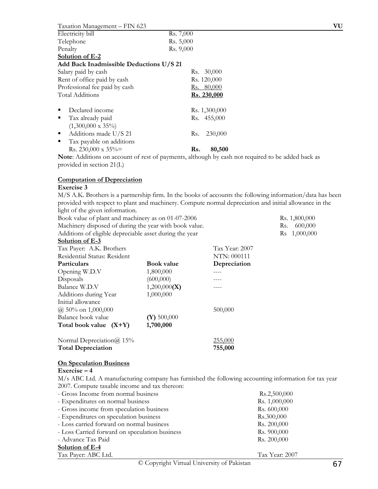| Taxation Management - FIN 623                                                                                                                                                                                                                                                                                                                                     |                                             | VU |
|-------------------------------------------------------------------------------------------------------------------------------------------------------------------------------------------------------------------------------------------------------------------------------------------------------------------------------------------------------------------|---------------------------------------------|----|
| Electricity bill                                                                                                                                                                                                                                                                                                                                                  | Rs. 7,000                                   |    |
| Telephone                                                                                                                                                                                                                                                                                                                                                         | Rs. 5,000                                   |    |
| Penalty                                                                                                                                                                                                                                                                                                                                                           | Rs. 9,000                                   |    |
| Solution of E-2                                                                                                                                                                                                                                                                                                                                                   |                                             |    |
| Add Back Inadmissible Deductions U/S 21                                                                                                                                                                                                                                                                                                                           |                                             |    |
| Salary paid by cash                                                                                                                                                                                                                                                                                                                                               | 30,000<br>Rs.                               |    |
| Rent of office paid by cash                                                                                                                                                                                                                                                                                                                                       | Rs. 120,000                                 |    |
| Professional fee paid by cash                                                                                                                                                                                                                                                                                                                                     | Rs. 80,000                                  |    |
| <b>Total Additions</b>                                                                                                                                                                                                                                                                                                                                            | Rs. 230,000                                 |    |
| Declared income<br>п                                                                                                                                                                                                                                                                                                                                              | Rs. 1,300,000                               |    |
| Tax already paid<br>٠                                                                                                                                                                                                                                                                                                                                             | Rs. 455,000                                 |    |
| $(1,300,000 \times 35\%)$                                                                                                                                                                                                                                                                                                                                         |                                             |    |
| Additions made U/S 21<br>п                                                                                                                                                                                                                                                                                                                                        | 230,000<br>Rs.                              |    |
| Tax payable on additions<br>п                                                                                                                                                                                                                                                                                                                                     |                                             |    |
| Rs. 230,000 x $35\%$ =                                                                                                                                                                                                                                                                                                                                            | 80,500<br>Rs.                               |    |
| $\mathbf{X}$ $\mathbf{Y}$ $\mathbf{X}$ $\mathbf{Y}$ $\mathbf{Y}$ $\mathbf{Y}$ $\mathbf{Y}$ $\mathbf{Y}$ $\mathbf{Y}$ $\mathbf{Y}$ $\mathbf{Y}$ $\mathbf{Y}$ $\mathbf{Y}$ $\mathbf{Y}$ $\mathbf{Y}$ $\mathbf{Y}$ $\mathbf{Y}$ $\mathbf{Y}$ $\mathbf{Y}$ $\mathbf{Y}$ $\mathbf{Y}$ $\mathbf{Y}$ $\mathbf{Y}$ $\mathbf{Y}$ $\mathbf{$<br>$\sim$ $\sim$ $\sim$ $\sim$ | $1 \quad 1 \quad 1 \quad 1 \quad 1 \quad 1$ |    |

**Note**: Additions on account of rest of payments, although by cash not required to be added back as provided in section 21(L)

## **Computation of Depreciation**

# **Exercise 3**

M/S A.K. Brothers is a partnership firm. In the books of accounts the following information/data has been provided with respect to plant and machinery. Compute normal depreciation and initial allowance in the light of the given information.

| Book value of plant and machinery as on 01-07-2006      |                   |              | Rs. 1,800,000  |
|---------------------------------------------------------|-------------------|--------------|----------------|
| Machinery disposed of during the year with book value.  |                   |              | 600,000<br>Rs. |
| Additions of eligible depreciable asset during the year |                   |              | Rs 1,000,000   |
| Solution of E-3                                         |                   |              |                |
| Tax Year: 2007<br>Tax Payer: A.K. Brothers              |                   |              |                |
| Residential Status: Resident                            |                   | NTN: 000111  |                |
| <b>Particulars</b>                                      | <b>Book value</b> | Depreciation |                |
| Opening W.D.V                                           | 1,800,000         |              |                |
| Disposals                                               | (600,000)         |              |                |
| Balance W.D.V                                           | 1,200,000(X)      |              |                |
| Additions during Year                                   | 1,000,000         |              |                |
| Initial allowance                                       |                   |              |                |
| $(a)$ 50% on 1,000,000                                  |                   | 500,000      |                |
| Balance book value                                      | $(Y)$ 500,000     |              |                |
| Total book value $(X+Y)$                                | 1,700,000         |              |                |
| Normal Depreciation $\omega$ 15%                        |                   | 255,000      |                |
| <b>Total Depreciation</b>                               |                   | 755,000      |                |

## **On Speculation Business**

#### **Exercise – 4**

M/s ABC Ltd. A manufacturing company has furnished the following accounting information for tax year 2007. Compute taxable income and tax thereon:

| - Gross Income from normal business            | Rs.2,500,000   |
|------------------------------------------------|----------------|
| - Expenditures on normal business              | Rs. 1,000,000  |
| - Gross income from speculation business       | Rs. 600,000    |
| - Expenditures on speculation business         | Rs.300,000     |
| - Loss carried forward on normal business      | Rs. 200,000    |
| - Loss Carried forward on speculation business | Rs. 900,000    |
| - Advance Tax Paid                             | Rs. 200,000    |
| Solution of E-4                                |                |
| Tax Payer: ABC Ltd.                            | Tax Year: 2007 |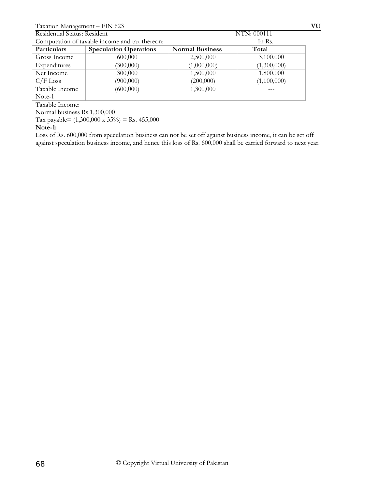| Residential Status: Resident |                                                | NTN: 000111            |             |
|------------------------------|------------------------------------------------|------------------------|-------------|
|                              | Computation of taxable income and tax thereon: |                        | In Rs.      |
| Particulars                  | <b>Speculation Operations</b>                  | <b>Normal Business</b> | Total       |
| Gross Income                 | 600,000                                        | 2,500,000              | 3,100,000   |
| Expenditures                 | (300,000)                                      | (1,000,000)            | (1,300,000) |
| Net Income                   | 300,000                                        | 1,500,000              | 1,800,000   |
| $C/F$ Loss                   | (900,000)                                      | (200,000)              | (1,100,000) |
| Taxable Income               | (600,000)                                      | 1,300,000              |             |
| Note-1                       |                                                |                        |             |

Taxable Income:

Normal business Rs.1,300,000

Tax payable=  $(1,300,000 \times 35\%)$  = Rs. 455,000

## **Note-1:**

Loss of Rs. 600,000 from speculation business can not be set off against business income, it can be set off against speculation business income, and hence this loss of Rs. 600,000 shall be carried forward to next year.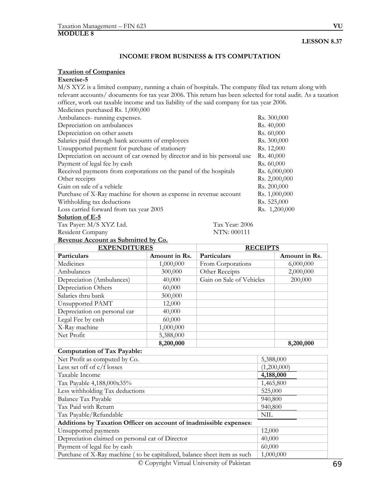## **INCOME FROM BUSINESS & ITS COMPUTATION**

## **Taxation of Companies**

# **Exercise-5**

M/S XYZ is a limited company, running a chain of hospitals. The company filed tax return along with relevant accounts/ documents for tax year 2006. This return has been selected for total audit. As a taxation officer, work out taxable income and tax liability of the said company for tax year 2006.

| Medicines purchased Rs. 1,000,000                                        |               |
|--------------------------------------------------------------------------|---------------|
| Ambulances-running expenses.                                             | Rs. 300,000   |
| Depreciation on ambulances                                               | Rs. 40,000    |
| Depreciation on other assets                                             | Rs. 60,000    |
| Salaries paid through bank accounts of employees                         | Rs. 300,000   |
| Unsupported payment for purchase of stationery                           | Rs. 12,000    |
| Depreciation on account of car owned by director and in his personal use | Rs. 40,000    |
| Payment of legal fee by cash                                             | Rs. 60,000    |
| Received payments from corporations on the panel of the hospitals        | Rs. 6,000,000 |
| Other receipts                                                           | Rs. 2,000,000 |
| Gain on sale of a vehicle                                                | Rs. 200,000   |
| Purchase of X-Ray machine for shown as expense in revenue account        | Rs. 1,000,000 |
| Withholding tax deductions                                               | Rs. 525,000   |
| Loss carried forward from tax year 2005                                  | Rs. 1,200,000 |
| Solution of $F_5$                                                        |               |

#### **Solution of E-5**

Tax Payer: M/S XYZ Ltd. Tax Year: 2006<br>Resident Company NTN: 000111 Resident Company

| Revenue Account as Submitted by Co. |               |                          |               |
|-------------------------------------|---------------|--------------------------|---------------|
| <b>EXPENDITURES</b>                 |               | <b>RECEIPTS</b>          |               |
| Particulars                         | Amount in Rs. | Particulars              | Amount in Rs. |
| Medicines                           | 1,000,000     | From Corporations        | 6,000,000     |
| Ambulances                          | 300,000       | Other Receipts           | 2,000,000     |
| Depreciation (Ambulances)           | 40,000        | Gain on Sale of Vehicles | 200,000       |
| Depreciation Others                 | 60,000        |                          |               |
| Salaries thru bank                  | 300,000       |                          |               |
| Unsupported PAMT                    | 12,000        |                          |               |
| Depreciation on personal car        | 40,000        |                          |               |
| Legal Fee by cash                   | 60,000        |                          |               |
| X-Ray machine                       | 1,000,000     |                          |               |
| Net Profit                          | 5,388,000     |                          |               |
|                                     | 8,200,000     |                          | 8,200,000     |

#### **Computation of Tax Payable:**

| Net Profit as computed by Co.                                            | 5,388,000   |
|--------------------------------------------------------------------------|-------------|
| Less set off of $c/f$ losses                                             | (1,200,000) |
| Taxable Income                                                           | 4,188,000   |
| Tax Payable 4,188,000x35%                                                | 1,465,800   |
| Less withholding Tax deductions                                          | 525,000     |
| Balance Tax Payable                                                      | 940,800     |
| Tax Paid with Return                                                     | 940,800     |
| Tax Payable/Refundable                                                   | NIL         |
| Additions by Taxation Officer on account of inadmissible expenses:       |             |
| Unsupported payments                                                     | 12,000      |
| Depreciation claimed on personal car of Director                         | 40,000      |
| Payment of legal fee by cash                                             | 60,000      |
| Purchase of X-Ray machine (to be capitalized, balance sheet item as such | 1,000,000   |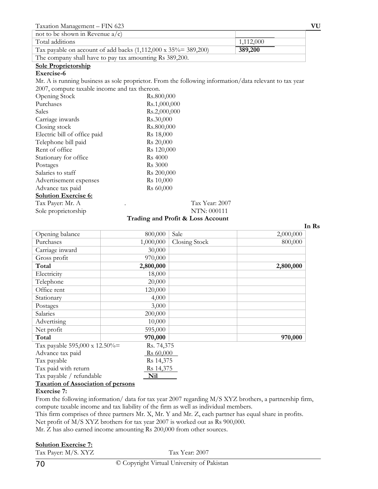| Taxation Management - FIN 623                                           |           | VU |
|-------------------------------------------------------------------------|-----------|----|
| not to be shown in Revenue $a/c$                                        |           |    |
| Total additions                                                         | 1,112,000 |    |
| Tax payable on account of add backs $(1,112,000 \times 35\% = 389,200)$ | 389,200   |    |
| The company shall have to pay tax amounting Rs 389,200.                 |           |    |

#### **Sole Proprietorship**

#### **Exercise-6**

Mr. A is running business as sole proprietor. From the following information/data relevant to tax year 2007, compute taxable income and tax thereon.

| Opening Stock                | Rs.800,000             |               |
|------------------------------|------------------------|---------------|
| Purchases                    | Rs.1,000,000           |               |
| Sales                        | Rs.2,000,000           |               |
| Carriage inwards             | Rs.30,000              |               |
| Closing stock                | Rs.800,000             |               |
| Electric bill of office paid | Rs 18,000              |               |
| Telephone bill paid          | R <sub>s</sub> 20,000  |               |
| Rent of office               | Rs 120,000             |               |
| Stationary for office        | <b>Rs</b> 4000         |               |
| Postages                     | <b>Rs</b> 3000         |               |
| Salaries to staff            | R <sub>s</sub> 200,000 |               |
| Advertisement expenses       | Rs 10,000              |               |
| Advance tax paid             | Rs 60,000              |               |
| <b>Solution Exercise 6:</b>  |                        |               |
| Tax Payer: Mr. A             |                        | Tax Year: 200 |
| Sole proprietorship          |                        | NTN: 000111   |

Tax Year: 2007

#### **Trading and Profit & Loss Account**

|                               |            |               | In Rs     |
|-------------------------------|------------|---------------|-----------|
| Opening balance               | 800,000    | Sale          | 2,000,000 |
| Purchases                     | 1,000,000  | Closing Stock | 800,000   |
| Carriage inward               | 30,000     |               |           |
| Gross profit                  | 970,000    |               |           |
| Total                         | 2,800,000  |               | 2,800,000 |
| Electricity                   | 18,000     |               |           |
| Telephone                     | 20,000     |               |           |
| Office rent                   | 120,000    |               |           |
| Stationary                    | 4,000      |               |           |
| Postages                      | 3,000      |               |           |
| Salaries                      | 200,000    |               |           |
| Advertising                   | 10,000     |               |           |
| Net profit                    | 595,000    |               |           |
| Total                         | 970,000    |               | 970,000   |
| Tax payable 595,000 x 12.50%= | Rs. 74,375 |               |           |
| Advance tax paid              | Rs 60,000  |               |           |
| Tax payable                   | Rs 14,375  |               |           |
| Tax paid with return          | Rs 14,375  |               |           |
| Tax payable / refundable      | <b>Nil</b> |               |           |

# **Taxation of Association of persons**

#### **Exercise 7:**

From the following information/ data for tax year 2007 regarding M/S XYZ brothers, a partnership firm, compute taxable income and tax liability of the firm as well as individual members.

This firm comprises of three partners Mr. X, Mr. Y and Mr. Z, each partner has equal share in profits.

Net profit of M/S XYZ brothers for tax year 2007 is worked out as Rs 900,000.

Mr. Z has also earned income amounting Rs 200,000 from other sources.

## **Solution Exercise 7:**

Tax Payer: M/S. XYZ Tax Year: 2007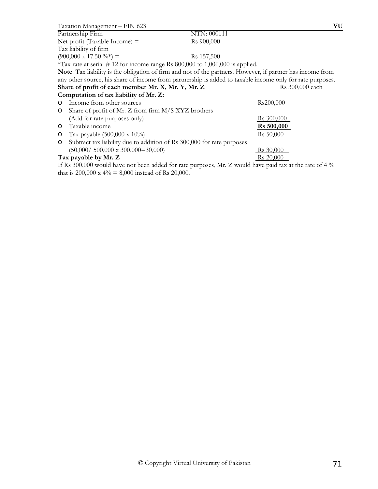| Taxation Management - FIN 623                                                                              |                        | VU              |
|------------------------------------------------------------------------------------------------------------|------------------------|-----------------|
| Partnership Firm                                                                                           | NTN: 000111            |                 |
| Net profit (Taxable Income) $=$                                                                            | R <sub>s</sub> 900,000 |                 |
| Tax liability of firm                                                                                      |                        |                 |
| $(900,000 \times 17.50 \frac{6}{6} ) =$                                                                    | Rs 157,500             |                 |
| *Tax rate at serial # 12 for income range Rs $800,000$ to $1,000,000$ is applied.                          |                        |                 |
| Note: Tax liability is the obligation of firm and not of the partners. However, if partner has income from |                        |                 |
| any other source, his share of income from partnership is added to taxable income only for rate purposes.  |                        |                 |
| Share of profit of each member Mr. X, Mr. Y, Mr. Z                                                         |                        | Rs 300,000 each |
| Computation of tax liability of Mr. Z:                                                                     |                        |                 |
| Income from other sources<br>$\circ$                                                                       | Rs200,000              |                 |
| Share of profit of Mr. Z from firm M/S XYZ brothers<br>O                                                   |                        |                 |
| (Add for rate purposes only)                                                                               | Rs 300,000             |                 |
| Taxable income<br>$\circ$                                                                                  | <b>Rs</b> 500,000      |                 |
| Tax payable $(500,000 \times 10\%)$<br>O                                                                   | Rs 50,000              |                 |
| Subtract tax liability due to addition of Rs 300,000 for rate purposes<br>O                                |                        |                 |
| $(50,000 / 500,000 \times 300,000 = 30,000)$                                                               | Rs 30,000              |                 |
| Tax payable by Mr. Z                                                                                       | Rs 20,000              |                 |
|                                                                                                            |                        |                 |

If Rs 300,000 would have not been added for rate purposes, Mr. Z would have paid tax at the rate of 4 % that is 200,000 x 4% = 8,000 instead of Rs 20,000.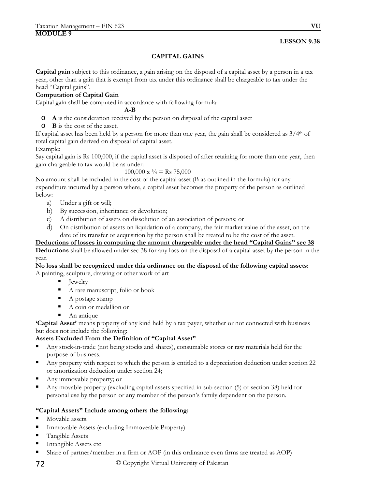# **LESSON 9.38**

# **CAPITAL GAINS**

**Capital gain** subject to this ordinance, a gain arising on the disposal of a capital asset by a person in a tax year, other than a gain that is exempt from tax under this ordinance shall be chargeable to tax under the head "Capital gains".

# **Computation of Capital Gain**

Capital gain shall be computed in accordance with following formula:

#### **A-B**

- o **A** is the consideration received by the person on disposal of the capital asset
- o **B** is the cost of the asset.

If capital asset has been held by a person for more than one year, the gain shall be considered as  $3/4<sup>th</sup>$  of total capital gain derived on disposal of capital asset.

Example:

Say capital gain is Rs 100,000, if the capital asset is disposed of after retaining for more than one year, then gain chargeable to tax would be as under:

#### $100,000 \times \frac{3}{4} = \text{Rs } 75,000$

No amount shall be included in the cost of the capital asset (B as outlined in the formula) for any expenditure incurred by a person where, a capital asset becomes the property of the person as outlined below:

- a) Under a gift or will;
- b) By succession, inheritance or devolution;
- c) A distribution of assets on dissolution of an association of persons; or
- d) On distribution of assets on liquidation of a company, the fair market value of the asset, on the date of its transfer or acquisition by the person shall be treated to be the cost of the asset.

#### **Deductions of losses in computing the amount chargeable under the head "Capital Gains" sec 38 Deductions** shall be allowed under sec 38 for any loss on the disposal of a capital asset by the person in the year.

**No loss shall be recognized under this ordinance on the disposal of the following capital assets:** A painting, sculpture, drawing or other work of art

- Jewelry
	- A rare manuscript, folio or book
	- A postage stamp
	- A coin or medallion or
	- An antique

**'Capital Asset'** means property of any kind held by a tax payer, whether or not connected with business but does not include the following:

# **Assets Excluded From the Definition of "Capital Asset"**

- Any stock-in-trade (not being stocks and shares), consumable stores or raw materials held for the purpose of business.
- Any property with respect to which the person is entitled to a depreciation deduction under section 22 or amortization deduction under section 24;
- Any immovable property; or
- Any movable property (excluding capital assets specified in sub section (5) of section 38) held for personal use by the person or any member of the person's family dependent on the person.

# **"Capital Assets" Include among others the following:**

- Movable assets.
- Immovable Assets (excluding Immoveable Property)
- Tangible Assets
- Intangible Assets etc
- Share of partner/member in a firm or AOP (in this ordinance even firms are treated as AOP)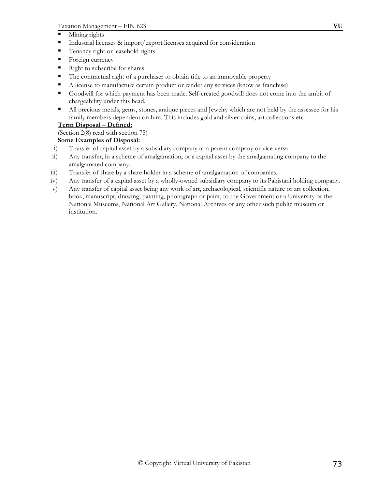- **Mining rights**
- Industrial licenses & import/export licenses acquired for consideration
- Tenancy right or leasehold rights
- Foreign currency
- Right to subscribe for shares
- The contractual right of a purchaser to obtain title to an immovable property
- A license to manufacture certain product or render any services (know as franchise)
- Goodwill for which payment has been made. Self-created goodwill does not come into the ambit of chargeability under this head.
- All precious metals, gems, stones, antique pieces and Jewelry which are not held by the assessee for his family members dependent on him. This includes gold and silver coins, art collections etc

# **Term Disposal – Defined:**

# (Section 2(8) read with section 75)

# **Some Examples of Disposal:**

- i) Transfer of capital asset by a subsidiary company to a parent company or vice versa
- ii) Any transfer, in a scheme of amalgamation, or a capital asset by the amalgamating company to the amalgamated company.
- iii) Transfer of share by a share holder in a scheme of amalgamation of companies.
- iv) Any transfer of a capital asset by a wholly-owned subsidiary company to its Pakistani holding company.
- v) Any transfer of capital asset being any work of art, archaeological, scientific nature or art collection, book, manuscript, drawing, painting, photograph or paint, to the Government or a University or the National Museums, National Art Gallery, National Archives or any other such public museum or institution.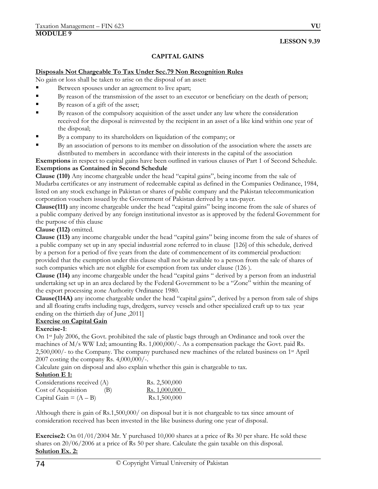## **LESSON 9.39**

## **CAPITAL GAINS**

#### **Disposals Not Chargeable To Tax Under Sec.79 Non Recognition Rules**

No gain or loss shall be taken to arise on the disposal of an asset:

- Between spouses under an agreement to live apart;
- By reason of the transmission of the asset to an executor or beneficiary on the death of person;
- By reason of a gift of the asset;
- By reason of the compulsory acquisition of the asset under any law where the consideration received for the disposal is reinvested by the recipient in an asset of a like kind within one year of the disposal;
- By a company to its shareholders on liquidation of the company; or
- By an association of persons to its member on dissolution of the association where the assets are distributed to members in accordance with their interests in the capital of the association

**Exemptions** in respect to capital gains have been outlined in various clauses of Part 1 of Second Schedule. **Exemptions as Contained in Second Schedule** 

**Clause (110)** Any income chargeable under the head "capital gains", being income from the sale of Mudarba certificates or any instrument of redeemable capital as defined in the Companies Ordinance, 1984, listed on any stock exchange in Pakistan or shares of public company and the Pakistan telecommunication corporation vouchers issued by the Government of Pakistan derived by a tax-payer.

**Clause(111)** any income chargeable under the head "capital gains" being income from the sale of shares of a public company derived by any foreign institutional investor as is approved by the federal Government for the purpose of this clause

#### **Clause (112)** omitted.

**Clause (113)** any income chargeable under the head "capital gains" being income from the sale of shares of a public company set up in any special industrial zone referred to in clause [126] of this schedule, derived by a person for a period of five years from the date of commencement of its commercial production: provided that the exemption under this clause shall not be available to a person from the sale of shares of such companies which are not eligible for exemption from tax under clause (126 ).

**Clause (114)** any income chargeable under the head "capital gains " derived by a person from an industrial undertaking set up in an area declared by the Federal Government to be a "Zone" within the meaning of the export processing zone Authority Ordinance 1980.

**Clause(114A)** any income chargeable under the head "capital gains", derived by a person from sale of ships and all floating crafts including tugs, dredgers, survey vessels and other specialized craft up to tax year ending on the thirtieth day of June ,2011]

## **Exercise on Capital Gain**

## **Exercise-1**:

On 1st July 2006, the Govt. prohibited the sale of plastic bags through an Ordinance and took over the machines of M/s WW Ltd; amounting Rs. 1,000,000/-. As a compensation package the Govt. paid Rs. 2,500,000/- to the Company. The company purchased new machines of the related business on 1st April 2007 costing the company Rs. 4,000,000/-.

Calculate gain on disposal and also explain whether this gain is chargeable to tax.

## **Solution E 1:**

| Considerations received (A) |     | Rs. 2,500,000        |
|-----------------------------|-----|----------------------|
| Cost of Acquisition         | (B) | <u>Rs. 1,000,000</u> |
| Capital Gain = $(A - B)$    |     | Rs.1,500,000         |

Although there is gain of Rs.1,500,000/ on disposal but it is not chargeable to tax since amount of consideration received has been invested in the like business during one year of disposal.

**Exercise2:** On 01/01/2004 Mr. Y purchased 10,000 shares at a price of Rs 30 per share. He sold these shares on 20/06/2006 at a price of Rs 50 per share. Calculate the gain taxable on this disposal. **Solution Ex. 2:**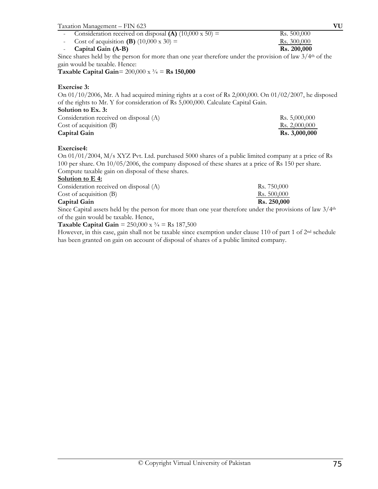| Taxation Management - FIN 623                                                                                          | VU          |
|------------------------------------------------------------------------------------------------------------------------|-------------|
| Consideration received on disposal (A) $(10,000 \times 50)$ =<br>$\sim$                                                | Rs. 500,000 |
| Cost of acquisition (B) $(10,000 \times 30)$ =                                                                         | Rs. 300,000 |
| Capital Gain (A-B)<br>$\sim$                                                                                           | Rs. 200,000 |
| Since shares held by the person for more than one year therefore under the provision of law $3/4$ <sup>th</sup> of the |             |
| gain would be taxable. Hence:                                                                                          |             |
| Taxable Capital Gain= $200,000 \times \frac{3}{4} = \text{Rs } 150,000$                                                |             |
| <b>Exercise 3:</b>                                                                                                     |             |
| On 01/10/2006, Mr. A had acquired mining rights at a cost of Rs 2,000,000. On 01/02/2007, he disposed                  |             |

of the rights to Mr. Y for consideration of Rs 5,000,000. Calculate Capital Gain. **Solution to Ex. 3:** 

| Capital Gain                           | Rs. 3,000,000 |
|----------------------------------------|---------------|
| Cost of acquisition $(B)$              | Rs. 2,000,000 |
| Consideration received on disposal (A) | Rs. 5,000,000 |

## **Exercise4:**

On 01/01/2004, M/s XYZ Pvt. Ltd. purchased 5000 shares of a public limited company at a price of Rs 100 per share. On 10/05/2006, the company disposed of these shares at a price of Rs 150 per share. Compute taxable gain on disposal of these shares.

## **Solution to E 4:**

| Rs. 250,000 |
|-------------|
|             |

Since Capital assets held by the person for more than one year therefore under the provisions of law  $3/4<sup>th</sup>$ of the gain would be taxable. Hence,

## **Taxable Capital Gain** =  $250,000 \text{ x } \frac{3}{4}$  = Rs  $187,500$

However, in this case, gain shall not be taxable since exemption under clause 110 of part 1 of 2nd schedule has been granted on gain on account of disposal of shares of a public limited company.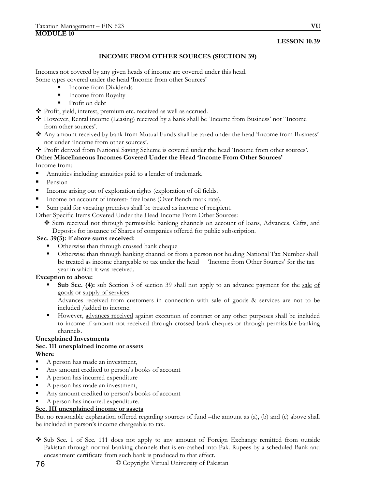## **LESSON 10.39**

## **INCOME FROM OTHER SOURCES (SECTION 39)**

Incomes not covered by any given heads of income are covered under this head. Some types covered under the head 'Income from other Sources'

- Income from Dividends
- **Income from Royalty**
- Profit on debt
- Profit, yield, interest, premium etc. received as well as accrued.
- However, Rental income (Leasing) received by a bank shall be 'Income from Business' not "Income from other sources'.
- Any amount received by bank from Mutual Funds shall be taxed under the head 'Income from Business' not under 'Income from other sources'.
- Profit derived from National Saving Scheme is covered under the head 'Income from other sources'.

#### **Other Miscellaneous Incomes Covered Under the Head 'Income From Other Sources'**  Income from:

- Annuities including annuities paid to a lender of trademark.
- Pension
- Income arising out of exploration rights (exploration of oil fields.
- Income on account of interest- free loans (Over Bench mark rate).
- Sum paid for vacating premises shall be treated as income of recipient.

Other Specific Items Covered Under the Head Income From Other Sources:

 Sum received not through permissible banking channels on account of loans, Advances, Gifts, and Deposits for issuance of Shares of companies offered for public subscription.

## **Sec. 39(3): if above sums received:**

- **•** Otherwise than through crossed bank cheque
- Otherwise than through banking channel or from a person not holding National Tax Number shall be treated as income chargeable to tax under the head 'Income from Other Sources' for the tax year in which it was received.

## **Exception to above:**

Sub Sec. (4): sub Section 3 of section 39 shall not apply to an advance payment for the sale of goods or supply of services.

Advances received from customers in connection with sale of goods & services are not to be included /added to income.

However, advances received against execution of contract or any other purposes shall be included to income if amount not received through crossed bank cheques or through permissible banking channels.

# **Unexplained Investments**

## **Sec. 111 unexplained income or assets Where**

- A person has made an investment,
- Any amount credited to person's books of account
- A person has incurred expenditure
- A person has made an investment,
- Any amount credited to person's books of account
- A person has incurred expenditure.

## **Sec. III unexplained income or assets**

But no reasonable explanation offered regarding sources of fund –the amount as (a), (b) and (c) above shall be included in person's income chargeable to tax.

◆ Sub Sec. 1 of Sec. 111 does not apply to any amount of Foreign Exchange remitted from outside Pakistan through normal banking channels that is en-cashed into Pak. Rupees by a scheduled Bank and encashment certificate from such bank is produced to that effect.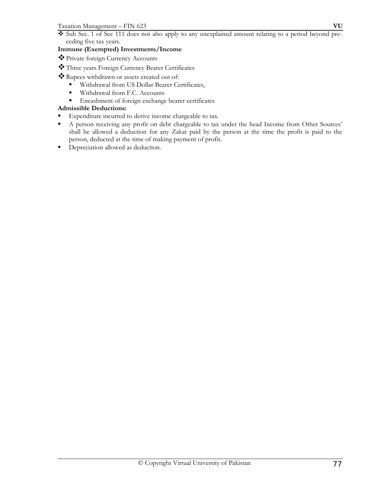Sub Sec. 1 of Sec 111 does not also apply to any unexplained amount relating to a period beyond preceding five tax years.

## **Immune (Exempted) Investments/Income**

- Private foreign Currency Accounts
- Three years Foreign Currency Bearer Certificates
- Rupees withdrawn or assets created out of:
	- Withdrawal from US Dollar Bearer Certificates,
	- **Withdrawal from F.C. Accounts**
	- Encashment of foreign exchange bearer certificates

## **Admissible Deductions:**

- Expenditure incurred to derive income chargeable to tax.
- A person receiving any profit on debt chargeable to tax under the head Income from Other Sources' shall be allowed a deduction for any Zakat paid by the person at the time the profit is paid to the person, deducted at the time of making payment of profit.
- **•** Depreciation allowed as deduction.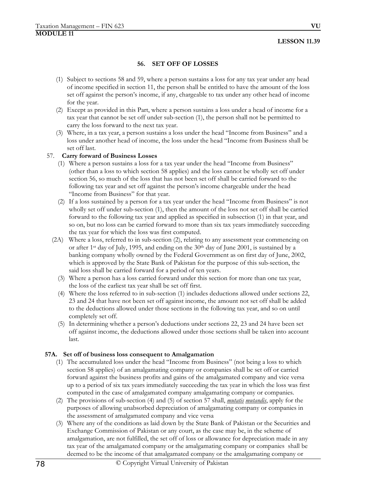## **LESSON 11.39**

## **56. SET OFF OF LOSSES**

- (1) Subject to sections 58 and 59, where a person sustains a loss for any tax year under any head of income specified in section 11, the person shall be entitled to have the amount of the loss set off against the person's income, if any, chargeable to tax under any other head of income for the year.
- (2) Except as provided in this Part, where a person sustains a loss under a head of income for a tax year that cannot be set off under sub-section (1), the person shall not be permitted to carry the loss forward to the next tax year.
- (3) Where, in a tax year, a person sustains a loss under the head "Income from Business" and a loss under another head of income, the loss under the head "Income from Business shall be set off last.

## 57. **Carry forward of Business Losses**

- (1) Where a person sustains a loss for a tax year under the head "Income from Business" (other than a loss to which section 58 applies) and the loss cannot be wholly set off under section 56, so much of the loss that has not been set off shall be carried forward to the following tax year and set off against the person's income chargeable under the head "Income from Business" for that year.
- (2) If a loss sustained by a person for a tax year under the head "Income from Business" is not wholly set off under sub-section (1), then the amount of the loss not set off shall be carried forward to the following tax year and applied as specified in subsection (1) in that year, and so on, but no loss can be carried forward to more than six tax years immediately succeeding the tax year for which the loss was first computed.
- (2A) Where a loss, referred to in sub-section (2), relating to any assessment year commencing on or after 1<sup>st</sup> day of July, 1995, and ending on the 30<sup>th</sup> day of June 2001, is sustained by a banking company wholly owned by the Federal Government as on first day of June, 2002, which is approved by the State Bank of Pakistan for the purpose of this sub-section, the said loss shall be carried forward for a period of ten years.
	- (3) Where a person has a loss carried forward under this section for more than one tax year, the loss of the earliest tax year shall be set off first.
	- (4) Where the loss referred to in sub-section (1) includes deductions allowed under sections 22, 23 and 24 that have not been set off against income, the amount not set off shall be added to the deductions allowed under those sections in the following tax year, and so on until completely set off.
	- (5) In determining whether a person's deductions under sections 22, 23 and 24 have been set off against income, the deductions allowed under those sections shall be taken into account last.

## **57A. Set off of business loss consequent to Amalgamation**

- (1) The accumulated loss under the head "Income from Business" (not being a loss to which section 58 applies) of an amalgamating company or companies shall be set off or carried forward against the business profits and gains of the amalgamated company and vice versa up to a period of six tax years immediately succeeding the tax year in which the loss was first computed in the case of amalgamated company amalgamating company or companies.
- (2) The provisions of sub-section (4) and (5) of section 57 shall, *mutatis mutandis*, apply for the purposes of allowing unabsorbed depreciation of amalgamating company or companies in the assessment of amalgamated company and vice versa
- (3) Where any of the conditions as laid down by the State Bank of Pakistan or the Securities and Exchange Commission of Pakistan or any court, as the case may be, in the scheme of amalgamation, are not fulfilled, the set off of loss or allowance for depreciation made in any tax year of the amalgamated company or the amalgamating company or companies shall be deemed to be the income of that amalgamated company or the amalgamating company or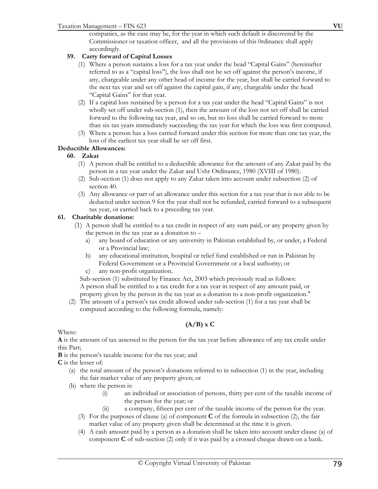companies, as the case may be, for the year in which such default is discovered by the Commissioner or taxation officer, and all the provisions of this 0rdinance shall apply accordingly.

## **59. Carry forward of Capital Losses**

- (1) Where a person sustains a loss for a tax year under the head "Capital Gains" (hereinafter referred to as a "capital loss"), the loss shall not be set off against the person's income, if any, chargeable under any other head of income for the year, but shall be carried forward to the next tax year and set off against the capital gain, if any, chargeable under the head "Capital Gains" for that year.
- (2) If a capital loss sustained by a person for a tax year under the head "Capital Gains" is not wholly set off under sub-section (1), then the amount of the loss not set off shall be carried forward to the following tax year, and so on, but no loss shall be carried forward to more than six tax years immediately succeeding the tax year for which the loss was first computed.
- (3) Where a person has a loss carried forward under this section for more than one tax year, the loss of the earliest tax year shall be set off first.

## **Deductible Allowances:**

## **60. Zakat**

- (1) A person shall be entitled to a deductible allowance for the amount of any Zakat paid by the person in a tax year under the Zakat and Ushr Ordinance, 1980 (XVIII of 1980).
- (2) Sub-section (1) does not apply to any Zakat taken into account under subsection (2) of section 40.
- (3) Any allowance or part of an allowance under this section for a tax year that is not able to be deducted under section 9 for the year shall not be refunded, carried forward to a subsequent tax year, or carried back to a preceding tax year.

## **61. Charitable donations:**

- (1) A person shall be entitled to a tax credit in respect of any sum paid, or any property given by the person in the tax year as a donation to –
	- a) any board of education or any university in Pakistan established by, or under, a Federal or a Provincial law;
	- b) any educational institution, hospital or relief fund established or run in Pakistan by Federal Government or a Provincial Government or a local authority; or
	- c) any non-profit organization.

Sub-section (1) substituted by Finance Act, 2003 which previously read as follows: A person shall be entitled to a tax credit for a tax year in respect of any amount paid, or property given by the person in the tax year as a donation to a non-profit organization."

(2) The amount of a person's tax credit allowed under sub-section (1) for a tax year shall be computed according to the following formula, namely:

# **(A/B) x C**

Where:

**A** is the amount of tax assessed to the person for the tax year before allowance of any tax credit under this Part;

**B** is the person's taxable income for the tax year; and

**C** is the lesser of:

- (a) the total amount of the person's donations referred to in subsection (1) in the year, including the fair market value of any property given; or
- (b) where the person is:
	- (i) an individual or association of persons, thirty per cent of the taxable income of the person for the year; or
	- (ii) a company, fifteen per cent of the taxable income of the person for the year.
	- (3) For the purposes of clause (a) of component **C** of the formula in subsection (2), the fair market value of any property given shall be determined at the time it is given.
	- (4) A cash amount paid by a person as a donation shall be taken into account under clause (a) of component **C** of sub-section (2) only if it was paid by a crossed cheque drawn on a bank.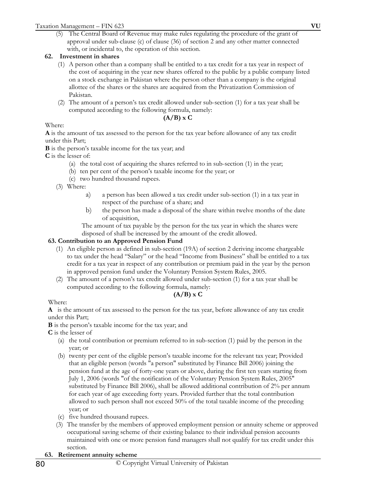(5) The Central Board of Revenue may make rules regulating the procedure of the grant of approval under sub-clause (c) of clause (36) of section 2 and any other matter connected with, or incidental to, the operation of this section.

## **62. Investment in shares**

- (1) A person other than a company shall be entitled to a tax credit for a tax year in respect of the cost of acquiring in the year new shares offered to the public by a public company listed on a stock exchange in Pakistan where the person other than a company is the original allottee of the shares or the shares are acquired from the Privatization Commission of Pakistan.
- (2) The amount of a person's tax credit allowed under sub-section (1) for a tax year shall be computed according to the following formula, namely:

## **(A/B) x C**

## Where:

**A** is the amount of tax assessed to the person for the tax year before allowance of any tax credit under this Part;

**B** is the person's taxable income for the tax year; and

**C** is the lesser of:

- (a) the total cost of acquiring the shares referred to in sub-section (1) in the year;
- (b) ten per cent of the person's taxable income for the year; or
- (c) two hundred thousand rupees.
- (3) Where:
	- a) a person has been allowed a tax credit under sub-section (1) in a tax year in respect of the purchase of a share; and
	- b) the person has made a disposal of the share within twelve months of the date of acquisition,

The amount of tax payable by the person for the tax year in which the shares were disposed of shall be increased by the amount of the credit allowed.

## **63. Contribution to an Approved Pension Fund**

- (1) An eligible person as defined in sub-section (19A) of section 2 deriving income chargeable to tax under the head "Salary" or the head "Income from Business" shall be entitled to a tax credit for a tax year in respect of any contribution or premium paid in the year by the person in approved pension fund under the Voluntary Pension System Rules, 2005.
- (2) The amount of a person's tax credit allowed under sub-section (1) for a tax year shall be computed according to the following formula, namely:

## **(A/B) x C**

Where:

**A** is the amount of tax assessed to the person for the tax year, before allowance of any tax credit under this Part;

**B** is the person's taxable income for the tax year; and

**C** is the lesser of

- (a) the total contribution or premium referred to in sub-section (1) paid by the person in the year; or
- (b) twenty per cent of the eligible person's taxable income for the relevant tax year; Provided that an eligible person (words "a person" substituted by Finance Bill 2006) joining the pension fund at the age of forty-one years or above, during the first ten years starting from July 1, 2006 (words "of the notification of the Voluntary Pension System Rules, 2005" substituted by Finance Bill 2006), shall be allowed additional contribution of 2% per annum for each year of age exceeding forty years. Provided further that the total contribution allowed to such person shall not exceed 50% of the total taxable income of the preceding year; or
- (c) five hundred thousand rupees.
- (3) The transfer by the members of approved employment pension or annuity scheme or approved occupational saving scheme of their existing balance to their individual pension accounts maintained with one or more pension fund managers shall not qualify for tax credit under this section.

## **63. Retirement annuity scheme**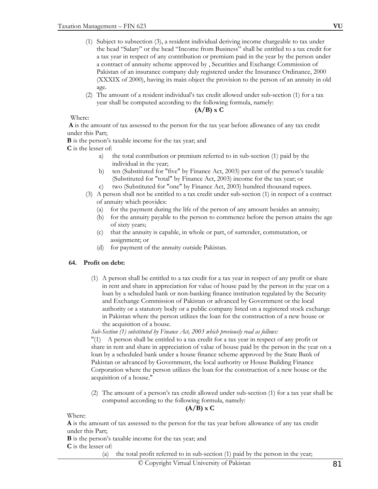- (1) Subject to subsection (3), a resident individual deriving income chargeable to tax under the head "Salary" or the head "Income from Business" shall be entitled to a tax credit for a tax year in respect of any contribution or premium paid in the year by the person under a contract of annuity scheme approved by , Securities and Exchange Commission of Pakistan of an insurance company duly registered under the Insurance Ordinance, 2000 (XXXIX of 2000), having its main object the provision to the person of an annuity in old age.
- (2) The amount of a resident individual's tax credit allowed under sub-section (1) for a tax year shall be computed according to the following formula, namely:

## **(A/B) x C**

Where:

**A** is the amount of tax assessed to the person for the tax year before allowance of any tax credit under this Part;

**B** is the person's taxable income for the tax year; and

**C** is the lesser of:

- a) the total contribution or premium referred to in sub-section (1) paid by the individual in the year;
- b) ten (Substituted for "five" by Finance Act, 2003) per cent of the person's taxable (Substituted for "total" by Finance Act, 2003) income for the tax year; or
- c) two (Substituted for "one" by Finance Act, 2003) hundred thousand rupees.
- (3) A person shall not be entitled to a tax credit under sub-section (1) in respect of a contract of annuity which provides:
	- (a) for the payment during the life of the person of any amount besides an annuity;
	- (b) for the annuity payable to the person to commence before the person attains the age of sixty years;
	- (c) that the annuity is capable, in whole or part, of surrender, commutation, or assignment; or
	- (d) for payment of the annuity outside Pakistan.

## **64. Profit on debt:**

(1) A person shall be entitled to a tax credit for a tax year in respect of any profit or share in rent and share in appreciation for value of house paid by the person in the year on a loan by a scheduled bank or non-banking finance institution regulated by the Security and Exchange Commission of Pakistan or advanced by Government or the local authority or a statutory body or a public company listed on a registered stock exchange in Pakistan where the person utilizes the loan for the construction of a new house or the acquisition of a house.

*Sub-Section (1) substituted by Finance Act, 2003 which previously read as follows:* 

"(1) A person shall be entitled to a tax credit for a tax year in respect of any profit or share in rent and share in appreciation of value of house paid by the person in the year on a loan by a scheduled bank under a house finance scheme approved by the State Bank of Pakistan or advanced by Government, the local authority or House Building Finance Corporation where the person utilizes the loan for the construction of a new house or the acquisition of a house."

(2) The amount of a person's tax credit allowed under sub-section (1) for a tax year shall be computed according to the following formula, namely:

#### **(A/B) x C**

Where:

**A** is the amount of tax assessed to the person for the tax year before allowance of any tax credit under this Part;

**B** is the person's taxable income for the tax year; and

**C** is the lesser of:

(a) the total profit referred to in sub-section (1) paid by the person in the year;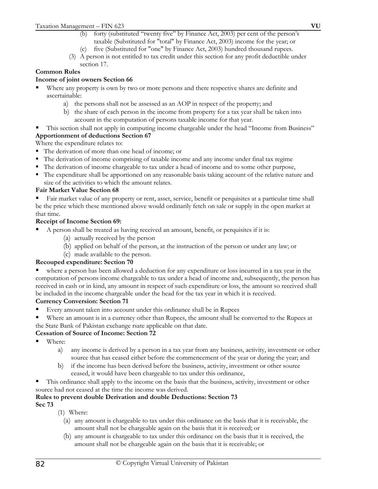- (b) forty (substituted "twenty five" by Finance Act, 2003) per cent of the person's taxable (Substituted for "total" by Finance Act, 2003) income for the year; or
- (c) five (Substituted for "one" by Finance Act, 2003) hundred thousand rupees.
- (3) A person is not entitled to tax credit under this section for any profit deductible under section 17.

# **Common Rules**

## **Income of joint owners Section 66**

- Where any property is own by two or more persons and there respective shares are definite and ascertainable:
	- a) the persons shall not be assessed as an AOP in respect of the property; and
	- b) the share of each person in the income from property for a tax year shall be taken into account in the computation of persons taxable income for that year.
- This section shall not apply in computing income chargeable under the head "Income from Business" **Apportionment of deductions Section 67**

Where the expenditure relates to:

- The derivation of more than one head of income; or
- The derivation of income comprising of taxable income and any income under final tax regime
- The derivation of income chargeable to tax under a head of income and to some other purpose,
- The expenditure shall be apportioned on any reasonable basis taking account of the relative nature and size of the activities to which the amount relates.

# **Fair Market Value Section 68**

 Fair market value of any property or rent, asset, service, benefit or perquisites at a particular time shall be the price which these mentioned above would ordinarily fetch on sale or supply in the open market at that time.

## **Receipt of Income Section 69:**

- A person shall be treated as having received an amount, benefit, or perquisites if it is:
	- (a) actually received by the person
	- (b) applied on behalf of the person, at the instruction of the person or under any law; or
	- (c) made available to the person.

## **Recouped expenditure: Section 70**

 where a person has been allowed a deduction for any expenditure or loss incurred in a tax year in the computation of persons income chargeable to tax under a head of income and, subsequently, the person has received in cash or in kind, any amount in respect of such expenditure or loss, the amount so received shall be included in the income chargeable under the head for the tax year in which it is received.

## **Currency Conversion: Section 71**

- Every amount taken into account under this ordinance shall be in Rupees
- Where an amount is in a currency other than Rupees, the amount shall be converted to the Rupees at the State Bank of Pakistan exchange rsate applicable on that date.

## **Cessation of Source of Income: Section 72**

- Where:
	- a) any income is derived by a person in a tax year from any business, activity, investment or other source that has ceased either before the commencement of the year or during the year; and
	- b) if the income has been derived before the business, activity, investment or other source ceased, it would have been chargeable to tax under this ordinance,
- This ordinance shall apply to the income on the basis that the business, activity, investment or other source had not ceased at the time the income was derived.

## **Rules to prevent double Derivation and double Deductions: Section 73**

**Sec 73** 

- (1) Where:
	- (a) any amount is chargeable to tax under this ordinance on the basis that it is receivable, the amount shall not be chargeable again on the basis that it is received; or
	- (b) any amount is chargeable to tax under this ordinance on the basis that it is received, the amount shall not be chargeable again on the basis that it is receivable; or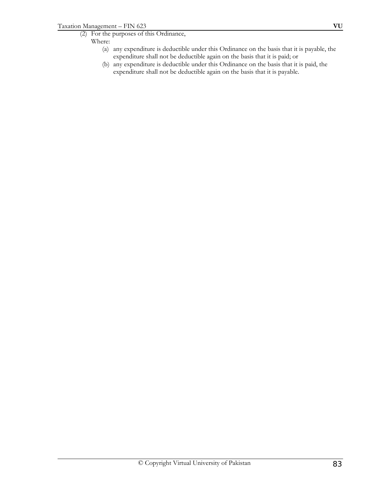- (2) For the purposes of this Ordinance,
	- Where:
		- (a) any expenditure is deductible under this Ordinance on the basis that it is payable, the expenditure shall not be deductible again on the basis that it is paid; or
		- (b) any expenditure is deductible under this Ordinance on the basis that it is paid, the expenditure shall not be deductible again on the basis that it is payable.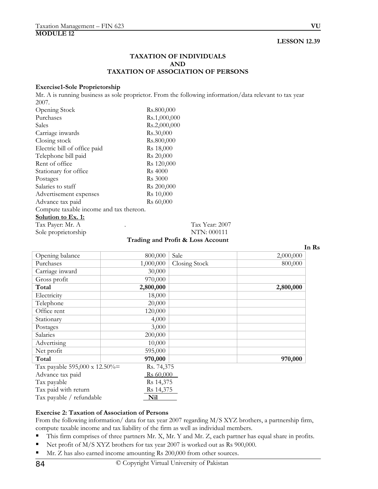## **LESSON 12.39**

### **TAXATION OF INDIVIDUALS AND TAXATION OF ASSOCIATION OF PERSONS**

#### **Exercise1-Sole Proprietorship**

Mr. A is running business as sole proprietor. From the following information/data relevant to tax year 2007.

| Opening Stock                           | Rs.800,000             |
|-----------------------------------------|------------------------|
| Purchases                               | Rs.1,000,000           |
| Sales                                   | Rs.2,000,000           |
| Carriage inwards                        | Rs.30,000              |
| Closing stock                           | Rs.800,000             |
| Electric bill of office paid            | R <sub>s</sub> 18,000  |
| Telephone bill paid                     | Rs 20,000              |
| Rent of office                          | Rs 120,000             |
| Stationary for office                   | <b>Rs</b> 4000         |
| Postages                                | <b>Rs</b> 3000         |
| Salaries to staff                       | R <sub>s</sub> 200,000 |
| Advertisement expenses                  | Rs 10,000              |
| Advance tax paid                        | Rs 60,000              |
| Compute taxable income and tax thereon. |                        |
| <u>Solution to Ex. 1:</u>               |                        |
| Tax Payer: Mr. A                        | Tax                    |

Sole proprietorship NTN: 000111

x Year: 2007

**Trading and Profit & Loss Account**

**In Rs**

| Opening balance               | 800,000               | Sale          | 2,000,000 |
|-------------------------------|-----------------------|---------------|-----------|
| Purchases                     | 1,000,000             | Closing Stock | 800,000   |
| Carriage inward               | 30,000                |               |           |
| Gross profit                  | 970,000               |               |           |
| Total                         | 2,800,000             |               | 2,800,000 |
| Electricity                   | 18,000                |               |           |
| Telephone                     | 20,000                |               |           |
| Office rent                   | 120,000               |               |           |
| Stationary                    | 4,000                 |               |           |
| Postages                      | 3,000                 |               |           |
| Salaries                      | 200,000               |               |           |
| Advertising                   | 10,000                |               |           |
| Net profit                    | 595,000               |               |           |
| Total                         | 970,000               |               | 970,000   |
| Tax payable 595,000 x 12.50%= | Rs. 74,375            |               |           |
| Advance tax paid              | R <sub>s</sub> 60,000 |               |           |
| Tax payable                   | Rs 14,375             |               |           |
| Tax paid with return          | Rs 14,375             |               |           |
| Tax payable / refundable      | Nil                   |               |           |

#### **Exercise 2: Taxation of Association of Persons**

From the following information/ data for tax year 2007 regarding M/S XYZ brothers, a partnership firm, compute taxable income and tax liability of the firm as well as individual members.

- This firm comprises of three partners Mr. X, Mr. Y and Mr. Z, each partner has equal share in profits.
- Net profit of M/S XYZ brothers for tax year 2007 is worked out as Rs 900,000.
- Mr. Z has also earned income amounting Rs 200,000 from other sources.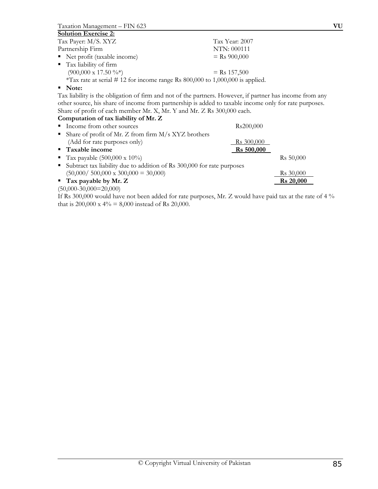Taxation Management – FIN 623 **VU**

#### **Solution Exercise 2:**

| Tax Payer: M/S. XYZ                                                           | Tax Year: 2007 |
|-------------------------------------------------------------------------------|----------------|
| Partnership Firm                                                              | NTN: 000111    |
| • Net profit (taxable income)                                                 | $=$ Rs 900,000 |
| • Tax liability of firm                                                       |                |
| $(900,000 \times 17.50 \frac{9}{6})$                                          | $=$ Rs 157,500 |
| *Tax rate at serial # 12 for income range Rs 800,000 to 1,000,000 is applied. |                |

#### **Note:**

Tax liability is the obligation of firm and not of the partners. However, if partner has income from any other source, his share of income from partnership is added to taxable income only for rate purposes. Share of profit of each member Mr. X, Mr. Y and Mr. Z Rs 300,000 each.

#### **Computation of tax liability of Mr. Z**

| Income from other sources                                                | Rs200,000             |
|--------------------------------------------------------------------------|-----------------------|
| • Share of profit of Mr. Z from firm $M/s$ XYZ brothers                  |                       |
| (Add for rate purposes only)                                             | <u>Rs</u> 300,000     |
| ■ Taxable income                                                         | $\text{Rs } 500,000$  |
| <b>Tax payable (500,000 x 10%)</b>                                       | R <sub>s</sub> 50,000 |
| • Subtract tax liability due to addition of Rs 300,000 for rate purposes |                       |
| $(50,000 / 500,000 \times 300,000 = 30,000)$                             | Rs 30,000             |
| $\blacksquare$ Tax payable by Mr. Z                                      | <b>Rs</b> 20,000      |
| $(50,000-30,000=20,000)$                                                 |                       |

If Rs 300,000 would have not been added for rate purposes, Mr. Z would have paid tax at the rate of 4 % that is 200,000 x 4% = 8,000 instead of Rs 20,000.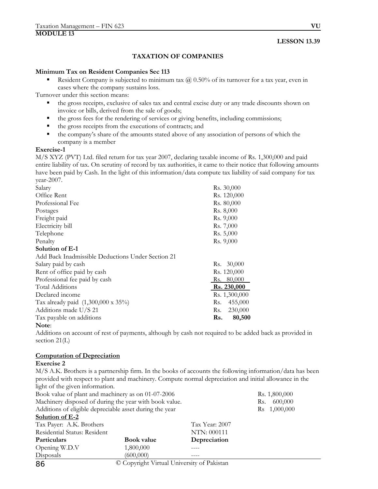#### **LESSON 13.39**

## **TAXATION OF COMPANIES**

#### **Minimum Tax on Resident Companies Sec 113**

Resident Company is subjected to minimum tax  $\omega$  0.50% of its turnover for a tax year, even in cases where the company sustains loss.

Turnover under this section means:

- the gross receipts, exclusive of sales tax and central excise duty or any trade discounts shown on invoice or bills, derived from the sale of goods;
- the gross fees for the rendering of services or giving benefits, including commissions;
- the gross receipts from the executions of contracts; and
- the company's share of the amounts stated above of any association of persons of which the company is a member

#### **Exercise-1**

M/S XYZ (PVT) Ltd. filed return for tax year 2007, declaring taxable income of Rs. 1,300,000 and paid entire liability of tax. On scrutiny of record by tax authorities, it came to their notice that following amounts have been paid by Cash. In the light of this information/data compute tax liability of said company for tax year-2007.

| Salary                                            | Rs. 30,000     |
|---------------------------------------------------|----------------|
| Office Rent                                       | Rs. 120,000    |
| Professional Fee                                  | Rs. 80,000     |
| Postages                                          | Rs. 8,000      |
| Freight paid                                      | Rs. 9,000      |
| Electricity bill                                  | Rs. 7,000      |
| Telephone                                         | Rs. 5,000      |
| Penalty                                           | Rs. 9,000      |
| Solution of E-1                                   |                |
| Add Back Inadmissible Deductions Under Section 21 |                |
| Salary paid by cash                               | Rs. 30,000     |
| Rent of office paid by cash                       | Rs. 120,000    |
| Professional fee paid by cash                     | Rs. 80,000     |
| Total Additions                                   | Rs. 230,000    |
| Declared income                                   | Rs. 1,300,000  |
| Tax already paid (1,300,000 x 35%)                | 455,000<br>Rs. |
| Additions made U/S 21                             | 230,000<br>Rs. |
| Tax payable on additions                          | 80,500<br>Rs.  |
| Note:                                             |                |

Additions on account of rest of payments, although by cash not required to be added back as provided in section 21(L)

## **Computation of Depreciation**

#### **Exercise 2**

M/S A.K. Brothers is a partnership firm. In the books of accounts the following information/data has been provided with respect to plant and machinery. Compute normal depreciation and initial allowance in the light of the given information.

| Book value of plant and machinery as on 01-07-2006      |                                            |                | Rs. 1,800,000            |
|---------------------------------------------------------|--------------------------------------------|----------------|--------------------------|
| Machinery disposed of during the year with book value.  |                                            |                | 600,000<br>Rs.           |
| Additions of eligible depreciable asset during the year |                                            |                | R <sub>s</sub> 1,000,000 |
| Solution of E-2                                         |                                            |                |                          |
| Tax Payer: A.K. Brothers                                |                                            | Tax Year: 2007 |                          |
| Residential Status: Resident                            |                                            | NTN: 000111    |                          |
| <b>Particulars</b>                                      | <b>Book value</b>                          | Depreciation   |                          |
| Opening W.D.V                                           | 1,800,000                                  |                |                          |
| Disposals                                               | (600,000)                                  |                |                          |
| 86                                                      | © Copyright Virtual University of Pakistan |                |                          |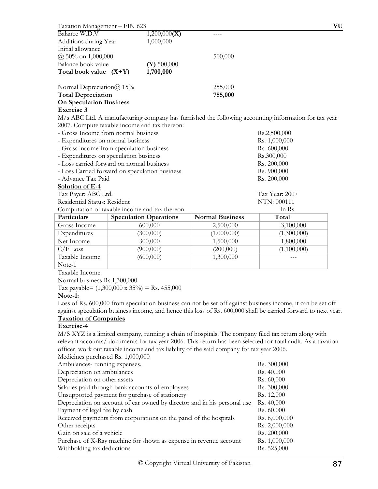| Taxation Management - FIN 623                        |                               |                                                                                           | VU                                                                                                             |
|------------------------------------------------------|-------------------------------|-------------------------------------------------------------------------------------------|----------------------------------------------------------------------------------------------------------------|
| Balance W.D.V                                        | 1,200,000(X)                  |                                                                                           |                                                                                                                |
| Additions during Year                                | 1,000,000                     |                                                                                           |                                                                                                                |
| Initial allowance                                    |                               |                                                                                           |                                                                                                                |
| @ 50% on 1,000,000                                   |                               | 500,000                                                                                   |                                                                                                                |
| Balance book value                                   | $(Y)$ 500,000                 |                                                                                           |                                                                                                                |
| Total book value $(X+Y)$                             | 1,700,000                     |                                                                                           |                                                                                                                |
| Normal Depreciation $\omega$ 15%                     |                               | 255,000                                                                                   |                                                                                                                |
| <b>Total Depreciation</b>                            |                               | 755,000                                                                                   |                                                                                                                |
| <b>On Speculation Business</b>                       |                               |                                                                                           |                                                                                                                |
| <b>Exercise 3</b>                                    |                               |                                                                                           |                                                                                                                |
|                                                      |                               |                                                                                           | M/s ABC Ltd. A manufacturing company has furnished the following accounting information for tax year           |
| 2007. Compute taxable income and tax thereon:        |                               |                                                                                           |                                                                                                                |
| - Gross Income from normal business                  |                               |                                                                                           | Rs.2,500,000                                                                                                   |
| - Expenditures on normal business                    |                               |                                                                                           | Rs. 1,000,000                                                                                                  |
| - Gross income from speculation business             |                               |                                                                                           | Rs. 600,000                                                                                                    |
| - Expenditures on speculation business               |                               |                                                                                           | Rs.300,000                                                                                                     |
| - Loss carried forward on normal business            |                               |                                                                                           | Rs. 200,000                                                                                                    |
| - Loss Carried forward on speculation business       |                               |                                                                                           | Rs. 900,000                                                                                                    |
| - Advance Tax Paid                                   |                               |                                                                                           | Rs. 200,000                                                                                                    |
| Solution of E-4                                      |                               |                                                                                           |                                                                                                                |
| Tax Payer: ABC Ltd.                                  |                               |                                                                                           | Tax Year: 2007                                                                                                 |
| Residential Status: Resident                         |                               |                                                                                           | NTN: 000111                                                                                                    |
| Computation of taxable income and tax thereon:       |                               |                                                                                           | In Rs.                                                                                                         |
| Particulars                                          | <b>Speculation Operations</b> | <b>Normal Business</b>                                                                    | Total                                                                                                          |
| Gross Income                                         | 600,000                       | 2,500,000                                                                                 | 3,100,000                                                                                                      |
| Expenditures                                         | (300,000)                     | (1,000,000)                                                                               | (1,300,000)                                                                                                    |
| Net Income                                           | 300,000                       | 1,500,000                                                                                 | 1,800,000                                                                                                      |
| $C/F$ Loss                                           | (900,000)                     | (200,000)                                                                                 | (1,100,000)                                                                                                    |
| Taxable Income                                       | (600,000)                     | 1,300,000                                                                                 |                                                                                                                |
| Note-1                                               |                               |                                                                                           |                                                                                                                |
| Taxable Income:                                      |                               |                                                                                           |                                                                                                                |
| Normal business Rs.1,300,000                         |                               |                                                                                           |                                                                                                                |
| Tax payable= $(1,300,000 \times 35\%)$ = Rs. 455,000 |                               |                                                                                           |                                                                                                                |
| Note-1:                                              |                               |                                                                                           |                                                                                                                |
|                                                      |                               |                                                                                           | Loss of Rs. 600,000 from speculation business can not be set off against business income, it can be set off    |
|                                                      |                               |                                                                                           | against speculation business income, and hence this loss of Rs. 600,000 shall be carried forward to next year. |
| <b>Taxation of Companies</b>                         |                               |                                                                                           |                                                                                                                |
| Exercise-4                                           |                               |                                                                                           |                                                                                                                |
|                                                      |                               |                                                                                           | M/S XYZ is a limited company, running a chain of hospitals. The company filed tax return along with            |
|                                                      |                               |                                                                                           | relevant accounts/ documents for tax year 2006. This return has been selected for total audit. As a taxation   |
|                                                      |                               | officer, work out taxable income and tax liability of the said company for tax year 2006. |                                                                                                                |
| Medicines purchased Rs. 1,000,000                    |                               |                                                                                           |                                                                                                                |
| Ambulances-running expenses.                         |                               |                                                                                           | Rs. 300,000                                                                                                    |
| Depreciation on ambulances                           |                               |                                                                                           | Rs. 40,000                                                                                                     |
| Depreciation on other assets                         |                               |                                                                                           | Rs. 60,000                                                                                                     |
| Salaries paid through bank accounts of employees     |                               |                                                                                           | Rs. 300,000                                                                                                    |
| Unsupported payment for purchase of stationery       |                               |                                                                                           | Rs. 12,000                                                                                                     |
|                                                      |                               | Depreciation on account of car owned by director and in his personal use                  | Rs. 40,000                                                                                                     |
| Payment of legal fee by cash                         |                               |                                                                                           | Rs. 60,000                                                                                                     |

Received payments from corporations on the panel of the hospitals Rs. 6,000,000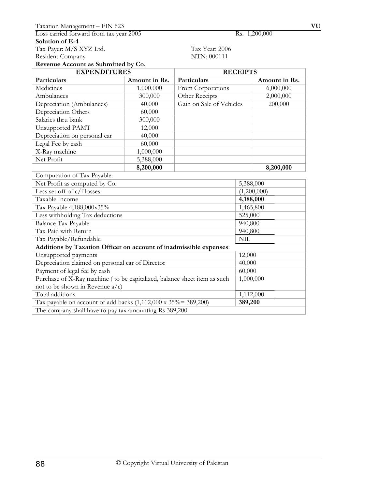## Tax Payer: M/S XYZ Ltd. Tax Year: 2006 Resident Company NTN: 000111

**Revenue Account as Submitted by Co.**

| <b>EXPENDITURES</b>                                                       |               | <b>RECEIPTS</b>          |             |               |
|---------------------------------------------------------------------------|---------------|--------------------------|-------------|---------------|
| Particulars                                                               | Amount in Rs. | Particulars              |             | Amount in Rs. |
| Medicines                                                                 | 1,000,000     | From Corporations        |             | 6,000,000     |
| Ambulances                                                                | 300,000       | Other Receipts           |             | 2,000,000     |
| Depreciation (Ambulances)                                                 | 40,000        | Gain on Sale of Vehicles |             | 200,000       |
| Depreciation Others                                                       | 60,000        |                          |             |               |
| Salaries thru bank                                                        | 300,000       |                          |             |               |
| Unsupported PAMT                                                          | 12,000        |                          |             |               |
| Depreciation on personal car                                              | 40,000        |                          |             |               |
| Legal Fee by cash                                                         | 60,000        |                          |             |               |
| X-Ray machine                                                             | 1,000,000     |                          |             |               |
| Net Profit                                                                | 5,388,000     |                          |             |               |
|                                                                           | 8,200,000     |                          |             | 8,200,000     |
| Computation of Tax Payable:                                               |               |                          |             |               |
| Net Profit as computed by Co.                                             |               |                          | 5,388,000   |               |
| Less set off of $c/f$ losses                                              |               |                          | (1,200,000) |               |
| Taxable Income                                                            |               |                          | 4,188,000   |               |
| Tax Payable 4,188,000x35%                                                 |               |                          | 1,465,800   |               |
| Less withholding Tax deductions                                           |               |                          | 525,000     |               |
| <b>Balance Tax Payable</b>                                                |               |                          | 940,800     |               |
| Tax Paid with Return                                                      |               |                          | 940,800     |               |
| Tax Payable/Refundable                                                    |               |                          | <b>NIL</b>  |               |
| Additions by Taxation Officer on account of inadmissible expenses:        |               |                          |             |               |
| Unsupported payments                                                      |               |                          | 12,000      |               |
| Depreciation claimed on personal car of Director                          |               |                          | 40,000      |               |
| Payment of legal fee by cash                                              |               |                          | 60,000      |               |
| Purchase of X-Ray machine ( to be capitalized, balance sheet item as such |               |                          | 1,000,000   |               |
| not to be shown in Revenue $a/c$ )                                        |               |                          |             |               |
| Total additions                                                           |               |                          | 1,112,000   |               |
| Tax payable on account of add backs $(1,112,000 \times 35\% = 389,200)$   |               |                          | 389,200     |               |
| The company shall have to pay tax amounting Rs 389,200.                   |               |                          |             |               |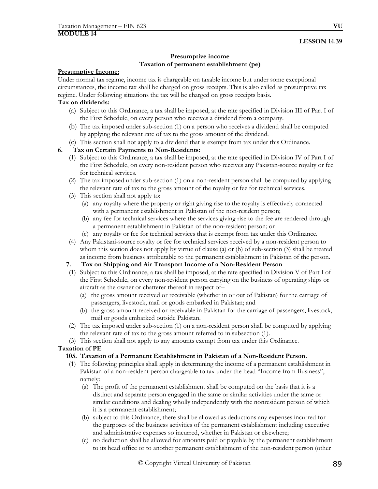## **Presumptive income Taxation of permanent establishment (pe)**

## **Presumptive Income:**

Under normal tax regime, income tax is chargeable on taxable income but under some exceptional circumstances, the income tax shall be charged on gross receipts. This is also called as presumptive tax regime. Under following situations the tax will be charged on gross receipts basis.

## **Tax on dividends:**

- (a) Subject to this Ordinance, a tax shall be imposed, at the rate specified in Division III of Part I of the First Schedule, on every person who receives a dividend from a company.
- (b) The tax imposed under sub-section (1) on a person who receives a dividend shall be computed by applying the relevant rate of tax to the gross amount of the dividend.
- (c) This section shall not apply to a dividend that is exempt from tax under this Ordinance.

## **6. Tax on Certain Payments to Non-Residents:**

- (1) Subject to this Ordinance, a tax shall be imposed, at the rate specified in Division IV of Part I of the First Schedule, on every non-resident person who receives any Pakistan-source royalty or fee for technical services.
- (2) The tax imposed under sub-section (1) on a non-resident person shall be computed by applying the relevant rate of tax to the gross amount of the royalty or fee for technical services.
- (3) This section shall not apply to:
	- (a) any royalty where the property or right giving rise to the royalty is effectively connected with a permanent establishment in Pakistan of the non-resident person;
	- (b) any fee for technical services where the services giving rise to the fee are rendered through a permanent establishment in Pakistan of the non-resident person; or
	- (c) any royalty or fee for technical services that is exempt from tax under this Ordinance.
- (4) Any Pakistani-source royalty or fee for technical services received by a non-resident person to whom this section does not apply by virtue of clause (a) or (b) of sub-section (3) shall be treated as income from business attributable to the permanent establishment in Pakistan of the person.

## **7. Tax on Shipping and Air Transport Income of a Non-Resident Person**

- (1) Subject to this Ordinance, a tax shall be imposed, at the rate specified in Division V of Part I of the First Schedule, on every non-resident person carrying on the business of operating ships or aircraft as the owner or chatterer thereof in respect of–
	- (a) the gross amount received or receivable (whether in or out of Pakistan) for the carriage of passengers, livestock, mail or goods embarked in Pakistan; and
	- (b) the gross amount received or receivable in Pakistan for the carriage of passengers, livestock, mail or goods embarked outside Pakistan.
- (2) The tax imposed under sub-section (1) on a non-resident person shall be computed by applying the relevant rate of tax to the gross amount referred to in subsection (1).
- (3) This section shall not apply to any amounts exempt from tax under this Ordinance.

## **Taxation of PE**

- **105. Taxation of a Permanent Establishment in Pakistan of a Non-Resident Person.**
- (1) The following principles shall apply in determining the income of a permanent establishment in Pakistan of a non-resident person chargeable to tax under the head "Income from Business", namely:
	- (a) The profit of the permanent establishment shall be computed on the basis that it is a distinct and separate person engaged in the same or similar activities under the same or similar conditions and dealing wholly independently with the nonresident person of which it is a permanent establishment;
	- (b) subject to this Ordinance, there shall be allowed as deductions any expenses incurred for the purposes of the business activities of the permanent establishment including executive and administrative expenses so incurred, whether in Pakistan or elsewhere;
	- (c) no deduction shall be allowed for amounts paid or payable by the permanent establishment to its head office or to another permanent establishment of the non-resident person (other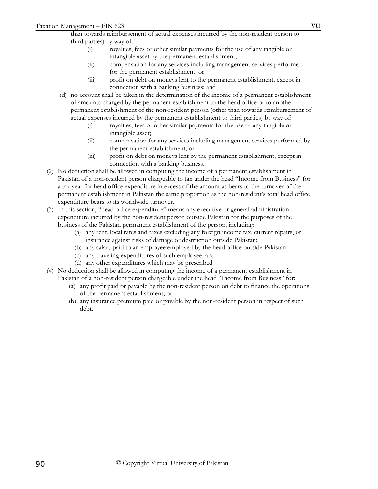than towards reimbursement of actual expenses incurred by the non-resident person to third parties) by way of:

- (i) royalties, fees or other similar payments for the use of any tangible or intangible asset by the permanent establishment;
- (ii) compensation for any services including management services performed for the permanent establishment; or
- (iii) profit on debt on moneys lent to the permanent establishment, except in connection with a banking business; and
- (d) no account shall be taken in the determination of the income of a permanent establishment of amounts charged by the permanent establishment to the head office or to another permanent establishment of the non-resident person (other than towards reimbursement of actual expenses incurred by the permanent establishment to third parties) by way of:
	- (i) royalties, fees or other similar payments for the use of any tangible or intangible asset;
	- (ii) compensation for any services including management services performed by the permanent establishment; or
	- (iii) profit on debt on moneys lent by the permanent establishment, except in connection with a banking business.
- (2) No deduction shall be allowed in computing the income of a permanent establishment in Pakistan of a non-resident person chargeable to tax under the head "Income from Business" for a tax year for head office expenditure in excess of the amount as bears to the turnover of the permanent establishment in Pakistan the same proportion as the non-resident's total head office expenditure bears to its worldwide turnover.
- (3) In this section, "head office expenditure" means any executive or general administration expenditure incurred by the non-resident person outside Pakistan for the purposes of the business of the Pakistan permanent establishment of the person, including:
	- (a) any rent, local rates and taxes excluding any foreign income tax, current repairs, or insurance against risks of damage or destruction outside Pakistan;
	- (b) any salary paid to an employee employed by the head office outside Pakistan;
	- (c) any traveling expenditures of such employee; and
	- (d) any other expenditures which may be prescribed
- (4) No deduction shall be allowed in computing the income of a permanent establishment in Pakistan of a non-resident person chargeable under the head "Income from Business" for:
	- (a) any profit paid or payable by the non-resident person on debt to finance the operations of the permanent establishment; or
	- (b) any insurance premium paid or payable by the non-resident person in respect of such debt.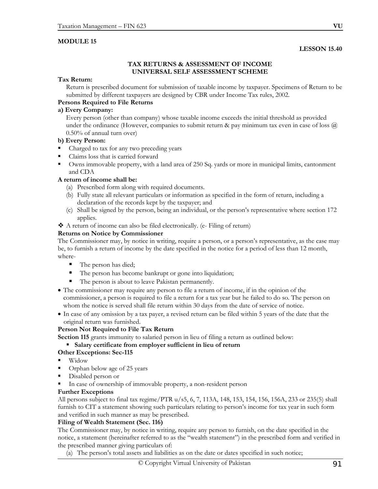## **MODULE 15**

#### **LESSON 15.40**

#### **TAX RETURNS & ASSESSMENT OF INCOME UNIVERSAL SELF ASSESSMENT SCHEME**

#### **Tax Return:**

Return is prescribed document for submission of taxable income by taxpayer. Specimens of Return to be submitted by different taxpayers are designed by CBR under Income Tax rules, 2002.

## **Persons Required to File Returns**

## **a) Every Company:**

 Every person (other than company) whose taxable income exceeds the initial threshold as provided under the ordinance (However, companies to submit return & pay minimum tax even in case of loss @ 0.50% of annual turn over)

#### **b) Every Person:**

- Charged to tax for any two preceding years
- Claims loss that is carried forward
- Owns immovable property, with a land area of 250 Sq. yards or more in municipal limits, cantonment and CDA

#### **A return of income shall be:**

- (a) Prescribed form along with required documents.
- (b) Fully state all relevant particulars or information as specified in the form of return, including a declaration of the records kept by the taxpayer; and
- (c) Shall be signed by the person, being an individual, or the person's representative where section 172 applies.
- A return of income can also be filed electronically. (e- Filing of return)

#### **Returns on Notice by Commissioner**

The Commissioner may, by notice in writing, require a person, or a person's representative, as the case may be, to furnish a return of income by the date specified in the notice for a period of less than 12 month, where-

- The person has died;
- The person has become bankrupt or gone into liquidation;
- The person is about to leave Pakistan permanently.
- The commissioner may require any person to file a return of income, if in the opinion of the commissioner, a person is required to file a return for a tax year but he failed to do so. The person on whom the notice is served shall file return within 30 days from the date of service of notice.
- In case of any omission by a tax payer, a revised return can be filed within 5 years of the date that the original return was furnished.

## **Person Not Required to File Tax Return**

**Section 115** grants immunity to salaried person in lieu of filing a return as outlined below:

## **Salary certificate from employer sufficient in lieu of return**

#### **Other Exceptions: Sec-115**

- Widow
- **•** Orphan below age of 25 years
- Disabled person or
- In case of ownership of immovable property, a non-resident person

#### **Further Exceptions**

All persons subject to final tax regime/PTR u/s5, 6, 7, 113A, 148, 153, 154, 156, 156A, 233 or 235(5) shall furnish to CIT a statement showing such particulars relating to person's income for tax year in such form and verified in such manner as may be prescribed.

## **Filing of Wealth Statement (Sec. 116)**

The Commissioner may, by notice in writing, require any person to furnish, on the date specified in the notice, a statement (hereinafter referred to as the "wealth statement") in the prescribed form and verified in the prescribed manner giving particulars of:

(a) The person's total assets and liabilities as on the date or dates specified in such notice;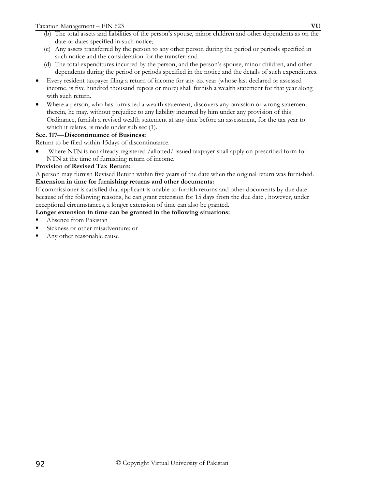- (b) The total assets and liabilities of the person's spouse, minor children and other dependents as on the date or dates specified in such notice;
- (c) Any assets transferred by the person to any other person during the period or periods specified in such notice and the consideration for the transfer; and
- (d) The total expenditures incurred by the person, and the person's spouse, minor children, and other dependents during the period or periods specified in the notice and the details of such expenditures.
- Every resident taxpayer filing a return of income for any tax year (whose last declared or assessed income, is five hundred thousand rupees or more) shall furnish a wealth statement for that year along with such return.
- Where a person, who has furnished a wealth statement, discovers any omission or wrong statement therein, he may, without prejudice to any liability incurred by him under any provision of this Ordinance, furnish a revised wealth statement at any time before an assessment, for the tax year to which it relates, is made under sub sec (1).

# **Sec. 117—Discontinuance of Business:**

Return to be filed within 15days of discontinuance.

• Where NTN is not already registered /allotted/ issued taxpayer shall apply on prescribed form for NTN at the time of furnishing return of income.

# **Provision of Revised Tax Return:**

A person may furnish Revised Return within five years of the date when the original return was furnished. **Extension in time for furnishing returns and other documents:** 

If commissioner is satisfied that applicant is unable to furnish returns and other documents by due date because of the following reasons, he can grant extension for 15 days from the due date , however, under exceptional circumstances, a longer extension of time can also be granted.

# **Longer extension in time can be granted in the following situations:**

- Absence from Pakistan
- Sickness or other misadventure; or
- Any other reasonable cause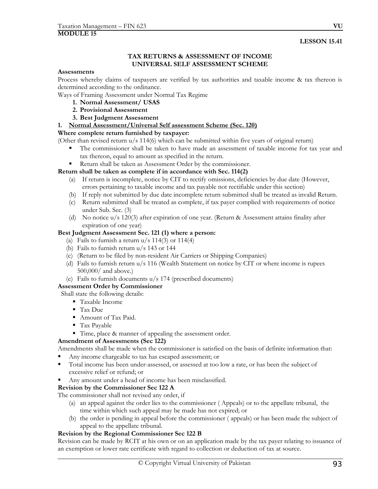## **LESSON 15.41**

## **TAX RETURNS & ASSESSMENT OF INCOME UNIVERSAL SELF ASSESSMENT SCHEME**

#### **Assessments**

Process whereby claims of taxpayers are verified by tax authorities and taxable income & tax thereon is determined according to the ordinance.

Ways of Framing Assessment under Normal Tax Regime

- **1. Normal Assessment/ USAS**
- **2. Provisional Assessment**
- **3. Best Judgment Assessment**
- **1. Normal Assessment/Universal Self assessment Scheme (Sec. 120)**

#### **Where complete return furnished by taxpayer:**

(Other than revised return u/s 114(6) which can be submitted within five years of original return)

- The commissioner shall be taken to have made an assessment of taxable income for tax year and tax thereon, equal to amount as specified in the return.
- Return shall be taken as Assessment Order by the commissioner.

## **Return shall be taken as complete if in accordance with Sec. 114(2)**

- (a) If return is incomplete, notice by CIT to rectify omissions, deficiencies by due date (However, errors pertaining to taxable income and tax payable not rectifiable under this section)
- (b) If reply not submitted by due date incomplete return submitted shall be treated as invalid Return.
- (c) Return submitted shall be treated as complete, if tax payer complied with requirements of notice under Sub. Sec. (3)
- (d) No notice u/s 120(3) after expiration of one year. (Return & Assessment attains finality after expiration of one year)

#### **Best Judgment Assessment Sec. 121 (1) where a person:**

- (a) Fails to furnish a return  $u/s$  114(3) or 114(4)
- (b) Fails to furnish return u/s 143 or 144
- (c) (Return to be filed by non-resident Air Carriers or Shipping Companies)
- (d) Fails to furnish return u/s 116 (Wealth Statement on notice by CIT or where income is rupees 500,000/ and above.)
- (e) Fails to furnish documents u/s 174 (prescribed documents)

## **Assessment Order by Commissioner**

## Shall state the following details:

- Taxable Income
- Tax Due
- Amount of Tax Paid.
- Tax Payable
- Time, place & manner of appealing the assessment order.

## **Amendment of Assessments (Sec 122)**

Amendments shall be made when the commissioner is satisfied on the basis of definite information that:

- Any income chargeable to tax has escaped assessment; or
- Total income has been under-assessed, or assessed at too low a rate, or has been the subject of excessive relief or refund; or
- Any amount under a head of income has been misclassified.

## **Revision by the Commissioner Sec 122 A**

The commissioner shall not revised any order, if

- (a) an appeal against the order lies to the commissioner ( Appeals) or to the appellate tribunal, the time within which such appeal may be made has not expired; or
- (b) the order is pending in appeal before the commissioner ( appeals) or has been made the subject of appeal to the appellate tribunal.

## **Revision by the Regional Commissioner Sec 122 B**

Revision can be made by RCIT at his own or on an application made by the tax payer relating to issuance of an exemption or lower rate certificate with regard to collection or deduction of tax at source.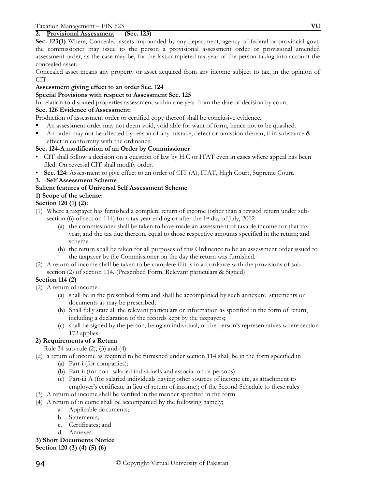## **2. Provisional Assessment (Sec. 123)**

**Sec. 123(1)** Where, Concealed assets impounded by any department, agency of federal or provincial govt. the commissioner may issue to the person a provisional assessment order or provisional amended assessment order, as the case may be, for the last completed tax year of the person taking into account the concealed asset.

Concealed asset means any property or asset acquired from any income subject to tax, in the opinion of CIT.

## **Assessment giving effect to an order Sec. 124**

#### **Special Provisions with respect to Assessment Sec. 125**

In relation to disputed properties assessment within one year from the date of decision by court.

#### **Sec. 126 Evidence of Assessment:**

Production of assessment order or certified copy thereof shall be conclusive evidence.

- An assessment order may not deem void, void able for want of form, hence not to be quashed.
- An order may not be affected by reason of any mistake, defect or omission therein, if in substance & effect in conformity with the ordinance.

## **Sec. 124-A modification of an Order by Commissioner**

- CIT shall follow a decision on a question of law by H.C or ITAT even in cases where appeal has been filed. On reversal CIT shall modify order.
- **Sec. 124**: Assessment to give effect to an order of CIT (A), ITAT, High Court, Supreme Court.
- **3. Self Assessment Scheme**

## **Salient features of Universal Self Assessment Scheme**

## **1) Scope of the scheme:**

## **Section 120 (1) (2):**

- (1) Where a taxpayer has furnished a complete return of income (other than a revised return under subsection (6) of section 114) for a tax year ending or after the 1st day of July, 2002
	- (a) the commissioner shall be taken to have made an assessment of taxable income for that tax year, and the tax due thereon, equal to those respective amounts specified in the return; and scheme.
	- (b) the return shall be taken for all purposes of this Ordinance to be an assessment order issued to the taxpayer by the Commissioner on the day the return was furnished.
- (2) A return of income shall be taken to be complete if it is in accordance with the provisions of subsection (2) of section 114. (Prescribed Form, Relevant particulars & Signed)

## **Section 114 (2)**

(2) A return of income:

- (a) shall be in the prescribed form and shall be accompanied by such annexure statements or documents as may be prescribed;
- (b) Shall fully state all the relevant particulars or information as specified in the form of return, including a declaration of the records kept by the taxpayers;
- (c) shall be signed by the person, being an individual, or the person's representatives where section 172 applies.

## **2) Requirements of a Return**

Rule 34 sub-rule (2), (3) and (4):

- (2) a return of income as required to be furnished under section 114 shall be in the form specified in
	- (a) Part-i (for companies);
	- (b) Part-ii (for non- salaried individuals and association of persons)
	- (c) Part-iii A (for salaried individuals having other sources of income etc, as attachment to employer's certificate in lieu of return of income); of the Second Schedule to these rules
- (3) A return of income shall be verified in the manner specified in the form
- (4) A return of in come shall be accompanied by the following namely;
	- a. Applicable documents;
	- b. Statements;
	- c. Certificates; and
	- d. Annexes

**3) Short Documents Notice Section 120 (3) (4) (5) (6)**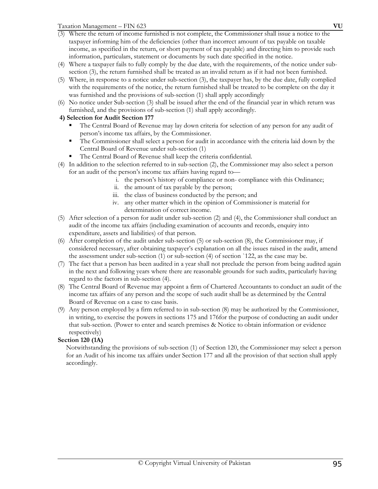- income, as specified in the return, or short payment of tax payable) and directing him to provide such information, particulars, statement or documents by such date specified in the notice. (4) Where a taxpayer fails to fully comply by the due date, with the requirements, of the notice under sub-
- section (3), the return furnished shall be treated as an invalid return as if it had not been furnished.
- (5) Where, in response to a notice under sub-section (3), the taxpayer has, by the due date, fully complied with the requirements of the notice, the return furnished shall be treated to be complete on the day it was furnished and the provisions of sub-section (1) shall apply accordingly
- (6) No notice under Sub-section (3) shall be issued after the end of the financial year in which return was furnished, and the provisions of sub-section (1) shall apply accordingly.

# **4) Selection for Audit Section 177**

- The Central Board of Revenue may lay down criteria for selection of any person for any audit of person's income tax affairs, by the Commissioner.
- The Commissioner shall select a person for audit in accordance with the criteria laid down by the Central Board of Revenue under sub-section (1)
- The Central Board of Revenue shall keep the criteria confidential.
- (4) In addition to the selection referred to in sub-section (2), the Commissioner may also select a person for an audit of the person's income tax affairs having regard to
	- i. the person's history of compliance or non- compliance with this Ordinance;
	- ii. the amount of tax payable by the person;
	- iii. the class of business conducted by the person; and
	- iv. any other matter which in the opinion of Commissioner is material for determination of correct income.
- (5) After selection of a person for audit under sub-section (2) and (4), the Commissioner shall conduct an audit of the income tax affairs (including examination of accounts and records, enquiry into expenditure, assets and liabilities) of that person.
- (6) After completion of the audit under sub-section (5) or sub-section (8), the Commissioner may, if considered necessary, after obtaining taxpayer's explanation on all the issues raised in the audit, amend the assessment under sub-section (1) or sub-section (4) of section `122, as the case may be.
- (7) The fact that a person has been audited in a year shall not preclude the person from being audited again in the next and following years where there are reasonable grounds for such audits, particularly having regard to the factors in sub-section (4).
- (8) The Central Board of Revenue may appoint a firm of Chartered Accountants to conduct an audit of the income tax affairs of any person and the scope of such audit shall be as determined by the Central Board of Revenue on a case to case basis.
- (9) Any person employed by a firm referred to in sub-section (8) may be authorized by the Commissioner, in writing, to exercise the powers in sections 175 and 176for the purpose of conducting an audit under that sub-section. (Power to enter and search premises & Notice to obtain information or evidence respectively)

# **Section 120 (1A)**

Notwithstanding the provisions of sub-section (1) of Section 120, the Commissioner may select a person for an Audit of his income tax affairs under Section 177 and all the provision of that section shall apply accordingly.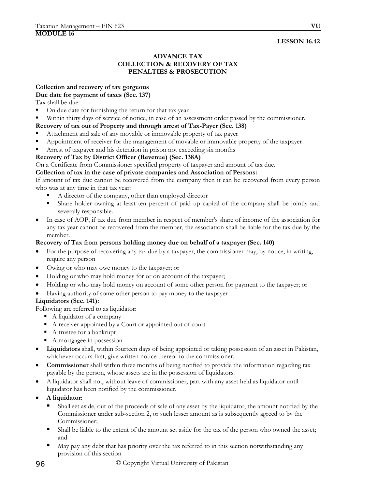## **LESSON 16.42**

## **ADVANCE TAX COLLECTION & RECOVERY OF TAX PENALTIES & PROSECUTION**

## **Collection and recovery of tax gorgeous**

## **Due date for payment of taxes (Sec. 137)**

Tax shall be due:

- On due date for furnishing the return for that tax year
- Within thirty days of service of notice, in case of an assessment order passed by the commissioner.

## **Recovery of tax out of Property and through arrest of Tax-Payer (Sec. 138)**

- Attachment and sale of any movable or immovable property of tax payer
- Appointment of receiver for the management of movable or immovable property of the taxpayer
- Arrest of taxpayer and his detention in prison not exceeding six months

## **Recovery of Tax by District Officer (Revenue) (Sec. 138A)**

On a Certificate from Commissioner specified property of taxpayer and amount of tax due.

## **Collection of tax in the case of private companies and Association of Persons:**

If amount of tax due cannot be recovered from the company then it can be recovered from every person who was at any time in that tax year:

- A director of the company, other than employed director
- Share holder owning at least ten percent of paid up capital of the company shall be jointly and severally responsible.
- In case of AOP, if tax due from member in respect of member's share of income of the association for any tax year cannot be recovered from the member, the association shall be liable for the tax due by the member.

## **Recovery of Tax from persons holding money due on behalf of a taxpayer (Sec. 140)**

- For the purpose of recovering any tax due by a taxpayer, the commissioner may, by notice, in writing, require any person
- Owing or who may owe money to the taxpayer; or
- Holding or who may hold money for or on account of the taxpayer;
- Holding or who may hold money on account of some other person for payment to the taxpayer; or
- Having authority of some other person to pay money to the taxpayer

## **Liquidators (Sec. 141):**

Following are referred to as liquidator:

- A liquidator of a company
- A receiver appointed by a Court or appointed out of court
- A trustee for a bankrupt
- A mortgagee in possession
- **Liquidators** shall, within fourteen days of being appointed or taking possession of an asset in Pakistan, whichever occurs first, give written notice thereof to the commissioner.
- **Commissioner** shall within three months of being notified to provide the information regarding tax payable by the person, whose assets are in the possession of liquidators.
- A liquidator shall not, without leave of commissioner, part with any asset held as liquidator until liquidator has been notified by the commissioner.
- **A liquidator:** 
	- Shall set aside, out of the proceeds of sale of any asset by the liquidator, the amount notified by the Commissioner under sub-section 2, or such lesser amount as is subsequently agreed to by the Commissioner;
	- Shall be liable to the extent of the amount set aside for the tax of the person who owned the asset; and
	- May pay any debt that has priority over the tax referred to in this section notwithstanding any provision of this section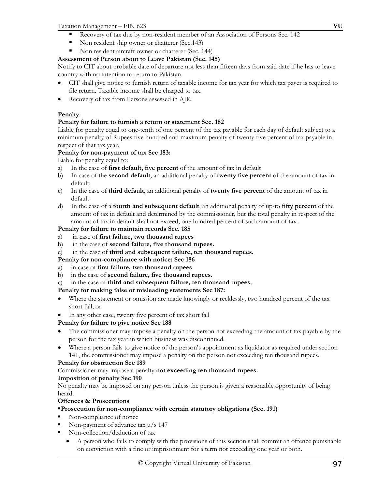## Taxation Management – FIN 623 **VU**

- Recovery of tax due by non-resident member of an Association of Persons Sec. 142
- Non resident ship owner or chatterer (Sec.143)
- Non resident aircraft owner or chatterer (Sec. 144)

# **Assessment of Person about to Leave Pakistan (Sec. 145)**

Notify to CIT about probable date of departure not less than fifteen days from said date if he has to leave country with no intention to return to Pakistan.

- CIT shall give notice to furnish return of taxable income for tax year for which tax payer is required to file return. Taxable income shall be charged to tax.
- Recovery of tax from Persons assessed in AJK

# **Penalty**

# **Penalty for failure to furnish a return or statement Sec. 182**

Liable for penalty equal to one-tenth of one percent of the tax payable for each day of default subject to a minimum penalty of Rupees five hundred and maximum penalty of twenty five percent of tax payable in respect of that tax year.

# **Penalty for non-payment of tax Sec 183:**

Liable for penalty equal to:

- a) In the case of **first default, five percent** of the amount of tax in default
- b) In case of the **second default**, an additional penalty of **twenty five percent** of the amount of tax in default;
- c) In the case of **third default**, an additional penalty of **twenty five percent** of the amount of tax in default
- d) In the case of a **fourth and subsequent default**, an additional penalty of up-to **fifty percent** of the amount of tax in default and determined by the commissioner, but the total penalty in respect of the amount of tax in default shall not exceed, one hundred percent of such amount of tax.

# **Penalty for failure to maintain records Sec. 185**

- a) in case of **first failure, two thousand rupees**
- b) in the case of **second failure, five thousand rupees.**
- c) in the case of **third and subsequent failure, ten thousand rupees.**

## **Penalty for non-compliance with notice: Sec 186**

- a) in case of **first failure, two thousand rupees**
- b) in the case of **second failure, five thousand rupees.**
- c) in the case of **third and subsequent failure, ten thousand rupees.**

# **Penalty for making false or misleading statements Sec 187:**

- Where the statement or omission are made knowingly or recklessly, two hundred percent of the tax short fall; or
- In any other case, twenty five percent of tax short fall

# **Penalty for failure to give notice Sec 188**

- The commissioner may impose a penalty on the person not exceeding the amount of tax payable by the person for the tax year in which business was discontinued.
- Where a person fails to give notice of the person's appointment as liquidator as required under section 141, the commissioner may impose a penalty on the person not exceeding ten thousand rupees.

# **Penalty for obstruction Sec 189**

Commissioner may impose a penalty **not exceeding ten thousand rupees.** 

# **Imposition of penalty Sec 190**

No penalty may be imposed on any person unless the person is given a reasonable opportunity of being heard.

# **Offences & Prosecutions**

# **Prosecution for non-compliance with certain statutory obligations (Sec. 191)**

- Non-compliance of notice
- Non-payment of advance tax u/s 147
- Non-collection/deduction of tax
	- A person who fails to comply with the provisions of this section shall commit an offence punishable on conviction with a fine or imprisonment for a term not exceeding one year or both.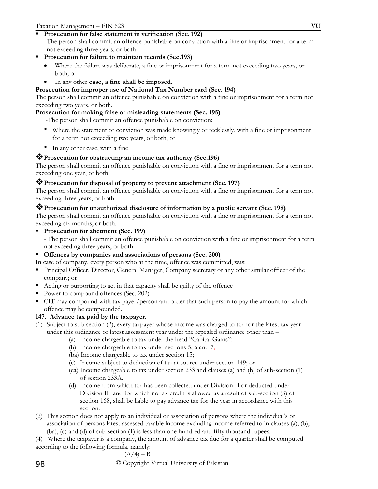# **Prosecution for false statement in verification (Sec. 192)**

The person shall commit an offence punishable on conviction with a fine or imprisonment for a term not exceeding three years, or both.

- **Prosecution for failure to maintain records (Sec.193)** 
	- Where the failure was deliberate, a fine or imprisonment for a term not exceeding two years, or both; or
	- In any other **case, a fine shall be imposed.**

# **Prosecution for improper use of National Tax Number card (Sec. 194)**

The person shall commit an offence punishable on conviction with a fine or imprisonment for a term not exceeding two years, or both.

## **Prosecution for making false or misleading statements (Sec. 195)**

-The person shall commit an offence punishable on conviction:

- Where the statement or conviction was made knowingly or recklessly, with a fine or imprisonment for a term not exceeding two years, or both; or
- In any other case, with a fine

# **Prosecution for obstructing an income tax authority (Sec.196)**

The person shall commit an offence punishable on conviction with a fine or imprisonment for a term not exceeding one year, or both.

# **Prosecution for disposal of property to prevent attachment (Sec. 197)**

The person shall commit an offence punishable on conviction with a fine or imprisonment for a term not exceeding three years, or both.

# **Prosecution for unauthorized disclosure of information by a public servant (Sec. 198)**

The person shall commit an offence punishable on conviction with a fine or imprisonment for a term not exceeding six months, or both.

- **Prosecution for abetment (Sec. 199)** 
	- The person shall commit an offence punishable on conviction with a fine or imprisonment for a term not exceeding three years, or both.

# **Offences by companies and associations of persons (Sec. 200)**

- In case of company, every person who at the time, offence was committed, was:
- **Principal Officer, Director, General Manager, Company secretary or any other similar officer of the** company; or
- Acting or purporting to act in that capacity shall be guilty of the offence
- Power to compound offences (Sec. 202)
- CIT may compound with tax payer/person and order that such person to pay the amount for which offence may be compounded.

# **147. Advance tax paid by the taxpayer.**

- (1) Subject to sub-section (2), every taxpayer whose income was charged to tax for the latest tax year under this ordinance or latest assessment year under the repealed ordinance other than –
	- (a) Income chargeable to tax under the head "Capital Gains";
	- (b) Income chargeable to tax under sections 5, 6 and 7;
	- (ba) Income chargeable to tax under section 15;
	- (c) Income subject to deduction of tax at source under section 149; or
	- (ca) Income chargeable to tax under section 233 and clauses (a) and (b) of sub-section (1) of section 233A.
	- (d) Income from which tax has been collected under Division II or deducted under Division III and for which no tax credit is allowed as a result of sub-section (3) of section 168, shall be liable to pay advance tax for the year in accordance with this section.
- (2) This section does not apply to an individual or association of persons where the individual's or association of persons latest assessed taxable income excluding income referred to in clauses (a), (b), (ba), (c) and (d) of sub-section (1) is less than one hundred and fifty thousand rupees.
- (4) Where the taxpayer is a company, the amount of advance tax due for a quarter shall be computed
- according to the following formula, namely:

$$
(A/4) - B
$$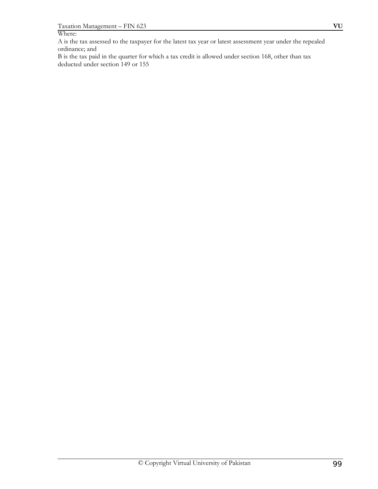### Where:

A is the tax assessed to the taxpayer for the latest tax year or latest assessment year under the repealed ordinance; and

B is the tax paid in the quarter for which a tax credit is allowed under section 168, other than tax deducted under section 149 or 155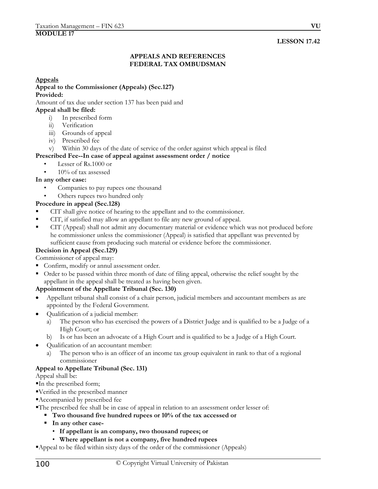# **LESSON 17.42**

## **APPEALS AND REFERENCES FEDERAL TAX OMBUDSMAN**

#### **Appeals**

#### **Appeal to the Commissioner (Appeals) (Sec.127) Provided:**

Amount of tax due under section 137 has been paid and

#### **Appeal shall be filed:**

- i) In prescribed form
- ii) Verification
- iii) Grounds of appeal
- iv) Prescribed fee
- v) Within 30 days of the date of service of the order against which appeal is filed

## **Prescribed Fee--In case of appeal against assessment order / notice**

- Lesser of Rs.1000 or
- 10% of tax assessed

# **In any other case:**

- Companies to pay rupees one thousand
- Others rupees two hundred only

## **Procedure in appeal (Sec.128)**

- CIT shall give notice of hearing to the appellant and to the commissioner.
- CIT, if satisfied may allow an appellant to file any new ground of appeal.
- CIT (Appeal) shall not admit any documentary material or evidence which was not produced before he commissioner unless the commissioner (Appeal) is satisfied that appellant was prevented by sufficient cause from producing such material or evidence before the commissioner.

## **Decision in Appeal (Sec.129)**

Commissioner of appeal may:

- Confirm, modify or annul assessment order.
- Order to be passed within three month of date of filing appeal, otherwise the relief sought by the appellant in the appeal shall be treated as having been given.

## **Appointment of the Appellate Tribunal (Sec. 130)**

- Appellant tribunal shall consist of a chair person, judicial members and accountant members as are appointed by the Federal Government.
- Qualification of a judicial member:
	- a) The person who has exercised the powers of a District Judge and is qualified to be a Judge of a High Court; or
	- b) Is or has been an advocate of a High Court and is qualified to be a Judge of a High Court.
- Qualification of an accountant member:
	- a) The person who is an officer of an income tax group equivalent in rank to that of a regional commissioner

## **Appeal to Appellate Tribunal (Sec. 131)**

Appeal shall be:

- In the prescribed form;
- Verified in the prescribed manner
- Accompanied by prescribed fee
- The prescribed fee shall be in case of appeal in relation to an assessment order lesser of:
	- **Two thousand five hundred rupees or 10% of the tax accessed or**
	- **In any other case-** 
		- **If appellant is an company, two thousand rupees; or**
		- **Where appellant is not a company, five hundred rupees**

Appeal to be filed within sixty days of the order of the commissioner (Appeals)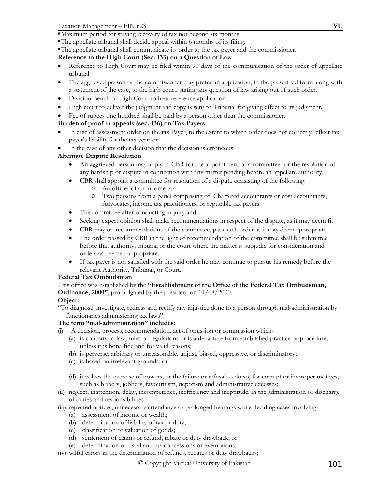- The appellate tribunal shall decide appeal within 6 months of its filing.
- The appellate tribunal shall communicate its order to the tax payer and the commissioner.

## **Reference to the High Court (Sec. 133) on a Question of Law**

- Reference to High Court may be filed within 90 days of the communication of the order of appellate tribunal.
- The aggrieved person or the commissioner may prefer an application, in the prescribed form along with a statement of the case, to the high court, stating any question of law arising out of such order.
- Division Bench of High Court to hear reference application.
- High court to deliver the judgment and copy is sent to Tribunal for giving effect to its judgment.
- Fee of rupees one hundred shall be paid by a person other than the commissioner.

## **Burden of proof in appeals (sec. 136) on Tax Payers:**

- In case of assessment order on the tax Payer, to the extent to which order does not correctly reflect tax payer's liability for the tax year; or
- In the case of any other decision that the decision is erroneous

## **Alternate Dispute Resolution**

- An aggrieved person may apply to CBR for the appointment of a committee for the resolution of any hardship or dispute in connection with any matter pending before an appellate authority
	- CBR shall appoint a committee for resolution of a dispute consisting of the following:
		- o An officer of an income tax
		- o Two persons from a panel comprising of Chartered accountants or cost accountants, Advocates, income tax practitioners, or reputable tax payers.
- The committee after conducting inquiry and
- Seeking expert opinion shall make recommendations in respect of the dispute, as it may deem fit.
- CBR may on recommendations of the committee, pass such order as it may deem appropriate.
- The order passed by CBR in the light of recommendation of the committee shall be submitted before that authority, tribunal or the court where the matter is subjudic for consideration and orders as deemed appropriate.
- If tax payer is not satisfied with the said order he may continue to pursue his remedy before the relevant Authority, Tribunal, or Court.

## **Federal Tax Ombudsman**

#### This office was established by the **"Establishment of the Office of the Federal Tax Ombudsman, Ordinance, 2000"**, promulgated by the president on 11/08/2000.

## **Object:**

"To diagnose, investigate, redress and rectify any injustice done to a person through mal-administration by functionaries administering tax laws".

## **The term "mal-administration" includes:**

- (i) A decision, process, recommendation, act of omission or commission which-
	- (a) is contrary to law, rules or regulations or is a departure from established practice or procedure, unless it is bona fide and for valid reasons;
	- (b) is perverse, arbitrary or unreasonable, unjust, biased, oppressive, or discriminatory;
	- (c) is based on irrelevant grounds; or
	- (d) involves the exercise of powers, or the failure or refusal to do so, for corrupt or improper motives, such as bribery, jobbery, favouritism, nepotism and administrative excesses;
- (ii) neglect, inattention, delay, incompetence, inefficiency and ineptitude, in the administration or discharge of duties and responsibilities;
- (iii) repeated notices, unnecessary attendance or prolonged hearings while deciding cases involving-
	- (a) assessment of income or wealth;
	- (b) determination of liability of tax or duty;
	- (c) classification or valuation of goods;
	- (d) settlement of claims or refund, rebate or duty drawback; or
	- (e) determination of fiscal and tax concessions or exemptions.
- (iv) wilful errors in the determination of refunds, rebates or duty drawbacks;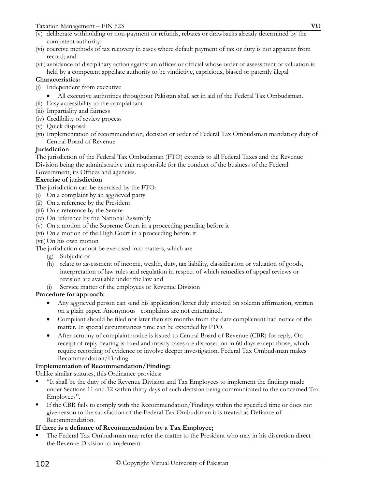- (vi) coercive methods of tax recovery in cases where default payment of tax or duty is not apparent from record; and
- (vii) avoidance of disciplinary action against an officer or official whose order of assessment or valuation is held by a competent appellate authority to be vindictive, capricious, biased or patently illegal

## **Characteristics:**

- (i) Independent from executive
	- All executive authorities throughout Pakistan shall act in aid of the Federal Tax Ombudsman.
- (ii) Easy accessibility to the complainant
- (iii) Impartiality and fairness
- (iv) Credibility of review process
- (v) Quick disposal
- (vi) Implementation of recommendation, decision or order of Federal Tax Ombudsman mandatory duty of Central Board of Revenue

# **Jurisdiction**

The jurisdiction of the Federal Tax Ombudsman (FTO) extends to all Federal Taxes and the Revenue Division being the administrative unit responsible for the conduct of the business of the Federal

## Government, its Offices and agencies.

# **Exercise of jurisdiction**

The jurisdiction can be exercised by the FTO:

- (i) On a complaint by an aggrieved party
- (ii) On a reference by the President
- (iii) On a reference by the Senate
- (iv) On reference by the National Assembly
- (v) On a motion of the Supreme Court in a proceeding pending before it
- (vi) On a motion of the High Court in a proceeding before it
- (vii)On his own motion

The jurisdiction cannot be exercised into matters, which are

- (g) Subjudic or
- (h) relate to assessment of income, wealth, duty, tax liability, classification or valuation of goods, interpretation of law rules and regulation in respect of which remedies of appeal reviews or revision are available under the law and
- (i) Service matter of the employees or Revenue Division

## **Procedure for approach:**

- Any aggrieved person can send his application/letter duly attested on solemn affirmation, written on a plain paper. Anonymous complaints are not entertained.
- Compliant should be filed not later than six months from the date complainant had notice of the matter. In special circumstances time can be extended by FTO.
- After scrutiny of complaint notice is issued to Central Board of Revenue (CBR) for reply. On receipt of reply hearing is fixed and mostly cases are disposed on in 60 days except those, which require recording of evidence or involve deeper investigation. Federal Tax Ombudsman makes Recommendation/Finding.

## **Implementation of Recommendation/Finding:**

Unlike similar statutes, this Ordinance provides:

- "It shall be the duty of the Revenue Division and Tax Employees to implement the findings made under Sections 11 and 12 within thirty days of such decision being communicated to the concerned Tax Employees".
- If the CBR fails to comply with the Recommendation/Findings within the specified time or does not give reason to the satisfaction of the Federal Tax Ombudsman it is treated as Defiance of Recommendation.

## **If there is a defiance of Recommendation by a Tax Employee;**

 The Federal Tax Ombudsman may refer the matter to the President who may in his discretion direct the Revenue Division to implement.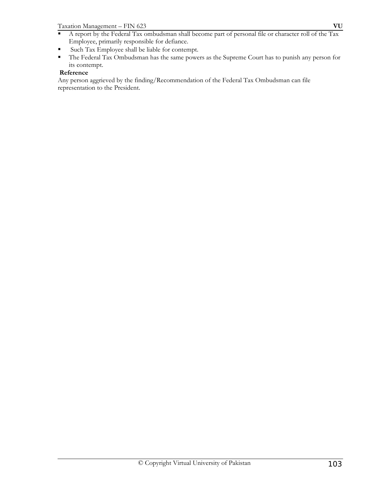Taxation Management – FIN 623 **VU**

- A report by the Federal Tax ombudsman shall become part of personal file or character roll of the Tax Employee, primarily responsible for defiance.
- Such Tax Employee shall be liable for contempt.
- The Federal Tax Ombudsman has the same powers as the Supreme Court has to punish any person for its contempt.

## **Reference**

Any person aggrieved by the finding/Recommendation of the Federal Tax Ombudsman can file representation to the President.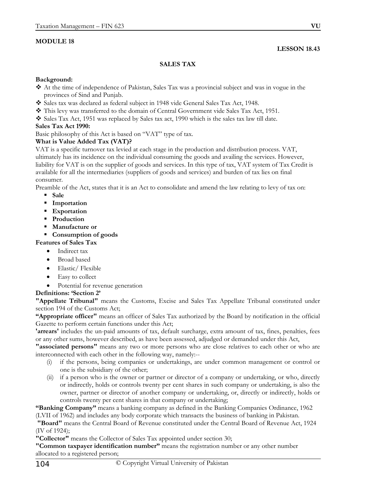## **MODULE 18**

## **LESSON 18.43**

## **SALES TAX**

## **Background:**

- At the time of independence of Pakistan, Sales Tax was a provincial subject and was in vogue in the provinces of Sind and Punjab.
- Sales tax was declared as federal subject in 1948 vide General Sales Tax Act, 1948.
- This levy was transferred to the domain of Central Government vide Sales Tax Act, 1951.
- Sales Tax Act, 1951 was replaced by Sales tax act, 1990 which is the sales tax law till date.

## **Sales Tax Act 1990:**

Basic philosophy of this Act is based on "VAT" type of tax.

## **What is Value Added Tax (VAT)?**

VAT is a specific turnover tax levied at each stage in the production and distribution process. VAT, ultimately has its incidence on the individual consuming the goods and availing the services. However, liability for VAT is on the supplier of goods and services. In this type of tax, VAT system of Tax Credit is available for all the intermediaries (suppliers of goods and services) and burden of tax lies on final consumer.

Preamble of the Act, states that it is an Act to consolidate and amend the law relating to levy of tax on:

- **Sale**
- **Importation**
- **Exportation**
- **Production**
- **Manufacture or**

# **Consumption of goods**

- **Features of Sales Tax** 
	- Indirect tax
	- Broad based
	- Elastic/ Flexible
	- Easy to collect
	- Potential for revenue generation

## **Definitions: 'Section 2'**

**"Appellate Tribunal"** means the Customs, Excise and Sales Tax Appellate Tribunal constituted under section 194 of the Customs Act;

**"Appropriate officer"** means an officer of Sales Tax authorized by the Board by notification in the official Gazette to perform certain functions under this Act;

**'arrears'** includes the un-paid amounts of tax, default surcharge, extra amount of tax, fines, penalties, fees or any other sums, however described, as have been assessed, adjudged or demanded under this Act,

**"associated persons"** means any two or more persons who are close relatives to each other or who are interconnected with each other in the following way, namely:--

- (i) if the persons, being companies or undertakings, are under common management or control or one is the subsidiary of the other;
- (ii) if a person who is the owner or partner or director of a company or undertaking, or who, directly or indirectly, holds or controls twenty per cent shares in such company or undertaking, is also the owner, partner or director of another company or undertaking, or, directly or indirectly, holds or controls twenty per cent shares in that company or undertaking;

**"Banking Company"** means a banking company as defined in the Banking Companies Ordinance, 1962 (LVII of 1962) and includes any body corporate which transacts the business of banking in Pakistan.

 **"Board"** means the Central Board of Revenue constituted under the Central Board of Revenue Act, 1924 (IV of 1924);

**"Collector"** means the Collector of Sales Tax appointed under section 30;

**"Common taxpayer identification number"** means the registration number or any other number allocated to a registered person;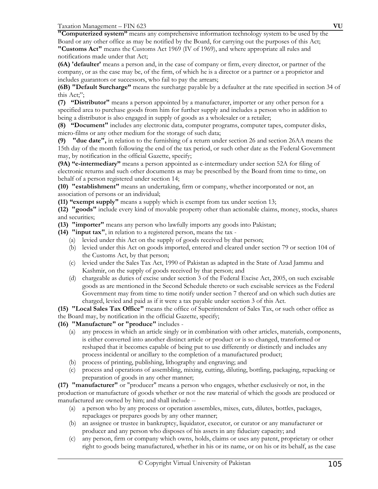Taxation Management – FIN 623 **VU**

**"Computerized system"** means any comprehensive information technology system to be used by the Board or any other office as may be notified by the Board, for carrying out the purposes of this Act; **"Customs Act"** means the Customs Act 1969 (IV of 1969), and where appropriate all rules and notifications made under that Act;

**(6A) 'defaulter'** means a person and, in the case of company or firm, every director, or partner of the company, or as the case may be, of the firm, of which he is a director or a partner or a proprietor and includes guarantors or successors, who fail to pay the arrears;

**(6B) "Default Surcharge"** means the surcharge payable by a defaulter at the rate specified in section 34 of this Act;";

**(7) "Distributor"** means a person appointed by a manufacturer, importer or any other person for a specified area to purchase goods from him for further supply and includes a person who in addition to being a distributor is also engaged in supply of goods as a wholesaler or a retailer;

**(8) "Document"** includes any electronic data, computer programs, computer tapes, computer disks, micro-films or any other medium for the storage of such data;

**(9) "due date",** in relation to the furnishing of a return under section 26 and section 26AA means the 15th day of the month following the end of the tax period, or such other date as the Federal Government may, by notification in the official Gazette, specify;

**(9A) "e-intermediary"** means a person appointed as e-intermediary under section 52A for filing of electronic returns and such other documents as may be prescribed by the Board from time to time, on behalf of a person registered under section 14;

**(10) "establishment"** means an undertaking, firm or company, whether incorporated or not, an association of persons or an individual;

**(11) "exempt supply"** means a supply which is exempt from tax under section 13;

**(12) "goods"** include every kind of movable property other than actionable claims, money, stocks, shares and securities;

**(13) "importer"** means any person who lawfully imports any goods into Pakistan;

- **(14) "input tax"**, in relation to a registered person, means the tax
	- (a) levied under this Act on the supply of goods received by that person;
	- (b) levied under this Act on goods imported, entered and cleared under section 79 or section 104 of the Customs Act, by that person;
	- (c) levied under the Sales Tax Act, 1990 of Pakistan as adapted in the State of Azad Jammu and Kashmir, on the supply of goods received by that person; and
	- (d) chargeable as duties of excise under section 3 of the Federal Excise Act, 2005, on such excisable goods as are mentioned in the Second Schedule thereto or such excisable services as the Federal Government may from time to time notify under section 7 thereof and on which such duties are charged, levied and paid as if it were a tax payable under section 3 of this Act.

**(15) "Local Sales Tax Office"** means the office of Superintendent of Sales Tax, or such other office as the Board may, by notification in the official Gazette, specify;

**(16) "Manufacture" or "produce"** includes -

- (a) any process in which an article singly or in combination with other articles, materials, components, is either converted into another distinct article or product or is so changed, transformed or reshaped that it becomes capable of being put to use differently or distinctly and includes any process incidental or ancillary to the completion of a manufactured product;
- (b) process of printing, publishing, lithography and engraving; and
- (c) process and operations of assembling, mixing, cutting, diluting, bottling, packaging, repacking or preparation of goods in any other manner;

**(17) "manufacturer"** or "producer" means a person who engages, whether exclusively or not, in the production or manufacture of goods whether or not the raw material of which the goods are produced or manufactured are owned by him; and shall include --

- (a) a person who by any process or operation assembles, mixes, cuts, dilutes, bottles, packages, repackages or prepares goods by any other manner;
- (b) an assignee or trustee in bankruptcy, liquidator, executor, or curator or any manufacturer or producer and any person who disposes of his assets in any fiduciary capacity; and
- (c) any person, firm or company which owns, holds, claims or uses any patent, proprietary or other right to goods being manufactured, whether in his or its name, or on his or its behalf, as the case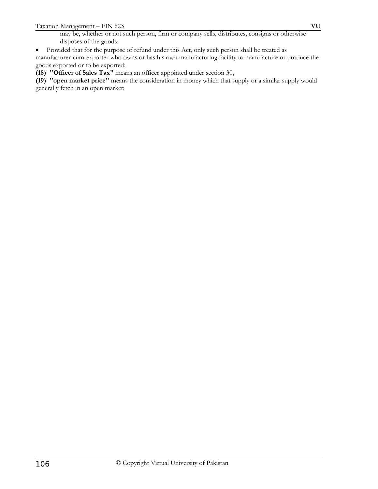may be, whether or not such person, firm or company sells, distributes, consigns or otherwise disposes of the goods:

• Provided that for the purpose of refund under this Act, only such person shall be treated as

manufacturer-cum-exporter who owns or has his own manufacturing facility to manufacture or produce the goods exported or to be exported;

**(18) "Officer of Sales Tax"** means an officer appointed under section 30,

**(19) "open market price"** means the consideration in money which that supply or a similar supply would generally fetch in an open market;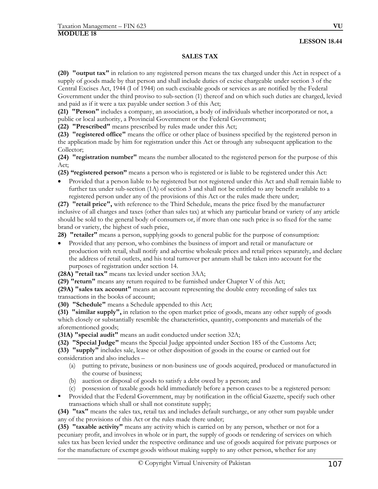## **LESSON 18.44**

# **SALES TAX**

**(20) "output tax"** in relation to any registered person means the tax charged under this Act in respect of a supply of goods made by that person and shall include duties of excise chargeable under section 3 of the Central Excises Act, 1944 (I of 1944) on such excisable goods or services as are notified by the Federal Government under the third proviso to sub-section (1) thereof and on which such duties are charged, levied and paid as if it were a tax payable under section 3 of this Act;

**(21) "Person"** includes a company, an association, a body of individuals whether incorporated or not, a public or local authority, a Provincial Government or the Federal Government;

**(22) "Prescribed"** means prescribed by rules made under this Act;

**(23) "registered office"** means the office or other place of business specified by the registered person in the application made by him for registration under this Act or through any subsequent application to the Collector;

**(24) "registration number"** means the number allocated to the registered person for the purpose of this Act;

**(25) "registered person"** means a person who is registered or is liable to be registered under this Act:

• Provided that a person liable to be registered but not registered under this Act and shall remain liable to further tax under sub-section (1A) of section 3 and shall not be entitled to any benefit available to a registered person under any of the provisions of this Act or the rules made there under;

**(27) "retail price",** with reference to the Third Schedule, means the price fixed by the manufacturer inclusive of all charges and taxes (other than sales tax) at which any particular brand or variety of any article should be sold to the general body of consumers or, if more than one such price is so fixed for the same brand or variety, the highest of such price,

**28) "retailer"** means a person, supplying goods to general public for the purpose of consumption:

• Provided that any person, who combines the business of import and retail or manufacture or production with retail, shall notify and advertise wholesale prices and retail prices separately, and declare the address of retail outlets, and his total turnover per annum shall be taken into account for the purposes of registration under section 14.

**(28A) "retail tax"** means tax levied under section 3AA;

**(29) "return"** means any return required to be furnished under Chapter V of this Act;

**(29A) "sales tax account"** means an account representing the double entry recording of sales tax transactions in the books of account;

**(30) "Schedule"** means a Schedule appended to this Act;

**(31) "similar supply",** in relation to the open market price of goods, means any other supply of goods which closely or substantially resemble the characteristics, quantity, components and materials of the aforementioned goods;

**(31A) "special audit"** means an audit conducted under section 32A;

**(32) "Special Judge"** means the Special Judge appointed under Section 185 of the Customs Act; **(33) "supply"** includes sale, lease or other disposition of goods in the course or carried out for consideration and also includes –

- (a) putting to private, business or non-business use of goods acquired, produced or manufactured in the course of business;
- (b) auction or disposal of goods to satisfy a debt owed by a person; and
- (c) possession of taxable goods held immediately before a person ceases to be a registered person:
- **Provided that the Federal Government, may by notification in the official Gazette, specify such other** transactions which shall or shall not constitute supply;

**(34) "tax"** means the sales tax, retail tax and includes default surcharge, or any other sum payable under any of the provisions of this Act or the rules made there under;

**(35) "taxable activity"** means any activity which is carried on by any person, whether or not for a pecuniary profit, and involves in whole or in part, the supply of goods or rendering of services on which sales tax has been levied under the respective ordinance and use of goods acquired for private purposes or for the manufacture of exempt goods without making supply to any other person, whether for any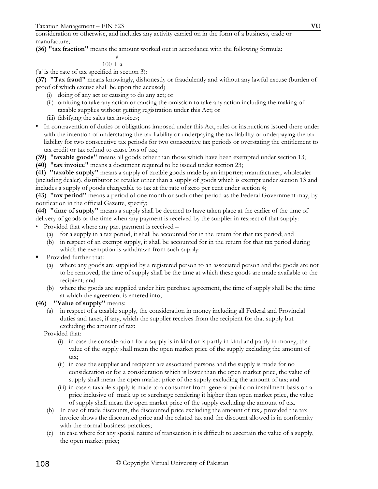consideration or otherwise, and includes any activity carried on in the form of a business, trade or manufacture;

**(36) "tax fraction"** means the amount worked out in accordance with the following formula:

$$
\begin{array}{c}\n a \\
100 + a\n\end{array}
$$

('a' is the rate of tax specified in section 3):

**(37) "Tax fraud"** means knowingly, dishonestly or fraudulently and without any lawful excuse (burden of proof of which excuse shall be upon the accused)

(i) doing of any act or causing to do any act; or

- (ii) omitting to take any action or causing the omission to take any action including the making of taxable supplies without getting registration under this Act; or
- (iii) falsifying the sales tax invoices;
- In contravention of duties or obligations imposed under this Act, rules or instructions issued there under with the intention of understating the tax liability or underpaying the tax liability or underpaying the tax liability for two consecutive tax periods for two consecutive tax periods or overstating the entitlement to tax credit or tax refund to cause loss of tax;

**(39) "taxable goods"** means all goods other than those which have been exempted under section 13;

**(40) "tax invoice"** means a document required to be issued under section 23;

**(41) "taxable supply"** means a supply of taxable goods made by an importer; manufacturer, wholesaler (including dealer), distributor or retailer other than a supply of goods which is exempt under section 13 and includes a supply of goods chargeable to tax at the rate of zero per cent under section 4;

**(43) "tax period"** means a period of one month or such other period as the Federal Government may, by notification in the official Gazette, specify;

**(44) "time of supply"** means a supply shall be deemed to have taken place at the earlier of the time of delivery of goods or the time when any payment is received by the supplier in respect of that supply:

- Provided that where any part payment is received
	- (a) for a supply in a tax period, it shall be accounted for in the return for that tax period; and
	- (b) in respect of an exempt supply, it shall be accounted for in the return for that tax period during which the exemption is withdrawn from such supply:
- Provided further that:
	- (a) where any goods are supplied by a registered person to an associated person and the goods are not to be removed, the time of supply shall be the time at which these goods are made available to the recipient; and
	- (b) where the goods are supplied under hire purchase agreement, the time of supply shall be the time at which the agreement is entered into;

## **(46) "Value of supply"** means;

(a) in respect of a taxable supply, the consideration in money including all Federal and Provincial duties and taxes, if any, which the supplier receives from the recipient for that supply but excluding the amount of tax:

Provided that:

- (i) in case the consideration for a supply is in kind or is partly in kind and partly in money, the value of the supply shall mean the open market price of the supply excluding the amount of tax;
- (ii) in case the supplier and recipient are associated persons and the supply is made for no consideration or for a consideration which is lower than the open market price, the value of supply shall mean the open market price of the supply excluding the amount of tax; and
- (iii) in case a taxable supply is made to a consumer from general public on installment basis on a price inclusive of mark up or surcharge rendering it higher than open market price, the value of supply shall mean the open market price of the supply excluding the amount of tax.
- (b) In case of trade discounts, the discounted price excluding the amount of tax,. provided the tax invoice shows the discounted price and the related tax and the discount allowed is in conformity with the normal business practices;
- (c) in case where for any special nature of transaction it is difficult to ascertain the value of a supply, the open market price;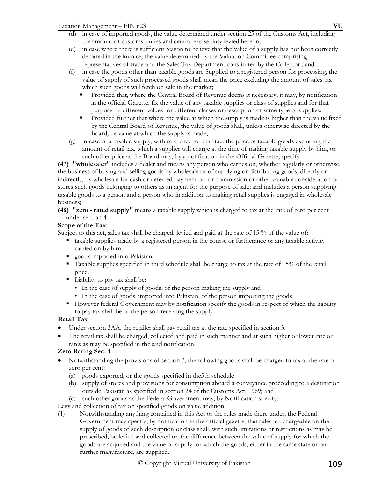- in case of imported goods, the value determined under section 25 of the Customs Act, including the amount of customs-duties and central excise duty levied hereon;
- (e) in case where there is sufficient reason to believe that the value of a supply has not been correctly declared in the invoice, the value determined by the Valuation Committee comprising representatives of trade and the Sales Tax Department constituted by the Collector ; and
- (f) in case the goods other than taxable goods are Supplied to a registered person for processing, the value of supply of such processed goods shall mean the price excluding the amount of sales tax which such goods will fetch on sale in the market;
	- Provided that, where the Central Board of Revenue deems it necessary, it may, by notification in the official Gazette, fix the value of any taxable supplies or class of supplies and for that purpose fix different values for different classes or description of same type of supplies:
	- Provided further that where the value at which the supply is made is higher than the value fixed by the Central Board of Revenue, the value of goods shall, unless otherwise directed by the Board, be value at which the supply is made;
- (g) in case of a taxable supply, with reference to retail tax, the price of taxable goods excluding the amount of retail tax, which a supplier will charge at the time of making taxable supply by him, or such other price as the Board may, by a notification in the Official Gazette, specify.

**(47) "wholesaler"** includes a dealer and means any person who carries on, whether regularly or otherwise, the business of buying and selling goods by wholesale or of supplying or distributing goods, directly or indirectly, by wholesale for cash or deferred payment or for commission or other valuable consideration or stores such goods belonging to others as an agent for the purpose of sale; and includes a person supplying taxable goods to a person and a person who in addition to making retail supplies is engaged in wholesale business;

**(48) "zero - rated supply"** means a taxable supply which is charged to tax at the rate of zero per cent under section 4

# **Scope of the Tax:**

Subject to this act, sales tax shall be charged, levied and paid at the rate of 15 % of the value of:

- taxable supplies made by a registered person in the course or furtherance or any taxable activity carried on by him;
- goods imported into Pakistan
- Taxable supplies specified in third schedule shall be charge to tax at the rate of 15% of the retail price.
- Liability to pay tax shall be:
	- In the case of supply of goods, of the person making the supply and
	- In the case of goods, imported into Pakistan, of the person importing the goods
- However federal Government may by notification specify the goods in respect of which the liability to pay tax shall be of the person receiving the supply

# **Retail Tax**

- Under section 3AA, the retailer shall pay retail tax at the rate specified in section 3.
- The retail tax shall be charged, collected and paid in such manner and at such higher or lower rate or rates as may be specified in the said notification.

# **Zero Rating Sec. 4**

- Notwithstanding the provisions of section 3, the following goods shall be charged to tax at the rate of zero per cent:
	- (a) goods exported, or the goods specified in the5th schedule
	- (b) supply of stores and provisions for consumption aboard a conveyance proceeding to a destination outside Pakistan as specified in section 24 of the Customs Act, 1969; and
	- (c) such other goods as the Federal Government may, by Notification specify:
- Levy and collection of tax on specified goods on value addition
- (1) Notwithstanding anything contained in this Act or the rules made there under, the Federal Government may specify, by notification in the official gazette, that sales tax chargeable on the supply of goods of such description or class shall, with such limitations or restrictions as may be prescribed, be levied and collected on the difference between the value of supply for which the goods are acquired and the value of supply for which the goods, either in the same state or on further manufacture, are supplied.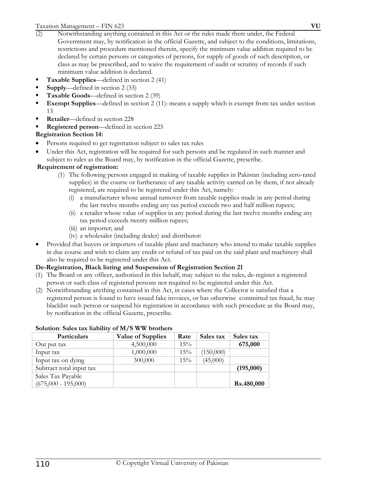- minimum value addition is declared. **Taxable Supplies**—defined in section 2 (41)
- **Supply**—defined in section 2 (33)
- **Taxable Goods**—defined in section 2 (39)
- **Exempt Supplies—defined in section 2 (11): means a supply which is exempt from tax under section** 13
- **Retailer**—defined in section 228
- **Registered person**—defined in section 225

# **Registration Section 14:**

- Persons required to get registration subject to sales tax rules
- Under this Act, registration will be required for such persons and be regulated in such manner and subject to rules as the Board may, by notification in the official Gazette, prescribe.

## **Requirement of registration:**

- (1) The following persons engaged in making of taxable supplies in Pakistan (including zero-rated supplies) in the course or furtherance of any taxable activity carried on by them, if not already registered, are required to be registered under this Act, namely:
	- (i) a manufacturer whose annual turnover from taxable supplies made in any period during the last twelve months ending any tax period exceeds two and half million rupees;
	- (ii) a retailer whose value of supplies in any period during the last twelve months ending any tax period exceeds twenty million rupees;
	- (iii) an importer; and
	- (iv) a wholesaler (including dealer) and distributor:
- Provided that buyers or importers of taxable plant and machinery who intend to make taxable supplies in due course and wish to claim any credit or refund of tax paid on the said plant and machinery shall also be required to be registered under this Act.

## **De-Registration, Black listing and Suspension of Registration Section 21**

- (1) The Board or any officer, authorized in this behalf, may subject to the rules, de-register a registered person or such class of registered persons not required to be registered under this Act.
- (2) Notwithstanding anything contained in this Act, in cases where the Collector is satisfied that a registered person is found to have issued fake invoices, or has otherwise committed tax fraud, he may blacklist such person or suspend his registration in accordance with such procedure as the Board may, by notification in the official Gazette, prescribe.

| <b>Value of Supplies</b> | Rate   | Sales tax | Sales tax  |  |
|--------------------------|--------|-----------|------------|--|
| 4,500,000                | $15\%$ |           | 675,000    |  |
| 1,000,000                | $15\%$ | (150,000) |            |  |
| 300,000                  | $15\%$ | (45,000)  |            |  |
|                          |        |           | (195,000)  |  |
|                          |        |           |            |  |
|                          |        |           | Rs.480,000 |  |
|                          |        |           |            |  |

### **Solution**: **Sales tax liability of M/S WW brothers**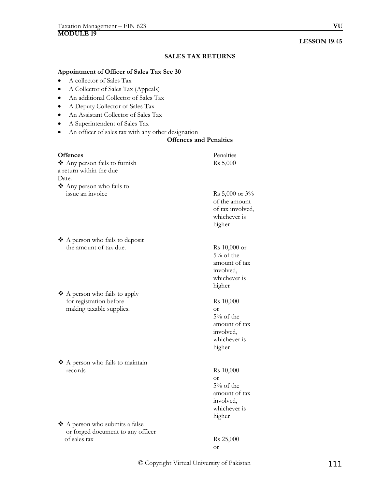## **LESSON 19.45**

## **SALES TAX RETURNS**

#### **Appointment of Officer of Sales Tax Sec 30**

- A collector of Sales Tax
- A Collector of Sales Tax (Appeals)
- An additional Collector of Sales Tax
- A Deputy Collector of Sales Tax
- An Assistant Collector of Sales Tax
- A Superintendent of Sales Tax
- An officer of sales tax with any other designation

## **Offences and Penalties**

| Offences                          | Penalties                                                                                    |
|-----------------------------------|----------------------------------------------------------------------------------------------|
| Any person fails to furnish       | Rs 5,000                                                                                     |
| a return within the due           |                                                                                              |
| Date.                             |                                                                                              |
| ❖ Any person who fails to         |                                                                                              |
| issue an invoice                  | Rs 5,000 or $3\%$<br>of the amount<br>of tax involved,<br>whichever is<br>higher             |
| ❖ A person who fails to deposit   |                                                                                              |
| the amount of tax due.            | Rs 10,000 or<br>$5%$ of the<br>amount of tax<br>involved,<br>whichever is<br>higher          |
| ❖ A person who fails to apply     |                                                                                              |
| for registration before           | Rs 10,000                                                                                    |
| making taxable supplies.          | <b>or</b><br>$5%$ of the<br>amount of tax<br>involved,<br>whichever is<br>higher             |
| ❖ A person who fails to maintain  |                                                                                              |
| records                           | Rs 10,000<br>$\alpha$ r<br>5% of the<br>amount of tax<br>involved,<br>whichever is<br>higher |
| ❖ A person who submits a false    |                                                                                              |
| or forged document to any officer |                                                                                              |
| of sales tax                      | Rs 25,000<br><b>or</b>                                                                       |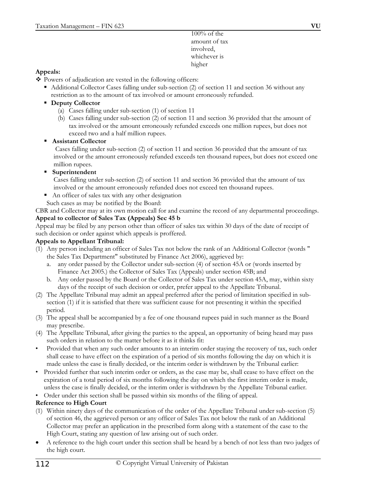100% of the amount of tax involved, whichever is higher

## **Appeals:**

• Powers of adjudication are vested in the following officers:

- Additional Collector Cases falling under sub-section (2) of section 11 and section 36 without any restriction as to the amount of tax involved or amount erroneously refunded.
- **Deputy Collector** 
	- (a) Cases falling under sub-section (1) of section 11
	- (b) Cases falling under sub-section (2) of section 11 and section 36 provided that the amount of tax involved or the amount erroneously refunded exceeds one million rupees, but does not exceed two and a half million rupees.
- **Assistant Collector**

 Cases falling under sub-section (2) of section 11 and section 36 provided that the amount of tax involved or the amount erroneously refunded exceeds ten thousand rupees, but does not exceed one million rupees.

**Superintendent** 

 Cases falling under sub-section (2) of section 11 and section 36 provided that the amount of tax involved or the amount erroneously refunded does not exceed ten thousand rupees.

- An officer of sales tax with any other designation
- Such cases as may be notified by the Board:

CBR and Collector may at its own motion call for and examine the record of any departmental proceedings. **Appeal to collector of Sales Tax (Appeals) Sec 45 b** 

Appeal may be filed by any person other than officer of sales tax within 30 days of the date of receipt of such decision or order against which appeals is proffered.

## **Appeals to Appellant Tribunal:**

- (1) Any person including an officer of Sales Tax not below the rank of an Additional Collector (words " the Sales Tax Department" substituted by Finance Act 2006), aggrieved by:
	- a. any order passed by the Collector under sub-section (4) of section 45A or (words inserted by Finance Act 2005.) the Collector of Sales Tax (Appeals) under section 45B; and
	- b. Any order passed by the Board or the Collector of Sales Tax under section 45A, may, within sixty days of the receipt of such decision or order, prefer appeal to the Appellate Tribunal.
- (2) The Appellate Tribunal may admit an appeal preferred after the period of limitation specified in subsection (1) if it is satisfied that there was sufficient cause for not presenting it within the specified period.
- (3) The appeal shall be accompanied by a fee of one thousand rupees paid in such manner as the Board may prescribe.
- (4) The Appellate Tribunal, after giving the parties to the appeal, an opportunity of being heard may pass such orders in relation to the matter before it as it thinks fit:
- Provided that when any such order amounts to an interim order staying the recovery of tax, such order shall cease to have effect on the expiration of a period of six months following the day on which it is made unless the case is finally decided, or the interim order is withdrawn by the Tribunal earlier:
- Provided further that such interim order or orders, as the case may be, shall cease to have effect on the expiration of a total period of six months following the day on which the first interim order is made, unless the case is finally decided, or the interim order is withdrawn by the Appellate Tribunal earlier.
- Order under this section shall be passed within six months of the filing of appeal.

## **Reference to High Court**

- (1) Within ninety days of the communication of the order of the Appellate Tribunal under sub-section (5) of section 46, the aggrieved person or any officer of Sales Tax not below the rank of an Additional Collector may prefer an application in the prescribed form along with a statement of the case to the High Court, stating any question of law arising out of such order.
- A reference to the high court under this section shall be heard by a bench of not less than two judges of the high court.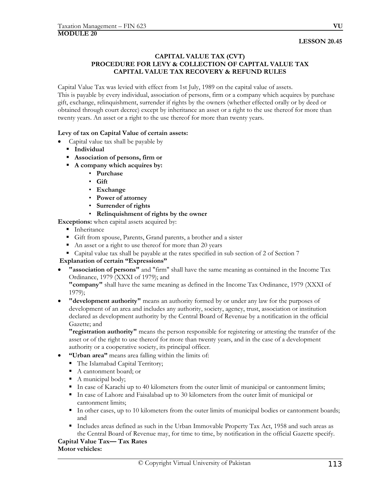## **CAPITAL VALUE TAX (CVT) PROCEDURE FOR LEVY & COLLECTION OF CAPITAL VALUE TAX CAPITAL VALUE TAX RECOVERY & REFUND RULES**

Capital Value Tax was levied with effect from 1st July, 1989 on the capital value of assets. This is payable by every individual, association of persons, firm or a company which acquires by purchase gift, exchange, relinquishment, surrender if rights by the owners (whether effected orally or by deed or obtained through court decree) except by inheritance an asset or a right to the use thereof for more than twenty years. An asset or a right to the use thereof for more than twenty years.

### **Levy of tax on Capital Value of certain assets:**

- Capital value tax shall be payable by
	- **Individual**
	- **Association of persons, firm or**
	- **A company which acquires by:** 
		- **Purchase**
		- **Gift**
		- **Exchange**
		- **Power of attorney**
		- **Surrender of rights**

### • **Relinquishment of rights by the owner**

- **Exceptions:** when capital assets acquired by:
	- **Inheritance**
	- Gift from spouse, Parents, Grand parents, a brother and a sister
	- An asset or a right to use thereof for more than 20 years
	- Capital value tax shall be payable at the rates specified in sub section of 2 of Section 7

### **Explanation of certain "Expressions"**

• **"association of persons"** and "firm" shall have the same meaning as contained in the Income Tax Ordinance, 1979 (XXXI of 1979); and

**"company"** shall have the same meaning as defined in the Income Tax Ordinance, 1979 (XXXI of 1979);

• **"development authority"** means an authority formed by or under any law for the purposes of development of an area and includes any authority, society, agency, trust, association or institution declared as development authority by the Central Board of Revenue by a notification in the official Gazette; and

**"registration authority"** means the person responsible for registering or attesting the transfer of the asset or of the right to use thereof for more than twenty years, and in the case of a development authority or a cooperative society, its principal officer.

- **"Urban area"** means area falling within the limits of:
	- The Islamabad Capital Territory;
	- A cantonment board; or
	- A municipal body;
	- In case of Karachi up to 40 kilometers from the outer limit of municipal or cantonment limits;
	- In case of Lahore and Faisalabad up to 30 kilometers from the outer limit of municipal or cantonment limits;
	- In other cases, up to 10 kilometers from the outer limits of municipal bodies or cantonment boards; and
	- Includes areas defined as such in the Urban Immovable Property Tax Act, 1958 and such areas as the Central Board of Revenue may, for time to time, by notification in the official Gazette specify.

#### **Capital Value Tax— Tax Rates Motor vehicles:**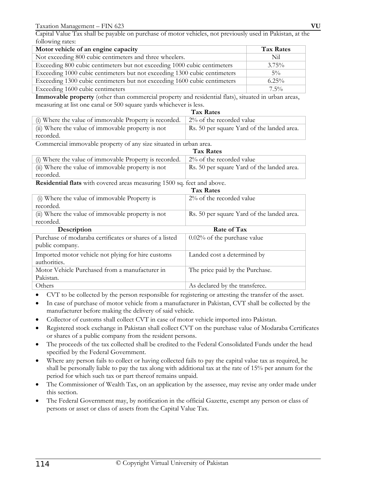Capital Value Tax shall be payable on purchase of motor vehicles, not previously used in Pakistan, at the following rates:

| Motor vehicle of an engine capacity                                       | <b>Tax Rates</b> |
|---------------------------------------------------------------------------|------------------|
| Not exceeding 800 cubic centimeters and three wheelers.                   | Nil              |
| Exceeding 800 cubic centimeters but not exceeding 1000 cubic centimeters  | $3.75\%$         |
| Exceeding 1000 cubic centimeters but not exceeding 1300 cubic centimeters | $5\%$            |
| Exceeding 1300 cubic centimeters but not exceeding 1600 cubic centimeters | $6.25\%$         |
| Exceeding 1600 cubic centimeters                                          | $7.5\%$          |

**Immovable property** (other than commercial property and residential flats), situated in urban areas, measuring at list one canal or 500 square yards whichever is less.

|                                                        | <b>Tax Rates</b>                           |
|--------------------------------------------------------|--------------------------------------------|
| (i) Where the value of immovable Property is recorded. | $2\%$ of the recorded value                |
| (ii) Where the value of immovable property is not      | Rs. 50 per square Yard of the landed area. |
| recorded.                                              |                                            |

Commercial immovable property of any size situated in urban area.

|                                                                                                                                                                                                                                                                                                                                             | <b>Tax Rates</b>                           |  |
|---------------------------------------------------------------------------------------------------------------------------------------------------------------------------------------------------------------------------------------------------------------------------------------------------------------------------------------------|--------------------------------------------|--|
| (i) Where the value of immovable Property is recorded.                                                                                                                                                                                                                                                                                      | $2\%$ of the recorded value                |  |
| (ii) Where the value of immovable property is not                                                                                                                                                                                                                                                                                           | Rs. 50 per square Yard of the landed area. |  |
| recorded.                                                                                                                                                                                                                                                                                                                                   |                                            |  |
| $\mathbf{D}$ $\mathbf{I}$ $\mathbf{I}$ $\mathbf{A}$ $\mathbf{I}$ $\mathbf{I}$ $\mathbf{I}$ $\mathbf{I}$ $\mathbf{I}$ $\mathbf{I}$ $\mathbf{I}$ $\mathbf{I}$ $\mathbf{I}$ $\mathbf{I}$ $\mathbf{I}$ $\mathbf{I}$ $\mathbf{I}$ $\mathbf{I}$ $\mathbf{I}$ $\mathbf{I}$ $\mathbf{I}$ $\mathbf{I}$ $\mathbf{I}$ $\mathbf{I}$ $\mathbf{$<br>1.500 |                                            |  |

**Residential flats** with covered areas measuring 1500 sq. feet and above.

| <b>Tax Rates</b>                                        |                                            |  |
|---------------------------------------------------------|--------------------------------------------|--|
| (i) Where the value of immovable Property is            | $2\%$ of the recorded value                |  |
| recorded.                                               |                                            |  |
| (ii) Where the value of immovable property is not       | Rs. 50 per square Yard of the landed area. |  |
| recorded.                                               |                                            |  |
| Description                                             | Rate of Tax                                |  |
| Purchase of modaraba certificates or shares of a listed | $0.02\%$ of the purchase value             |  |
| public company.                                         |                                            |  |
| Imported motor vehicle not plying for hire customs      | Landed cost a determined by                |  |
| authorities.                                            |                                            |  |
| Motor Vehicle Purchased from a manufacturer in          | The price paid by the Purchase.            |  |
| Pakistan.                                               |                                            |  |
| Others                                                  | As declared by the transferee.             |  |

- CVT to be collected by the person responsible for registering or attesting the transfer of the asset.
- In case of purchase of motor vehicle from a manufacturer in Pakistan, CVT shall be collected by the manufacturer before making the delivery of said vehicle.
- Collector of customs shall collect CVT in case of motor vehicle imported into Pakistan.
- Registered stock exchange in Pakistan shall collect CVT on the purchase value of Modaraba Certificates or shares of a public company from the resident persons.
- The proceeds of the tax collected shall be credited to the Federal Consolidated Funds under the head specified by the Federal Government.
- Where any person fails to collect or having collected fails to pay the capital value tax as required, he shall be personally liable to pay the tax along with additional tax at the rate of 15% per annum for the period for which such tax or part thereof remains unpaid.
- The Commissioner of Wealth Tax, on an application by the assessee, may revise any order made under this section.
- The Federal Government may, by notification in the official Gazette, exempt any person or class of persons or asset or class of assets from the Capital Value Tax.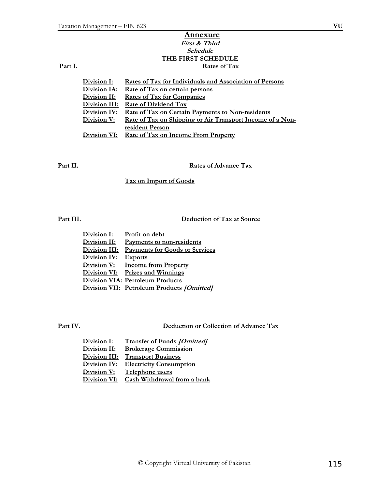## **Annexure First & Third Schedule THE FIRST SCHEDULE** Part I. Rates of Tax

| Division I:  | Rates of Tax for Individuals and Association of Persons   |
|--------------|-----------------------------------------------------------|
| Division IA: | <u>Rate of Tax on certain persons</u>                     |
| Division II: | <b>Rates of Tax for Companies</b>                         |
|              | Division III: Rate of Dividend Tax                        |
| Division IV: | <b>Rate of Tax on Certain Payments to Non-residents</b>   |
| Division V:  | Rate of Tax on Shipping or Air Transport Income of a Non- |
|              | resident Person                                           |
| Division VI: | <b>Rate of Tax on Income From Property</b>                |

**Part II. Rates of Advance Tax**

**Tax on Import of Goods**

**Part III. Deduction of Tax at Source**

| Division I:   | Profit on debt                             |
|---------------|--------------------------------------------|
| Division II:  | Payments to non-residents                  |
| Division III: | <b>Payments for Goods or Services</b>      |
| Division IV:  | <b>Exports</b>                             |
| Division V:   | <b>Income from Property</b>                |
|               | Division VI: Prizes and Winnings           |
|               | <b>Division VIA: Petroleum Products</b>    |
|               | Division VII: Petroleum Products [Omitted] |

**Part IV. Deduction or Collection of Advance Tax**

| Division I:          | Transfer of Funds [Omitted]    |
|----------------------|--------------------------------|
| <u>Division II:</u>  | <b>Brokerage Commission</b>    |
| <u>Division III:</u> | <b>Transport Business</b>      |
| Division IV:         | <b>Electricity Consumption</b> |
| <u>Division V:</u>   | Telephone users                |
| Division VI:         | Cash Withdrawal from a bank    |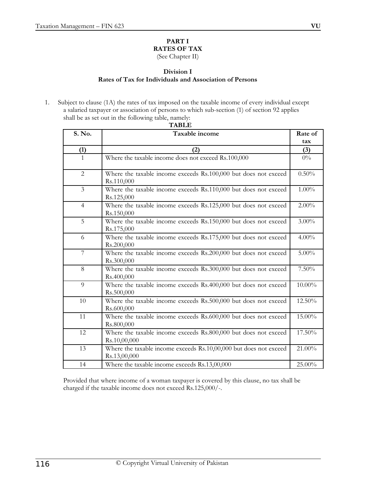# **PART I RATES OF TAX**

(See Chapter II)

## **Division I Rates of Tax for Individuals and Association of Persons**

1. Subject to clause (1A) the rates of tax imposed on the taxable income of every individual except a salaried taxpayer or association of persons to which sub-section (1) of section 92 applies shall be as set out in the following table, namely:

| IADLL<br>Rate of |                                                                                   |          |  |  |
|------------------|-----------------------------------------------------------------------------------|----------|--|--|
| S. No.           | Taxable income                                                                    |          |  |  |
|                  |                                                                                   |          |  |  |
| (1)              | (2)                                                                               | (3)      |  |  |
| $\mathbf{1}$     | Where the taxable income does not exceed Rs.100,000                               | $0\%$    |  |  |
| $\overline{2}$   | Where the taxable income exceeds Rs.100,000 but does not exceed<br>Rs.110,000     | 0.50%    |  |  |
| $\overline{3}$   | Where the taxable income exceeds Rs.110,000 but does not exceed<br>Rs.125,000     | $1.00\%$ |  |  |
| $\overline{4}$   | Where the taxable income exceeds Rs.125,000 but does not exceed<br>Rs.150,000     | $2.00\%$ |  |  |
| 5                | Where the taxable income exceeds Rs.150,000 but does not exceed<br>Rs.175,000     | $3.00\%$ |  |  |
| 6                | Where the taxable income exceeds Rs.175,000 but does not exceed<br>Rs.200,000     | $4.00\%$ |  |  |
| $\overline{7}$   | Where the taxable income exceeds Rs.200,000 but does not exceed<br>Rs.300,000     | $5.00\%$ |  |  |
| 8                | Where the taxable income exceeds Rs.300,000 but does not exceed<br>Rs.400,000     | 7.50%    |  |  |
| 9                | Where the taxable income exceeds Rs.400,000 but does not exceed<br>Rs.500,000     | 10.00%   |  |  |
| 10               | Where the taxable income exceeds Rs.500,000 but does not exceed<br>Rs.600,000     | 12.50%   |  |  |
| 11               | Where the taxable income exceeds Rs.600,000 but does not exceed<br>Rs.800,000     | 15.00%   |  |  |
| 12               | Where the taxable income exceeds Rs.800,000 but does not exceed<br>Rs.10,00,000   | 17.50%   |  |  |
| 13               | Where the taxable income exceeds Rs.10,00,000 but does not exceed<br>Rs.13,00,000 | 21.00%   |  |  |
| 14               | Where the taxable income exceeds Rs.13,00,000                                     | 25.00%   |  |  |

Provided that where income of a woman taxpayer is covered by this clause, no tax shall be charged if the taxable income does not exceed Rs.125,000/-.

## **TABLE**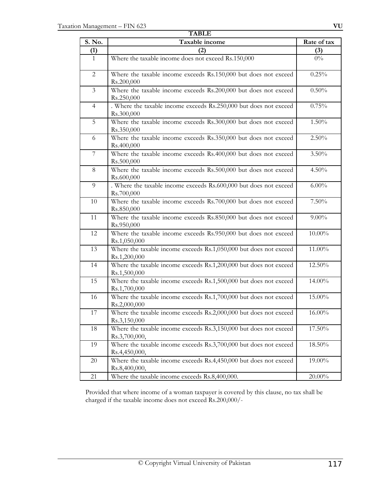| <b>TABLE</b>   |                                                                                                        |             |  |
|----------------|--------------------------------------------------------------------------------------------------------|-------------|--|
| S. No.         | Taxable income                                                                                         | Rate of tax |  |
| (1)            | (2)                                                                                                    | (3)         |  |
| $\mathbf{1}$   | Where the taxable income does not exceed Rs.150,000                                                    | $0\%$       |  |
| $\overline{2}$ | Where the taxable income exceeds Rs.150,000 but does not exceed<br>Rs.200,000                          | $0.25\%$    |  |
| $\mathfrak{Z}$ | Where the taxable income exceeds Rs.200,000 but does not exceed<br>Rs.250,000                          | 0.50%       |  |
| $\overline{4}$ | . Where the taxable income exceeds Rs.250,000 but does not exceed<br>Rs.300,000                        | 0.75%       |  |
| 5              | Where the taxable income exceeds Rs.300,000 but does not exceed<br>Rs.350,000                          | 1.50%       |  |
| 6              | Where the taxable income exceeds Rs.350,000 but does not exceed<br>Rs.400,000                          | 2.50%       |  |
| $\overline{7}$ | Where the taxable income exceeds Rs.400,000 but does not exceed<br>Rs.500,000                          | $3.50\%$    |  |
| 8              | Where the taxable income exceeds Rs.500,000 but does not exceed<br>Rs.600,000                          | 4.50%       |  |
| 9              | . Where the taxable income exceeds Rs.600,000 but does not exceed<br>Rs.700,000                        | $6.00\%$    |  |
| 10             | Where the taxable income exceeds Rs.700,000 but does not exceed<br>Rs.850,000                          | 7.50%       |  |
| 11             | Where the taxable income exceeds Rs.850,000 but does not exceed<br>Rs.950,000                          | $9.00\%$    |  |
| 12             | Where the taxable income exceeds Rs.950,000 but does not exceed<br>Rs.1,050,000                        | 10.00%      |  |
| 13             | Where the taxable income exceeds Rs.1,050,000 but does not exceed<br>Rs.1,200,000                      | 11.00%      |  |
| 14             | Where the taxable income exceeds Rs.1,200,000 but does not exceed<br>Rs.1,500,000                      | 12.50%      |  |
| 15             | Where the taxable income exceeds Rs.1,500,000 but does not exceed<br>Rs.1,700,000                      | 14.00%      |  |
| 16             | Where the taxable income exceeds $\overline{Rs.1,700,000}$ but does not exceed<br>Rs.2,000,000         | 15.00%      |  |
| 17             | Where the taxable income exceeds Rs.2,000,000 but does not exceed<br>Rs.3,150,000                      | 16.00%      |  |
| 18             | Where the taxable income exceeds Rs.3,150,000 but does not exceed<br>Rs.3,700,000,                     | 17.50%      |  |
| 19             | Where the taxable income exceeds $\overline{\text{Rs}.3,700,000}$ but does not exceed<br>Rs.4,450,000, | 18.50%      |  |
| $20\,$         | Where the taxable income exceeds Rs.4,450,000 but does not exceed<br>Rs.8,400,000,                     | 19.00%      |  |
| 21             | Where the taxable income exceeds Rs.8,400,000.                                                         | $20.00\%$   |  |

Provided that where income of a woman taxpayer is covered by this clause, no tax shall be charged if the taxable income does not exceed Rs.200,000/-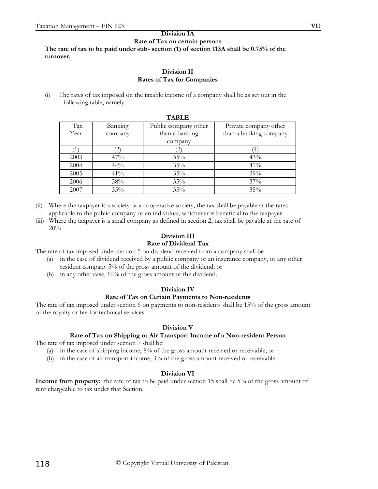#### **Division IA Rate of Tax on certain persons The rate of tax to be paid under sub- section (1) of section 113A shall be 0.75% of the turnover.**

#### **Division II Rates of Tax for Companies**

(i) The rates of tax imposed on the taxable income of a company shall be as set out in the following table, namely:

| <b>TABLE</b> |         |                      |                        |  |
|--------------|---------|----------------------|------------------------|--|
| Tax          | Banking | Public company other | Private company other  |  |
| Year         | company | than a banking       | than a banking company |  |
|              |         | company              |                        |  |
|              | 2)      |                      | ΄4                     |  |
| 2003         | 47%     | $35\%$               | 43%                    |  |
| 2004         | 44%     | 35%                  | 41%                    |  |
| 2005         | 41%     | 35%                  | 39%                    |  |
| 2006         | 38%     | 35%                  | 37%                    |  |
| 2007         | $35\%$  | 35%                  | 35%                    |  |

(ii) Where the taxpayer is a society or a cooperative society, the tax shall be payable at the rates applicable to the public company or an individual, whichever is beneficial to the taxpayer.

(iii) Where the taxpayer is a small company as defined in section 2, tax shall be payable at the rate of 20%

# **Division III**

## **Rate of Dividend Tax**

The rate of tax imposed under section 5 on dividend received from a company shall be –

- (a) in the case of dividend received by a public company or an insurance company, or any other resident company 5% of the gross amount of the dividend; or
- (b) in any other case, 10% of the gross amount of the dividend.

### **Division IV**

## **Rate of Tax on Certain Payments to Non-residents**

The rate of tax imposed under section 6 on payments to non-residents shall be 15% of the gross amount of the royalty or fee for technical services.

## **Division V**

## **Rate of Tax on Shipping or Air Transport Income of a Non-resident Person**

The rate of tax imposed under section 7 shall be:

- (a) in the case of shipping income, 8% of the gross amount received or receivable; or
- (b) in the case of air transport income, 3% of the gross amount received or receivable.

### **Division VI**

**Income from property:** the rate of tax to be paid under section 15 shall be 5% of the gross amount of rent chargeable to tax under that Section.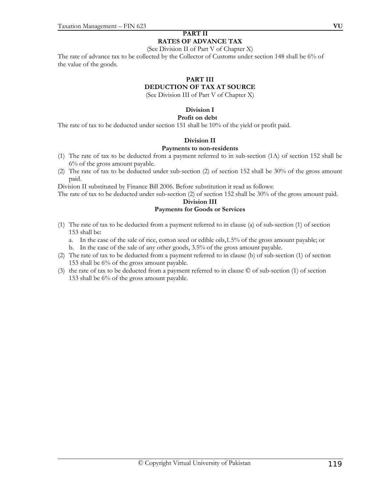#### **PART II RATES OF ADVANCE TAX**

#### (See Division II of Part V of Chapter X)

The rate of advance tax to be collected by the Collector of Customs under section 148 shall be 6% of the value of the goods.

#### **PART III**

### **DEDUCTION OF TAX AT SOURCE**

(See Division III of Part V of Chapter X)

## **Division I**

#### **Profit on debt**

The rate of tax to be deducted under section 151 shall be 10% of the yield or profit paid.

#### **Division II**

#### **Payments to non-residents**

- (1) The rate of tax to be deducted from a payment referred to in sub-section (1A) of section 152 shall be 6% of the gross amount payable.
- (2) The rate of tax to be deducted under sub-section (2) of section 152 shall be 30% of the gross amount paid.

Division II substituted by Finance Bill 2006. Before substitution it read as follows:

The rate of tax to be deducted under sub-section (2) of section 152 shall be 30% of the gross amount paid.

#### **Division III**

#### **Payments for Goods or Services**

- (1) The rate of tax to be deducted from a payment referred to in clause (a) of sub-section (1) of section 153 shall be:
	- a. In the case of the sale of rice, cotton seed or edible oils,1.5% of the gross amount payable; or
	- b. In the case of the sale of any other goods, 3.5% of the gross amount payable.
- (2) The rate of tax to be deducted from a payment referred to in clause (b) of sub-section (1) of section 153 shall be 6% of the gross amount payable.
- (3) the rate of tax to be deducted from a payment referred to in clause © of sub-section (1) of section 153 shall be 6% of the gross amount payable.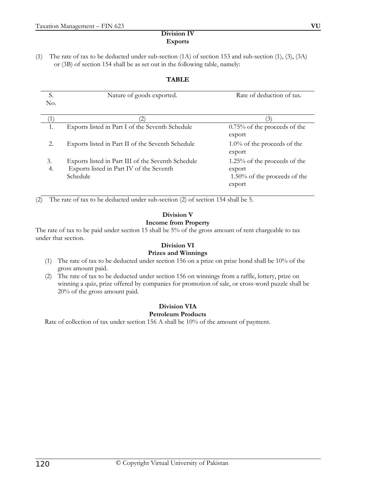### **Division IV Exports**

(1) The rate of tax to be deducted under sub-section  $(1A)$  of section 153 and sub-section  $(1)$ ,  $(3)$ ,  $(3A)$ or (3B) of section 154 shall be as set out in the following table, namely:

## **TABLE**

| S.       | Nature of goods exported.                                                                                  | Rate of deduction of tax.                                                              |
|----------|------------------------------------------------------------------------------------------------------------|----------------------------------------------------------------------------------------|
| No.      |                                                                                                            |                                                                                        |
|          | $\left( 2\right)$                                                                                          | (3)                                                                                    |
|          | Exports listed in Part I of the Seventh Schedule                                                           | $0.75\%$ of the proceeds of the<br>export                                              |
| 2.       | Exports listed in Part II of the Seventh Schedule                                                          | $1.0\%$ of the proceeds of the<br>export                                               |
| 3.<br>4. | Exports listed in Part III of the Seventh Schedule<br>Exports listed in Part IV of the Seventh<br>Schedule | $1.25\%$ of the proceeds of the<br>export<br>$1.50\%$ of the proceeds of the<br>export |

(2) The rate of tax to be deducted under sub-section (2) of section 154 shall be 5.

## **Division V Income from Property**

The rate of tax to be paid under section 15 shall be 5% of the gross amount of rent chargeable to tax under that section.

#### **Division VI Prizes and Winnings**

- (1) The rate of tax to be deducted under section 156 on a prize on prize bond shall be 10% of the gross amount paid.
- (2) The rate of tax to be deducted under section 156 on winnings from a raffle, lottery, prize on winning a quiz, prize offered by companies for promotion of sale, or cross-word puzzle shall be 20% of the gross amount paid.

#### **Division VIA Petroleum Products**

Rate of collection of tax under section 156 A shall be 10% of the amount of payment.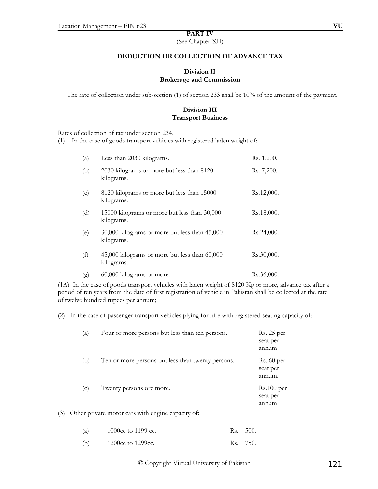#### **PART IV**

(See Chapter XII)

#### **DEDUCTION OR COLLECTION OF ADVANCE TAX**

#### **Division II Brokerage and Commission**

The rate of collection under sub-section (1) of section 233 shall be 10% of the amount of the payment.

## **Division III Transport Business**

Rates of collection of tax under section 234,

(1) In the case of goods transport vehicles with registered laden weight of:

| (a) | Less than 2030 kilograms.                                   | Rs. 1,200. |
|-----|-------------------------------------------------------------|------------|
| (b) | 2030 kilograms or more but less than 8120<br>kilograms.     | Rs. 7,200. |
| (c) | 8120 kilograms or more but less than 15000<br>kilograms.    | Rs.12,000. |
| (d) | 15000 kilograms or more but less than 30,000<br>kilograms.  | Rs.18,000. |
| (e) | 30,000 kilograms or more but less than 45,000<br>kilograms. | Rs.24,000. |
| (f) | 45,000 kilograms or more but less than 60,000<br>kilograms. | Rs.30,000. |
| (g) | 60,000 kilograms or more.                                   | Rs.36,000. |

(1A) In the case of goods transport vehicles with laden weight of 8120 Kg or more, advance tax after a period of ten years from the date of first registration of vehicle in Pakistan shall be collected at the rate of twelve hundred rupees per annum;

(2) In the case of passenger transport vehicles plying for hire with registered seating capacity of:

|     | (a) | Four or more persons but less than ten persons.   | Rs. 25 per<br>seat per<br>annum   |
|-----|-----|---------------------------------------------------|-----------------------------------|
|     | (b) | Ten or more persons but less than twenty persons. | Rs. 60 per<br>seat per<br>annum.  |
|     | (c) | Twenty persons ore more.                          | $Rs.100$ per<br>seat per<br>annum |
| (3) |     | Other private motor cars with engine capacity of: |                                   |

| (a) | 1000cc to 1199 cc.            | Rs. 500. |
|-----|-------------------------------|----------|
| (b) | 1200 <sub>cc</sub> to 1299cc. | Rs. 750. |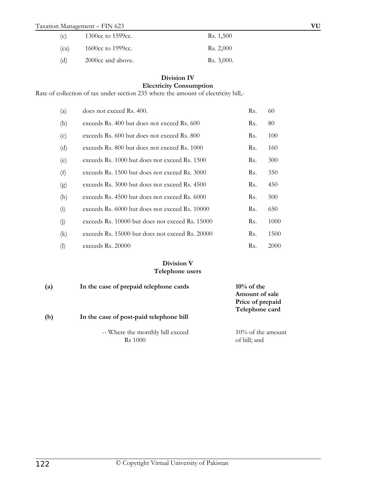## Taxation Management – FIN 623 **VU**

| (c)  | 1300cc to 1599cc. | Rs. 1,500  |
|------|-------------------|------------|
| (ca) | 1600cc to 1999cc. | Rs. 2,000  |
| (d)  | 2000cc and above. | Rs. 3,000. |

## **Division IV**

# **Electricity Consumption**

Rate of collection of tax under section 235 where the amount of electricity bill,-

| (a)        | does not exceed Rs. 400.                        | Rs. | 60   |
|------------|-------------------------------------------------|-----|------|
| (b)        | exceeds Rs. 400 but does not exceed Rs. 600     | Rs. | 80   |
| (c)        | exceeds Rs. 600 but does not exceed Rs. 800     | Rs. | 100  |
| (d)        | exceeds Rs. 800 but does not exceed Rs. 1000    | Rs. | 160  |
| (e)        | exceeds Rs. 1000 but does not exceed Rs. 1500   | Rs. | 300  |
| (f)        | exceeds Rs. 1500 but does not exceed Rs. 3000   | Rs. | 350  |
| (g)        | exceeds Rs. 3000 but does not exceed Rs. 4500   | Rs. | 450  |
| (h)        | exceeds Rs. 4500 but does not exceed Rs. 6000   | Rs. | 500  |
| (i)        | exceeds Rs. 6000 but does not exceed Rs. 10000  | Rs. | 650  |
| (j)        | exceeds Rs. 10000 but does not exceed Rs. 15000 | Rs. | 1000 |
| $\rm(k)$   | exceeds Rs. 15000 but does not exceed Rs. 20000 | Rs. | 1500 |
| $\left($ l | exceeds Rs. 20000                               | Rs. | 2000 |

### **Division V Telephone users**

| (a) | In the case of prepaid telephone cards             | $10\%$ of the<br>Amount of sale<br>Price of prepaid<br>Telephone card |
|-----|----------------------------------------------------|-----------------------------------------------------------------------|
| (b) | In the case of post-paid telephone bill            |                                                                       |
|     | -- Where the monthly bill exceed<br><b>Rs</b> 1000 | $10\%$ of the amount<br>of bill; and                                  |